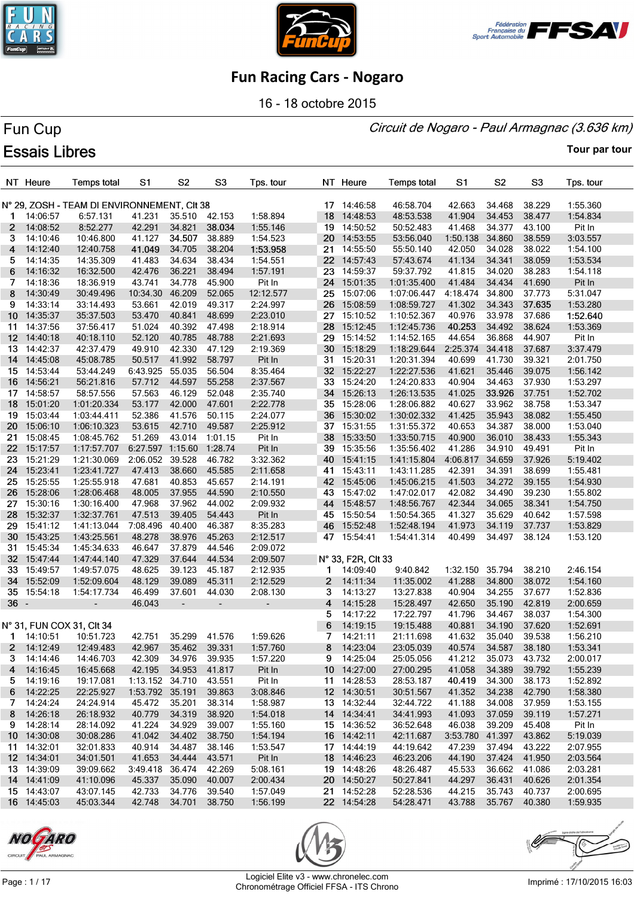





16 - 18 octobre 2015

#### Circuit de Nogaro - Paul Armagnac (3.636 km)

# Fun Cup **Essais Libres**

**Tour par tour**

|                 | NT Heure           | <b>Temps total</b>                          | S1                           | S <sub>2</sub>               | S <sub>3</sub>           | Tps. tour |    | NT Heure           | <b>Temps total</b> | S1                   | S <sub>2</sub> | S3     | Tps. tour |
|-----------------|--------------------|---------------------------------------------|------------------------------|------------------------------|--------------------------|-----------|----|--------------------|--------------------|----------------------|----------------|--------|-----------|
|                 |                    | N° 29, ZOSH - TEAM DI ENVIRONNEMENT, CIt 38 |                              |                              |                          |           |    | 17 14:46:58        | 46:58.704          | 42.663               | 34.468         | 38.229 | 1:55.360  |
| 1               | 14:06:57           | 6:57.131                                    | 41.231                       | 35.510                       | 42.153                   | 1:58.894  |    | 18 14:48:53        | 48:53.538          | 41.904               | 34.453         | 38.477 | 1:54.834  |
| $\mathbf{2}$    | 14:08:52           | 8:52.277                                    | 42.291                       | 34.821                       | 38.034                   | 1:55.146  | 19 | 14:50:52           | 50:52.483          | 41.468               | 34.377         | 43.100 | Pit In    |
| 3.              | 14:10:46           | 10:46.800                                   | 41.127                       | 34.507                       | 38.889                   | 1:54.523  |    | 20 14:53:55        | 53:56.040          | 1:50.138             | 34.860         | 38.559 | 3:03.557  |
| 4               | 14:12:40           | 12:40.758                                   | 41.049                       | 34.705                       | 38.204                   | 1:53.958  |    | 21 14:55:50        | 55:50.140          | 42.050               | 34.028         | 38.022 | 1:54.100  |
| 5.              | 14:14:35           | 14:35.309                                   | 41.483                       | 34.634                       | 38.434                   | 1:54.551  |    | 22 14:57:43        | 57:43.674          | 41.134               | 34.341         | 38.059 | 1:53.534  |
| 6               | 14:16:32           | 16:32.500                                   | 42.476                       | 36.221                       | 38.494                   | 1:57.191  | 23 | 14:59:37           | 59:37.792          | 41.815               | 34.020         | 38.283 | 1:54.118  |
| 7               | 14:18:36           | 18:36.919                                   | 43.741                       | 34.778                       | 45.900                   | Pit In    |    | 24 15:01:35        | 1:01:35.400        | 41.484               | 34.434         | 41.690 | Pit In    |
| 8               | 14:30:49           | 30:49.496                                   | 10:34.30                     | 46.209                       | 52.065                   | 12:12.577 |    | 25 15:07:06        | 1:07:06.447        | 4:18.474             | 34.800         | 37.773 | 5:31.047  |
| 9               | 14:33:14           | 33:14.493                                   | 53.661                       | 42.019                       | 49.317                   | 2:24.997  | 26 | 15:08:59           | 1:08:59.727        | 41.302               | 34.343         | 37.635 | 1:53.280  |
| 10              | 14:35:37           | 35:37.503                                   | 53.470                       | 40.841                       | 48.699                   | 2:23.010  | 27 | 15:10:52           | 1:10:52.367        | 40.976               | 33.978         | 37.686 | 1:52.640  |
| 11              | 14:37:56           | 37:56.417                                   | 51.024                       | 40.392                       | 47.498                   | 2:18.914  |    | 28 15:12:45        | 1:12:45.736        | 40.253               | 34.492         | 38.624 | 1:53.369  |
| 12 <sup>2</sup> | 14:40:18           | 40:18.110                                   | 52.120                       | 40.785                       | 48.788                   | 2:21.693  |    | 29 15:14:52        | 1:14:52.165        | 44.654               | 36.868         | 44.907 | Pit In    |
| 13.             | 14:42:37           | 42:37.479                                   | 49.910                       | 42.330                       | 47.129                   | 2:19.369  | 30 | 15:18:29           | 1:18:29.644        | 2:25.374             | 34.418         | 37.687 | 3:37.479  |
|                 | 14 14:45:08        | 45:08.785                                   | 50.517                       | 41.992                       | 58.797                   | Pit In    |    | 31 15:20:31        | 1:20:31.394        | 40.699               | 41.730         | 39.321 | 2:01.750  |
|                 | 15 14:53:44        | 53:44.249                                   | 6:43.925                     | 55.035                       | 56.504                   | 8:35.464  |    | 32 15:22:27        | 1:22:27.536        | 41.621               | 35.446         | 39.075 | 1:56.142  |
|                 | 16 14:56:21        | 56:21.816                                   | 57.712                       | 44.597                       | 55.258                   | 2:37.567  |    | 33 15:24:20        | 1:24:20.833        | 40.904               | 34.463         | 37.930 | 1:53.297  |
| 17              | 14:58:57           | 58:57.556                                   | 57.563                       | 46.129                       | 52.048                   | 2:35.740  |    | 34 15:26:13        | 1:26:13.535        | 41.025               | 33.926         | 37.751 | 1:52.702  |
|                 | 18 15:01:20        | 1:01:20.334                                 | 53.177                       | 42.000                       | 47.601                   | 2:22.778  |    | 35 15:28:06        | 1:28:06.882        | 40.627               | 33.962         | 38.758 | 1:53.347  |
| 19              | 15:03:44           | 1:03:44.411                                 | 52.386                       | 41.576                       | 50.115                   | 2:24.077  |    | 36 15:30:02        | 1:30:02.332        | 41.425               | 35.943         | 38.082 | 1:55.450  |
|                 |                    |                                             |                              |                              |                          |           |    | 37 15:31:55        | 1:31:55.372        |                      | 34.387         |        |           |
| 20              | 15:06:10           | 1:06:10.323                                 | 53.615<br>51.269             | 42.710                       | 49.587                   | 2:25.912  | 38 |                    |                    | 40.653               | 36.010         | 38.000 | 1:53.040  |
| 21              | 15:08:45           | 1:08:45.762                                 |                              | 43.014                       | 1:01.15                  | Pit In    |    | 15:33:50           | 1:33:50.715        | 40.900               |                | 38.433 | 1:55.343  |
| 22 <sub>2</sub> | 15:17:57           | 1:17:57.707                                 | 6:27.597 1:15.60<br>2:06.052 |                              | 1:28.74                  | Pit In    |    | 39 15:35:56        | 1:35:56.402        | 41.286               | 34.910         | 49.491 | Pit In    |
| 23              | 15:21:29           | 1:21:30.069                                 |                              | 39.528                       | 46.782                   | 3:32.362  |    | 40 15:41:15        | 1:41:15.804        | 4:06.817             | 34.659         | 37.926 | 5:19.402  |
| 24              | 15:23:41           | 1:23:41.727                                 | 47.413                       | 38.660                       | 45.585                   | 2:11.658  |    | 41 15:43:11        | 1:43:11.285        | 42.391               | 34.391         | 38.699 | 1:55.481  |
| 25              | 15:25:55           | 1:25:55.918                                 | 47.681                       | 40.853                       | 45.657                   | 2:14.191  |    | 42 15:45:06        | 1:45:06.215        | 41.503               | 34.272         | 39.155 | 1:54.930  |
| 26              | 15:28:06           | 1:28:06.468                                 | 48.005                       | 37.955                       | 44.590                   | 2:10.550  |    | 43 15:47:02        | 1:47:02.017        | 42.082               | 34.490         | 39.230 | 1:55.802  |
| 27              | 15:30:16           | 1:30:16.400                                 | 47.968                       | 37.962                       | 44.002                   | 2:09.932  |    | 44 15:48:57        | 1:48:56.767        | 42.344               | 34.065         | 38.341 | 1:54.750  |
| 28              | 15:32:37           | 1:32:37.761                                 | 47.513                       | 39.405                       | 54.443                   | Pit In    |    | 45 15:50:54        | 1:50:54.365        | 41.327               | 35.629         | 40.642 | 1:57.598  |
| 29              | 15:41:12           | 1:41:13.044                                 | 7:08.496                     | 40.400                       | 46.387                   | 8:35.283  |    | 46 15:52:48        | 1:52:48.194        | 41.973               | 34.119         | 37.737 | 1:53.829  |
| 30              | 15:43:25           | 1:43:25.561                                 | 48.278                       | 38.976                       | 45.263                   | 2:12.517  |    | 47 15:54:41        | 1:54:41.314        | 40.499               | 34.497         | 38.124 | 1:53.120  |
| 31              | 15:45:34           | 1:45:34.633                                 | 46.647                       | 37.879                       | 44.546                   | 2:09.072  |    |                    |                    |                      |                |        |           |
| 32 <sub>2</sub> | 15:47:44           | 1:47:44.140                                 | 47.329                       | 37.644                       | 44.534                   | 2:09.507  |    | N° 33, F2R, CIt 33 |                    |                      |                |        |           |
| 33              | 15:49:57           | 1:49:57.075                                 | 48.625                       | 39.123                       | 45.187                   | 2:12.935  | 1. | 14:09:40           | 9:40.842           | 1:32.150             | 35.794         | 38.210 | 2:46.154  |
| 34              | 15:52:09           | 1:52:09.604                                 | 48.129                       | 39.089                       | 45.311                   | 2:12.529  | 2  | 14:11:34           | 11:35.002          | 41.288               | 34.800         | 38.072 | 1:54.160  |
|                 | 35 15:54:18        | 1:54:17.734                                 | 46.499                       | 37.601                       | 44.030                   | 2:08.130  | 3  | 14:13:27           | 13:27.838          | 40.904               | 34.255         | 37.677 | 1:52.836  |
| $36 -$          |                    | $\overline{\phantom{a}}$                    | 46.043                       | $\qquad \qquad \blacksquare$ | $\overline{\phantom{a}}$ |           | 4  | 14:15:28           | 15:28.497          | 42.650               | 35.190         | 42.819 | 2:00.659  |
|                 |                    |                                             |                              |                              |                          |           | 5  | 14:17:22           | 17:22.797          | 41.796               | 34.467         | 38.037 | 1:54.300  |
|                 | 14:10:51           | N° 31, FUN COX 31, CIt 34                   | 42.751                       | 35.299                       |                          |           | 6  | 14:19:15           | 19:15.488          | 40.881<br>41.632     | 34.190         | 37.620 | 1:52.691  |
| $\mathbf{1}$    |                    | 10:51.723                                   |                              |                              | 41.576                   | 1:59.626  | 7  | 14:21:11           | 21:11.698          |                      | 35.040         | 39.538 | 1:56.210  |
|                 | 2 14:12:49         | 12:49.483                                   | 42.967                       | 35.462 39.331                |                          | 1:57.760  |    | 8 14:23:04         | 23:05.039          | 40.574               | 34.587 38.180  |        | 1:53.341  |
|                 | $3 \quad 14:14:46$ | 14:46.703                                   | 42.309                       | 34.976 39.935                |                          | 1:57.220  |    | 9 14:25:04         | 25:05.056          | 41.212 35.073 43.732 |                |        | 2:00.017  |
|                 | 4 14:16:45         | 16:45.668                                   | 42.195                       | 34.953                       | 41.817                   | Pit In    |    | 10 14:27:00        | 27:00.295          | 41.058               | 34.389         | 39.792 | 1:55.239  |
| 5.              | 14:19:16           | 19:17.081                                   | 1:13.152 34.710              |                              | 43.551                   | Pit In    |    | 11 14:28:53        | 28:53.187          | 40.419               | 34.300         | 38.173 | 1:52.892  |
| 6.              | 14:22:25           | 22:25.927                                   | 1:53.792 35.191 39.863       |                              |                          | 3:08.846  |    | 12 14:30:51        | 30:51.567          | 41.352               | 34.238         | 42.790 | 1:58.380  |
| 7.              | 14:24:24           | 24:24.914                                   | 45.472                       | 35.201                       | 38.314                   | 1:58.987  |    | 13 14:32:44        | 32:44.722          | 41.188               | 34.008         | 37.959 | 1:53.155  |
|                 | 8 14:26:18         | 26:18.932                                   | 40.779                       | 34.319                       | 38.920                   | 1:54.018  |    | 14 14:34:41        | 34:41.993          | 41.093               | 37.059         | 39.119 | 1:57.271  |
|                 | 9 14:28:14         | 28:14.092                                   | 41.224                       | 34.929                       | 39.007                   | 1:55.160  |    | 15 14:36:52        | 36:52.648          | 46.038               | 39.209         | 45.408 | Pit In    |
|                 | 10 14:30:08        | 30:08.286                                   | 41.042                       | 34.402                       | 38.750                   | 1:54.194  |    | 16 14:42:11        | 42:11.687          | 3:53.780 41.397      |                | 43.862 | 5:19.039  |
|                 | 11 14:32:01        | 32:01.833                                   | 40.914                       | 34.487                       | 38.146                   | 1:53.547  |    | 17 14:44:19        | 44:19.642          | 47.239               | 37.494         | 43.222 | 2:07.955  |
|                 | 12 14:34:01        | 34:01.501                                   | 41.653                       | 34.444                       | 43.571                   | Pit In    |    | 18 14:46:23        | 46:23.206          | 44.190               | 37.424         | 41.950 | 2:03.564  |
|                 | 13 14:39:09        | 39:09.662                                   | 3:49.418                     | 36.474                       | 42.269                   | 5:08.161  |    | 19 14:48:26        | 48:26.487          | 45.533               | 36.662         | 41.086 | 2:03.281  |
|                 | 14 14:41:09        | 41:10.096                                   | 45.337                       | 35.090                       | 40.007                   | 2:00.434  |    | 20 14:50:27        | 50:27.841          | 44.297               | 36.431         | 40.626 | 2:01.354  |
|                 | 15 14:43:07        | 43:07.145                                   | 42.733                       | 34.776                       | 39.540                   | 1:57.049  |    | 21 14:52:28        | 52:28.536          | 44.215               | 35.743         | 40.737 | 2:00.695  |
|                 | 16 14:45:03        | 45:03.344                                   | 42.748                       | 34.701 38.750                |                          | 1:56.199  |    | 22 14:54:28        | 54:28.471          | 43.788               | 35.767 40.380  |        | 1:59.935  |







Page : 1 / 17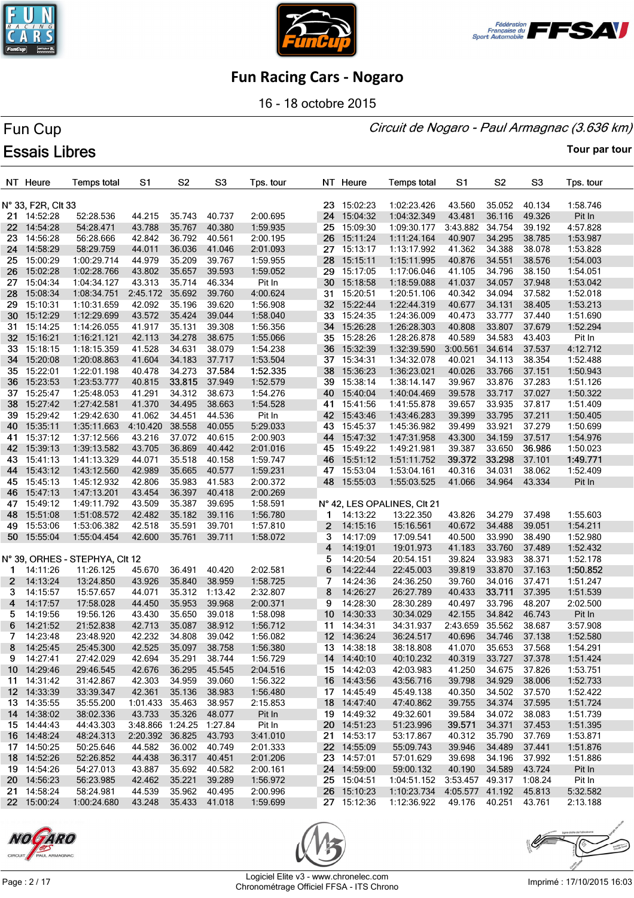





16 - 18 octobre 2015

### Circuit de Nogaro - Paul Armagnac (3.636 km)

# Fun Cup **Essais Libres**

|                | NT Heure             | <b>Temps total</b>             | S <sub>1</sub>           | S <sub>2</sub>   | S <sub>3</sub>   | Tps. tour            |              | NT Heure             | <b>Temps total</b>                    | S1                     | S <sub>2</sub>   | S <sub>3</sub>   | Tps. tour          |
|----------------|----------------------|--------------------------------|--------------------------|------------------|------------------|----------------------|--------------|----------------------|---------------------------------------|------------------------|------------------|------------------|--------------------|
|                |                      |                                |                          |                  |                  |                      |              |                      |                                       |                        |                  |                  |                    |
|                | N° 33, F2R, Clt 33   |                                |                          |                  |                  |                      |              | 23 15:02:23          | 1:02:23.426                           | 43.560                 | 35.052           | 40.134           | 1:58.746           |
|                | 21 14:52:28          | 52:28.536                      | 44.215                   | 35.743           | 40.737           | 2:00.695             |              | 24 15:04:32          | 1:04:32.349                           | 43.481                 | 36.116           | 49.326           | Pit In             |
| 22             | 14:54:28             | 54:28.471                      | 43.788                   | 35.767           | 40.380           | 1:59.935             |              | 25 15:09:30          | 1:09:30.177                           | 3:43.882               | 34.754           | 39.192           | 4:57.828           |
| 23.            | 14:56:28             | 56:28.666                      | 42.842                   | 36.792           | 40.561           | 2:00.195             |              | 26 15:11:24          | 1:11:24.164                           | 40.907                 | 34.295           | 38.785           | 1:53.987           |
| 24             | 14:58:29             | 58:29.759                      | 44.011                   | 36.036           | 41.046           | 2:01.093             |              | 27 15:13:17          | 1:13:17.992                           | 41.362                 | 34.388           | 38.078           | 1:53.828           |
| 25             | 15:00:29             | 1:00:29.714                    | 44.979                   | 35.209           | 39.767           | 1:59.955             |              | 28 15:15:11          | 1:15:11.995                           | 40.876                 | 34.551           | 38.576           | 1:54.003           |
| 26             | 15:02:28             | 1:02:28.766                    | 43.802                   | 35.657           | 39.593           | 1:59.052             | 29           | 15:17:05             | 1:17:06.046                           | 41.105                 | 34.796           | 38.150           | 1:54.051           |
| 27             | 15:04:34             | 1:04:34.127                    | 43.313                   | 35.714           | 46.334           | Pit In               |              | 30 15:18:58          | 1:18:59.088                           | 41.037                 | 34.057           | 37.948           | 1:53.042           |
| 28.            | 15:08:34             | 1:08:34.751                    | 2:45.172                 | 35.692           | 39.760           | 4:00.624             |              | 31 15:20:51          | 1:20:51.106                           | 40.342                 | 34.094           | 37.582           | 1:52.018           |
| 29.            | 15:10:31             | 1:10:31.659                    | 42.092                   | 35.196           | 39.620           | 1:56.908             |              | 32 15:22:44          | 1:22:44.319                           | 40.677                 | 34.131           | 38.405           | 1:53.213           |
| 30             | 15:12:29             | 1:12:29.699                    | 43.572                   | 35.424           | 39.044           | 1:58.040             |              | 33 15:24:35          | 1:24:36.009                           | 40.473                 | 33.777           | 37.440           | 1:51.690           |
| 31.            | 15:14:25             | 1:14:26.055                    | 41.917                   | 35.131           | 39.308           | 1:56.356             |              | 34 15:26:28          | 1:26:28.303                           | 40.808                 | 33.807           | 37.679           | 1:52.294           |
| 32             | 15:16:21             | 1:16:21.121                    | 42.113                   | 34.278           | 38.675           | 1:55.066             |              | 35 15:28:26          | 1:28:26.878                           | 40.589                 | 34.583           | 43.403           | Pit In             |
| 33             | 15:18:15             | 1:18:15.359                    | 41.528                   | 34.631           | 38.079           | 1:54.238             | 36           | 15:32:39             | 1:32:39.590                           | 3:00.561               | 34.614           | 37.537           | 4:12.712           |
| 34             | 15:20:08             | 1:20:08.863                    | 41.604                   | 34.183           | 37.717           | 1:53.504             |              | 37 15:34:31          | 1:34:32.078                           | 40.021                 | 34.113           | 38.354           | 1:52.488           |
|                | 35 15:22:01          | 1:22:01.198                    | 40.478                   | 34.273           | 37.584           | 1:52.335             |              | 38 15:36:23          | 1:36:23.021                           | 40.026                 | 33.766           | 37.151           | 1:50.943           |
| 36             | 15:23:53             | 1:23:53.777                    | 40.815                   | 33.815           | 37.949           | 1:52.579             |              | 39 15:38:14          | 1:38:14.147                           | 39.967                 | 33.876           | 37.283           | 1:51.126           |
| 37             | 15:25:47             | 1:25:48.053                    | 41.291                   | 34.312           | 38.673           | 1:54.276             | 40           | 15:40:04             | 1:40:04.469                           | 39.578                 | 33.717           | 37.027           | 1:50.322           |
| 38             | 15:27:42             | 1:27:42.581                    | 41.370                   | 34.495           | 38.663           | 1:54.528             |              | 41 15:41:56          | 1:41:55.878                           | 39.657                 | 33.935           | 37.817           | 1:51.409           |
| 39             | 15:29:42             | 1:29:42.630                    | 41.062                   | 34.451           | 44.536           | Pit In               |              | 42 15:43:46          | 1:43:46.283                           | 39.399                 | 33.795           | 37.211           | 1:50.405           |
| 40.            | 15:35:11             | 1:35:11.663                    | 4:10.420                 | 38.558           | 40.055           | 5:29.033             |              | 43 15:45:37          | 1:45:36.982                           | 39.499                 | 33.921           | 37.279           | 1:50.699           |
| 41             | 15:37:12             | 1:37:12.566                    | 43.216                   | 37.072           | 40.615           | 2:00.903             |              | 44 15:47:32          | 1:47:31.958                           | 43.300                 | 34.159           | 37.517           | 1:54.976           |
| 42             | 15:39:13             | 1:39:13.582                    | 43.705                   | 36.869           | 40.442           | 2:01.016             |              | 45 15:49:22          | 1:49:21.981                           | 39.387                 | 33.650           | 36.986           | 1:50.023           |
|                | 43 15:41:13          | 1:41:13.329                    | 44.071                   | 35.518           | 40.158           | 1:59.747             |              | 46 15:51:12          | 1:51:11.752                           | 39.372                 | 33.298           | 37.101           | 1:49.771           |
| 44             | 15:43:12             | 1:43:12.560                    | 42.989                   | 35.665           | 40.577           | 1:59.231             |              | 47 15:53:04          | 1:53:04.161                           | 40.316                 | 34.031           | 38.062           | 1:52.409           |
| 45             | 15:45:13             | 1:45:12.932                    | 42.806                   | 35.983           | 41.583           | 2:00.372             |              | 48 15:55:03          | 1:55:03.525                           | 41.066                 | 34.964           | 43.334           | Pit In             |
| 46             | 15:47:13             | 1:47:13.201                    | 43.454                   | 36.397           | 40.418           | 2:00.269             |              |                      |                                       |                        |                  |                  |                    |
| 47             | 15:49:12             | 1:49:11.792                    | 43.509                   | 35.387           | 39.695           | 1:58.591             |              |                      | N° 42, LES OPALINES, CIt 21           |                        |                  |                  |                    |
| 48             | 15:51:08             | 1:51:08.572                    | 42.482                   | 35.182           | 39.116           | 1:56.780             | 1            | 14:13:22             | 13:22.350                             | 43.826                 | 34.279           | 37.498           | 1:55.603           |
| 49             | 15:53:06             | 1:53:06.382                    | 42.518                   | 35.591           | 39.701           | 1:57.810             | $\mathbf{2}$ | 14:15:16             | 15:16.561                             | 40.672                 | 34.488           | 39.051           | 1:54.211           |
|                | 50 15:55:04          | 1:55:04.454                    | 42.600                   | 35.761           | 39.711           | 1:58.072             | 3            | 14:17:09             | 17:09.541                             | 40.500                 | 33.990           | 38.490           | 1:52.980           |
|                |                      |                                |                          |                  |                  |                      | 4            | 14:19:01             | 19:01.973                             | 41.183                 | 33.760           | 37.489           | 1:52.432           |
|                |                      | N° 39, ORHES - STEPHYA, CIt 12 |                          |                  |                  |                      | 5            | 14:20:54             | 20:54.151                             | 39.824                 | 33.983           | 38.371           | 1:52.178           |
| 1.             | 14:11:26             | 11:26.125                      | 45.670                   | 36.491           | 40.420           | 2:02.581             | 6            | 14:22:44             | 22:45.003                             | 39.819                 | 33.870           | 37.163           | 1:50.852           |
| $\mathbf{2}^-$ | 14:13:24             | 13:24.850                      | 43.926                   | 35.840           | 38.959           | 1:58.725             | 7            | 14:24:36             | 24:36.250                             | 39.760                 | 34.016           | 37.471           | 1:51.247           |
| 3              | 14:15:57             | 15:57.657                      | 44.071                   | 35.312           | 1:13.42          | 2:32.807             | 8            | 14:26:27             | 26:27.789                             | 40.433                 | 33.711           | 37.395           | 1:51.539           |
| 4<br>5.        | 14:17:57<br>14:19:56 | 17:58.028<br>19:56.126         | 44.450                   | 35.953           | 39.968<br>39.018 | 2:00.371<br>1:58.098 | 9            | 14:28:30             | 28:30.289                             | 40.497                 | 33.796           | 48.207           | 2:02.500           |
| 6              | 14:21:52             | 21:52.838                      | 43.430<br>42.713         | 35.650<br>35.087 | 38.912           | 1:56.712             | 10<br>11     | 14:30:33<br>14:34:31 | 30:34.029<br>34:31.937                | 42.155<br>2:43.659     | 34.842<br>35.562 | 46.743<br>38.687 | Pit In<br>3:57.908 |
| 7              | 14:23:48             | 23:48.920                      | 42.232                   | 34.808           | 39.042           | 1:56.082             |              | 12 14:36:24          | 36:24.517                             | 40.696                 | 34.746           | 37.138           | 1:52.580           |
| 8              | 14:25:45             | 25:45.300                      | 42.525                   | 35.097           | 38.758           | 1:56.380             |              | 13 14:38:18          | 38:18.808                             | 41.070                 | 35.653           | 37.568           | 1:54.291           |
|                | 9 14:27:41           | 27:42.029                      | 42.694                   | 35.291 38.744    |                  | 1:56.729             |              | 14 14:40:10          | 40:10.232                             | 40.319                 | 33.727           | 37.378           | 1:51.424           |
|                | 10 14:29:46          | 29:46.545                      | 42.676                   | 36.295           | 45.545           | 2:04.516             |              | 15 14:42:03          | 42:03.983                             | 41.250                 | 34.675           | 37.826           | 1:53.751           |
|                | 11 14:31:42          | 31:42.867                      | 42.303                   | 34.959           | 39.060           | 1:56.322             |              | 16 14:43:56          | 43:56.716                             | 39.798                 | 34.929           | 38.006           | 1:52.733           |
|                | 12 14:33:39          | 33:39.347                      | 42.361                   | 35.136           | 38.983           | 1:56.480             |              | 17 14:45:49          | 45:49.138                             | 40.350                 | 34.502           | 37.570           | 1:52.422           |
|                | 13 14:35:55          | 35:55.200                      | 1:01.433 35.463          |                  | 38.957           | 2:15.853             |              | 18 14:47:40          | 47:40.862                             | 39.755                 | 34.374           | 37.595           | 1:51.724           |
|                | 14 14:38:02          | 38:02.336                      | 43.733                   | 35.326           | 48.077           | Pit In               |              | 19 14:49:32          | 49:32.601                             | 39.584                 | 34.072           | 38.083           | 1:51.739           |
|                | 15 14:44:43          | 44:43.303                      | 3:48.866 1:24.25 1:27.84 |                  |                  | Pit In               |              | 20 14:51:23          | 51:23.996                             | 39.571                 | 34.371           | 37.453           | 1:51.395           |
|                | 16 14:48:24          | 48:24.313                      | 2:20.392                 | 36.825           | 43.793           | 3:41.010             |              | 21 14:53:17          | 53:17.867                             | 40.312                 | 35.790           | 37.769           | 1:53.871           |
|                | 17 14:50:25          | 50:25.646                      | 44.582                   | 36.002           | 40.749           | 2:01.333             |              | 22 14:55:09          | 55:09.743                             | 39.946                 | 34.489           | 37.441           | 1:51.876           |
|                | 18 14:52:26          | 52:26.852                      | 44.438                   | 36.317           | 40.451           | 2:01.206             |              | 23 14:57:01          | 57:01.629                             | 39.698                 | 34.196           | 37.992           | 1:51.886           |
|                | 19 14:54:26          | 54:27.013                      | 43.887                   | 35.692           | 40.582           | 2:00.161             |              | 24 14:59:00          | 59:00.132                             | 40.190                 | 34.589           | 43.724           | Pit In             |
|                | 20 14:56:23          | 56:23.985                      | 42.462                   | 35.221           | 39.289           | 1:56.972             |              | 25 15:04:51          | 1:04:51.152                           | 3:53.457 49.317        |                  | 1:08.24          | Pit In             |
|                | 21 14:58:24          | 58:24.981                      | 44.539                   | 35.962           | 40.495           | 2:00.996             |              | 26 15:10:23          | 1:10:23.734  4:05.577  41.192  45.813 |                        |                  |                  | 5:32.582           |
|                | 22 15:00:24          | 1:00:24.680                    | 43.248 35.433 41.018     |                  |                  | 1:59.699             |              | 27 15:12:36          | 1:12:36.922                           | 49.176  40.251  43.761 |                  |                  | 2:13.188           |





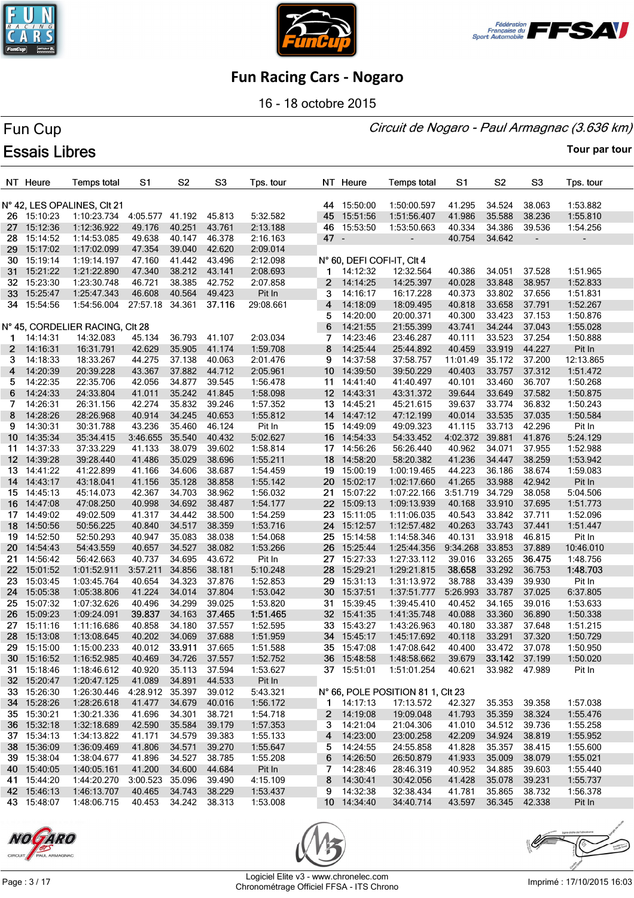





16 - 18 octobre 2015

#### Circuit de Nogaro - Paul Armagnac (3.636 km)

# Fun Cup **Essais Libres**

|              | NT Heure    | <b>Temps total</b>              | S1              | S <sub>2</sub>       | S3     | Tps. tour |      | NT Heure    | <b>Temps total</b>                | S1               | S <sub>2</sub> | S <sub>3</sub>           | Tps. tour            |
|--------------|-------------|---------------------------------|-----------------|----------------------|--------|-----------|------|-------------|-----------------------------------|------------------|----------------|--------------------------|----------------------|
|              |             | N° 42, LES OPALINES, CIt 21     |                 |                      |        |           |      | 44 15:50:00 | 1:50:00.597                       | 41.295           | 34.524         | 38.063                   | 1:53.882             |
|              | 26 15:10:23 | 1:10:23.734                     | 4:05.577 41.192 |                      | 45.813 | 5:32.582  | 45   | 15:51:56    | 1:51:56.407                       | 41.986           | 35.588         | 38.236                   | 1:55.810             |
| 27           | 15:12:36    | 1:12:36.922                     | 49.176          | 40.251               | 43.761 | 2:13.188  |      | 46 15:53:50 | 1:53:50.663                       | 40.334           | 34.386         | 39.536                   | 1:54.256             |
| 28           | 15:14:52    | 1:14:53.085                     | 49.638          | 40.147               | 46.378 | 2:16.163  | 47 - |             | $\blacksquare$                    | 40.754           | 34.642         | $\overline{\phantom{a}}$ | $\blacksquare$       |
| 29           | 15:17:02    | 1:17:02.099                     | 47.354          | 39.040               | 42.620 | 2:09.014  |      |             |                                   |                  |                |                          |                      |
| 30           | 15:19:14    | 1:19:14.197                     | 47.160          | 41.442               | 43.496 | 2:12.098  |      |             | N° 60, DEFI COFI-IT, CIt 4        |                  |                |                          |                      |
| 31           | 15:21:22    | 1:21:22.890                     | 47.340          | 38.212               | 43.141 | 2:08.693  | 1    | 14:12:32    | 12:32.564                         | 40.386           | 34.051         | 37.528                   | 1:51.965             |
| 32           | 15:23:30    | 1:23:30.748                     | 46.721          | 38.385               | 42.752 | 2:07.858  | 2    | 14:14:25    | 14:25.397                         | 40.028           | 33.848         | 38.957                   | 1:52.833             |
| 33           | 15:25:47    | 1:25:47.343                     | 46.608          | 40.564               | 49.423 | Pit In    | 3    | 14:16:17    | 16:17.228                         | 40.373           | 33.802         | 37.656                   | 1:51.831             |
|              | 34 15:54:56 | 1:54:56.004                     | 27:57.18 34.361 |                      | 37.116 | 29:08.661 | 4    | 14:18:09    | 18:09.495                         | 40.818           | 33.658         | 37.791                   | 1:52.267             |
|              |             |                                 |                 |                      |        |           | 5    | 14:20:00    | 20:00.371                         | 40.300           | 33.423         | 37.153                   | 1:50.876             |
|              |             | N° 45, CORDELIER RACING, CIt 28 |                 |                      |        |           | 6    | 14:21:55    | 21:55.399                         | 43.741           | 34.244         | 37.043                   | 1:55.028             |
| 1            | 14:14:31    | 14:32.083                       | 45.134          | 36.793               | 41.107 | 2:03.034  | 7    | 14:23:46    | 23:46.287                         | 40.111           | 33.523         | 37.254                   | 1:50.888             |
| $\mathbf{2}$ | 14:16:31    | 16:31.791                       | 42.629          | 35.905               | 41.174 | 1:59.708  | 8    | 14:25:44    | 25:44.892                         | 40.459           | 33.919         | 44.227                   | Pit In               |
| 3            | 14:18:33    | 18:33.267                       | 44.275          | 37.138               | 40.063 | 2:01.476  | 9    | 14:37:58    | 37:58.757                         | 11:01.49         | 35.172         | 37.200                   | 12:13.865            |
| 4            | 14:20:39    | 20:39.228                       | 43.367          | 37.882               | 44.712 | 2:05.961  | 10   | 14:39:50    | 39:50.229                         | 40.403           | 33.757         | 37.312                   | 1:51.472             |
| 5.           | 14:22:35    | 22:35.706                       | 42.056          | 34.877               | 39.545 | 1:56.478  | 11   | 14:41:40    | 41:40.497                         | 40.101           | 33.460         | 36.707                   | 1:50.268             |
| 6            | 14:24:33    | 24:33.804                       | 41.011          | 35.242               | 41.845 | 1:58.098  |      | 12 14:43:31 | 43:31.372                         | 39.644           | 33.649         | 37.582                   | 1:50.875             |
| 7            | 14:26:31    | 26:31.156                       | 42.274          | 35.832               | 39.246 | 1:57.352  | 13   | 14:45:21    | 45:21.615                         | 39.637           | 33.774         | 36.832                   | 1:50.243             |
| 8            | 14:28:26    | 28:26.968                       | 40.914          | 34.245               | 40.653 | 1:55.812  |      | 14 14:47:12 | 47:12.199                         | 40.014           | 33.535         | 37.035                   | 1:50.584             |
| 9            | 14:30:31    | 30:31.788                       | 43.236          | 35.460               | 46.124 | Pit In    |      | 15 14:49:09 | 49:09.323                         | 41.115           | 33.713         | 42.296                   | Pit In               |
| 10           | 14:35:34    | 35:34.415                       | 3:46.655        | 35.540               | 40.432 | 5:02.627  | 16   | 14:54:33    | 54:33.452                         | 4:02.372         | 39.881         | 41.876                   | 5:24.129             |
| 11.          | 14:37:33    | 37:33.229                       | 41.133          | 38.079               | 39.602 | 1:58.814  |      | 17 14:56:26 | 56:26.440                         | 40.962           | 34.071         | 37.955                   | 1:52.988             |
|              | 12 14:39:28 | 39:28.440                       | 41.486          | 35.029               | 38.696 | 1:55.211  |      | 18 14:58:20 | 58:20.382                         | 41.236           | 34.447         | 38.259                   | 1:53.942             |
| 13.          | 14:41:22    | 41:22.899                       | 41.166          | 34.606               | 38.687 | 1:54.459  |      | 19 15:00:19 | 1:00:19.465                       | 44.223           | 36.186         | 38.674                   | 1:59.083             |
| 14           | 14:43:17    | 43:18.041                       | 41.156          | 35.128               | 38.858 | 1:55.142  |      | 20 15:02:17 | 1:02:17.660                       | 41.265           | 33.988         | 42.942                   | Pit In               |
| 15           | 14:45:13    | 45:14.073                       | 42.367          | 34.703               | 38.962 | 1:56.032  | 21.  | 15:07:22    | 1:07:22.166                       | 3:51.719         | 34.729         | 38.058                   | 5:04.506             |
|              | 16 14:47:08 | 47:08.250                       | 40.998          | 34.692               | 38.487 | 1:54.177  |      | 22 15:09:13 | 1:09:13.939                       | 40.168           | 33.910         | 37.695                   | 1:51.773             |
| 17           | 14:49:02    | 49:02.509                       | 41.317          | 34.442               | 38.500 | 1:54.259  |      | 23 15:11:05 | 1:11:06.035                       | 40.543           | 33.842         | 37.711                   | 1:52.096             |
| 18           | 14:50:56    | 50:56.225                       | 40.840          | 34.517               | 38.359 | 1:53.716  |      | 24 15:12:57 | 1:12:57.482                       | 40.263           | 33.743         | 37.441                   | 1:51.447             |
| 19           | 14:52:50    | 52:50.293                       | 40.947          | 35.083               | 38.038 | 1:54.068  | 25   | 15:14:58    | 1:14:58.346                       | 40.131           | 33.918         | 46.815                   | Pit In               |
| 20           | 14:54:43    | 54:43.559                       | 40.657          | 34.527               | 38.082 | 1:53.266  | 26.  | 15:25:44    | 1:25:44.356                       | 9:34.268         | 33.853         | 37.889                   | 10:46.010            |
| 21.          | 14:56:42    | 56:42.663                       | 40.737          | 34.695               | 43.672 | Pit In    | 27   | 15:27:33    | 1:27:33.112                       | 39.016           | 33.265         | 36.475                   | 1:48.756             |
| 22           | 15:01:52    | 1:01:52.911                     | 3:57.211        | 34.856               | 38.181 | 5:10.248  | 28   | 15:29:21    | 1:29:21.815                       | 38.658           | 33.292         | 36.753                   | 1:48.703             |
| 23           | 15:03:45    | 1:03:45.764                     | 40.654          | 34.323               | 37.876 | 1:52.853  | 29   | 15:31:13    | 1:31:13.972                       | 38.788           | 33.439         | 39.930                   | Pit In               |
| 24           | 15:05:38    | 1:05:38.806                     | 41.224          | 34.014               | 37.804 | 1:53.042  |      | 30 15:37:51 | 1:37:51.777                       | 5:26.993         | 33.787         | 37.025                   | 6:37.805             |
| 25           | 15:07:32    | 1:07:32.626                     | 40.496          | 34.299               | 39.025 | 1:53.820  |      | 31 15:39:45 | 1:39:45.410                       | 40.452           | 34.165         | 39.016                   | 1:53.633             |
| 26           | 15:09:23    | 1:09:24.091                     | 39.837          | 34.163               | 37.465 | 1:51.465  |      | 32 15:41:35 | 1:41:35.748                       | 40.088           | 33.360         | 36.890                   | 1:50.338             |
| 27           | 15:11:16    | 1:11:16.686                     | 40.858          | 34.180               | 37.557 | 1:52.595  |      | 33 15:43:27 | 1:43:26.963                       | 40.180           | 33.387         | 37.648                   | 1:51.215             |
| 28           | 15:13:08    | 1:13:08.645                     | 40.202          | 34.069               | 37.688 | 1:51.959  |      | 34 15:45:17 | 1:45:17.692                       | 40.118           | 33.291         | 37.320                   | 1:50.729             |
|              | 29 15:15:00 | 1:15:00.233                     | 40.012          | 33.911 37.665        |        | 1:51.588  |      | 35 15:47:08 | 1:47:08.642 40.400                |                  | 33.472 37.078  |                          | 1:50.950             |
|              | 30 15:16:52 | 1:16:52.985                     | 40.469          | 34.726               | 37.557 | 1:52.752  |      | 36 15:48:58 | 1:48:58.662                       | 39.679           | 33.142 37.199  |                          | 1:50.020             |
|              | 31 15:18:46 | 1:18:46.612                     | 40.920          | 35.113               | 37.594 | 1:53.627  |      | 37 15:51:01 | 1:51:01.254                       | 40.621           | 33.982 47.989  |                          | Pit In               |
|              | 32 15:20:47 | 1:20:47.125                     | 41.089          | 34.891               | 44.533 | Pit In    |      |             |                                   |                  |                |                          |                      |
|              | 33 15:26:30 | 1:26:30.446                     | 4:28.912 35.397 |                      | 39.012 | 5:43.321  |      |             | N° 66, POLE POSITION 81 1, CIt 23 |                  |                |                          |                      |
|              | 34 15:28:26 | 1:28:26.618                     | 41.477          | 34.679               | 40.016 | 1:56.172  |      | 1 14:17:13  | 17:13.572                         | 42.327           | 35.353         | 39.358                   | 1:57.038             |
|              | 35 15:30:21 | 1:30:21.336                     | 41.696          | 34.301               | 38.721 | 1:54.718  |      | 2 14:19:08  | 19:09.048                         | 41.793           | 35.359         | 38.324                   | 1:55.476             |
|              | 36 15:32:18 | 1:32:18.689                     | 42.590          | 35.584               | 39.179 | 1:57.353  |      | 3 14:21:04  | 21:04.306                         | 41.010           | 34.512         | 39.736                   | 1:55.258             |
|              | 37 15:34:13 | 1:34:13.822                     | 41.171          | 34.579               | 39.383 | 1:55.133  |      | 4 14:23:00  | 23:00.258                         |                  | 34.924         | 38.819                   |                      |
|              | 38 15:36:09 | 1:36:09.469                     | 41.806          | 34.571               | 39.270 | 1:55.647  |      | 5 14:24:55  | 24:55.858                         | 42.209<br>41.828 | 35.357         | 38.415                   | 1:55.952<br>1:55.600 |
|              | 39 15:38:04 | 1:38:04.677                     | 41.896          | 34.527               | 38.785 | 1:55.208  |      | 6 14:26:50  | 26:50.879                         | 41.933           | 35.009         | 38.079                   | 1:55.021             |
|              | 40 15:40:05 | 1:40:05.161                     | 41.200          | 34.600               | 44.684 | Pit In    |      | 7 14:28:46  | 28:46.319                         | 40.952           | 34.885         | 39.603                   | 1:55.440             |
|              | 41 15:44:20 | 1:44:20.270                     | 3:00.523        | 35.096               | 39.490 | 4:15.109  |      | 8 14:30:41  | 30:42.056                         | 41.428           | 35.078         | 39.231                   | 1:55.737             |
|              | 42 15:46:13 | 1:46:13.707                     | 40.465          | 34.743 38.229        |        | 1:53.437  | 9    | 14:32:38    | 32:38.434                         | 41.781           | 35.865         | 38.732                   | 1:56.378             |
|              | 43 15:48:07 | 1:48:06.715                     |                 | 40.453 34.242 38.313 |        | 1:53.008  |      | 10 14:34:40 | 34:40.714                         | 43.597           | 36.345 42.338  |                          | Pit In               |
|              |             |                                 |                 |                      |        |           |      |             |                                   |                  |                |                          |                      |





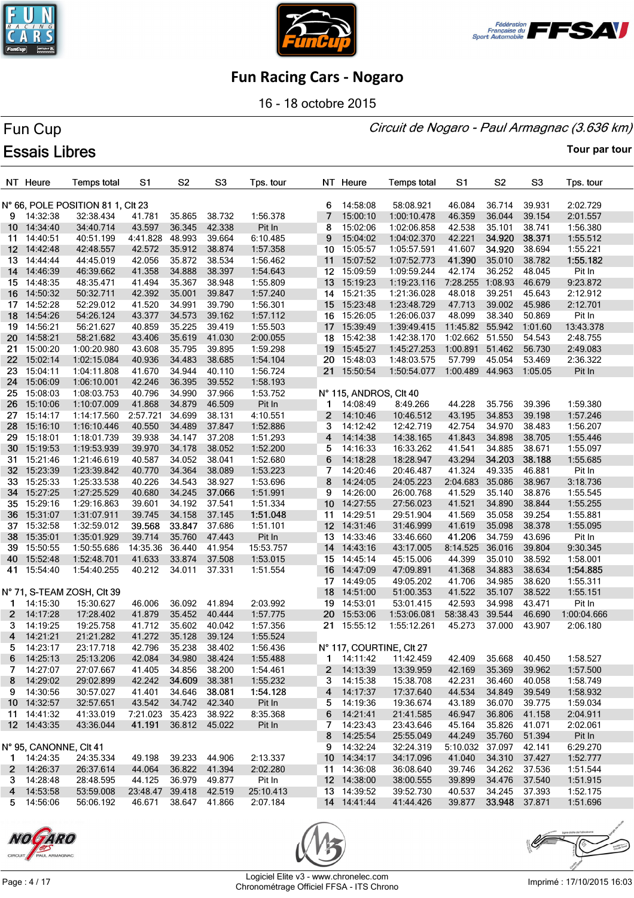





16 - 18 octobre 2015

#### Circuit de Nogaro - Paul Armagnac (3.636 km)

# Fun Cup **Essais Libres**

|              | NT Heure               | <b>Temps total</b>               | S <sub>1</sub>         | S <sub>2</sub> | S <sub>3</sub> | Tps. tour |              | NT Heure               | Temps total              | S1                   | S <sub>2</sub> | S <sub>3</sub> | Tps. tour   |
|--------------|------------------------|----------------------------------|------------------------|----------------|----------------|-----------|--------------|------------------------|--------------------------|----------------------|----------------|----------------|-------------|
|              |                        | N° 66, POLE POSITION 811, CIt 23 |                        |                |                |           | 6            | 14:58:08               | 58:08.921                | 46.084               | 36.714         | 39.931         | 2:02.729    |
|              | 9 14:32:38             | 32:38.434                        | 41.781                 | 35.865         | 38.732         | 1:56.378  | 7            | 15:00:10               | 1:00:10.478              | 46.359               | 36.044         | 39.154         | 2:01.557    |
|              | 10 14:34:40            | 34:40.714                        | 43.597                 | 36.345         | 42.338         | Pit In    | 8            | 15:02:06               | 1:02:06.858              | 42.538               | 35.101         | 38.741         | 1:56.380    |
| 11           | 14:40:51               | 40:51.199                        | 4:41.828               | 48.993         | 39.664         | 6:10.485  | 9            | 15:04:02               | 1:04:02.370              | 42.221               | 34.920         | 38.371         | 1:55.512    |
|              | 12 14:42:48            | 42:48.557                        | 42.572                 | 35.912         | 38.874         | 1:57.358  |              | 10 15:05:57            | 1:05:57.591              | 41.607               | 34.920         | 38.694         | 1:55.221    |
|              | 13 14:44:44            | 44:45.019                        | 42.056                 | 35.872         | 38.534         | 1:56.462  |              | 11 15:07:52            | 1:07:52.773              | 41.390               | 35.010         | 38.782         | 1:55.182    |
| 14           | 14:46:39               | 46:39.662                        | 41.358                 | 34.888         | 38.397         | 1:54.643  |              | 12 15:09:59            | 1:09:59.244              | 42.174               | 36.252         | 48.045         | Pit In      |
| 15.          | 14:48:35               | 48:35.471                        | 41.494                 | 35.367         | 38.948         | 1:55.809  |              | 13 15:19:23            | 1:19:23.116              | 7:28.255 1:08.93     |                | 46.679         | 9:23.872    |
|              | 16 14:50:32            | 50:32.711                        | 42.392                 | 35.001         | 39.847         | 1:57.240  |              | 14 15:21:35            | 1:21:36.028              | 48.018               | 39.251         | 45.643         | 2:12.912    |
|              | 17 14:52:28            | 52:29.012                        | 41.520                 | 34.991         | 39.790         | 1:56.301  |              | 15 15:23:48            | 1:23:48.729              | 47.713               | 39.002         | 45.986         | 2:12.701    |
| 18           | 14:54:26               | 54:26.124                        | 43.377                 | 34.573         | 39.162         | 1:57.112  |              | 16 15:26:05            | 1:26:06.037              | 48.099               | 38.340         | 50.869         | Pit In      |
| 19           | 14:56:21               | 56:21.627                        | 40.859                 | 35.225         | 39.419         | 1:55.503  |              | 17 15:39:49            | 1:39:49.415              | 11:45.82 55.942      |                | 1:01.60        | 13:43.378   |
| 20           | 14:58:21               | 58:21.682                        | 43.406                 | 35.619         | 41.030         | 2:00.055  |              | 18 15:42:38            | 1:42:38.170              | 1:02.662 51.550      |                | 54.543         | 2:48.755    |
| 21           | 15:00:20               | 1:00:20.980                      | 43.608                 | 35.795         | 39.895         | 1:59.298  |              | 19 15:45:27            | 1:45:27.253              | 1:00.891             | 51.462         | 56.730         | 2:49.083    |
| 22           | 15:02:14               | 1:02:15.084                      | 40.936                 | 34.483         | 38.685         | 1:54.104  | 20           | 15:48:03               | 1:48:03.575              | 57.799               | 45.054         | 53.469         | 2:36.322    |
| 23.          | 15:04:11               | 1:04:11.808                      | 41.670                 | 34.944         | 40.110         | 1:56.724  |              | 21 15:50:54            | 1:50:54.077              | 1:00.489 44.963      |                | 1:05.05        | Pit In      |
| 24           | 15:06:09               | 1:06:10.001                      | 42.246                 | 36.395         | 39.552         | 1:58.193  |              |                        |                          |                      |                |                |             |
| 25           | 15:08:03               | 1:08:03.753                      | 40.796                 | 34.990         | 37.966         | 1:53.752  |              | N° 115, ANDROS, CIt 40 |                          |                      |                |                |             |
| 26           | 15:10:06               | 1:10:07.009                      | 41.868                 | 34.879         | 46.509         | Pit In    | 1            | 14:08:49               | 8:49.266                 | 44.228               | 35.756         | 39.396         | 1:59.380    |
| 27           | 15:14:17               | 1:14:17.560                      | 2:57.721               | 34.699         | 38.131         | 4:10.551  | $\mathbf{2}$ | 14:10:46               | 10:46.512                | 43.195               | 34.853         | 39.198         | 1:57.246    |
| 28           | 15:16:10               | 1:16:10.446                      | 40.550                 | 34.489         | 37.847         | 1:52.886  | 3            | 14:12:42               | 12:42.719                | 42.754               | 34.970         | 38.483         | 1:56.207    |
|              | 29 15:18:01            | 1:18:01.739                      | 39.938                 | 34.147         | 37.208         | 1:51.293  | 4            | 14:14:38               | 14:38.165                | 41.843               | 34.898         | 38.705         | 1:55.446    |
| 30           | 15:19:53               | 1:19:53.939                      | 39.970                 | 34.178         | 38.052         | 1:52.200  | 5            | 14:16:33               | 16:33.262                | 41.541               | 34.885         | 38.671         | 1:55.097    |
|              | 31 15:21:46            | 1:21:46.619                      | 40.587                 | 34.052         | 38.041         | 1:52.680  | 6            | 14:18:28               | 18:28.947                | 43.294               | 34.203         | 38.188         | 1:55.685    |
|              | 32 15:23:39            | 1:23:39.842                      | 40.770                 | 34.364         | 38.089         | 1:53.223  | 7            | 14:20:46               | 20:46.487                | 41.324               | 49.335         | 46.881         | Pit In      |
| 33.          | 15:25:33               | 1:25:33.538                      | 40.226                 | 34.543         | 38.927         | 1:53.696  | 8            | 14:24:05               | 24:05.223                | 2:04.683             | 35.086         | 38.967         | 3:18.736    |
| 34           | 15:27:25               | 1:27:25.529                      | 40.680                 | 34.245         | 37.066         | 1:51.991  | 9            | 14:26:00               | 26:00.768                | 41.529               | 35.140         | 38.876         | 1:55.545    |
|              | 35 15:29:16            | 1:29:16.863                      | 39.601                 | 34.192         | 37.541         | 1:51.334  |              | 10 14:27:55            | 27:56.023                | 41.521               | 34.890         | 38.844         | 1:55.255    |
| 36           | 15:31:07               | 1:31:07.911                      | 39.745                 | 34.158         | 37.145         | 1:51.048  | 11           | 14:29:51               | 29:51.904                | 41.569               | 35.058         | 39.254         | 1:55.881    |
| 37           | 15:32:58               | 1:32:59.012                      | 39.568                 | 33.847         | 37.686         | 1:51.101  |              | 12 14:31:46            | 31:46.999                | 41.619               | 35.098         | 38.378         | 1:55.095    |
| 38           | 15:35:01               | 1:35:01.929                      | 39.714                 | 35.760         | 47.443         | Pit In    |              | 13 14:33:46            | 33:46.660                | 41.206               | 34.759         | 43.696         | Pit In      |
| 39.          | 15:50:55               | 1:50:55.686                      | 14:35.36               | 36.440         | 41.954         | 15:53.757 |              | 14 14:43:16            | 43:17.005                | 8:14.525             | 36.016         | 39.804         | 9:30.345    |
| 40.          | 15:52:48               | 1:52:48.701                      | 41.633                 | 33.874         | 37.508         | 1:53.015  |              | 15 14:45:14            | 45:15.006                | 44.399               | 35.010         | 38.592         | 1:58.001    |
| 41           | 15:54:40               | 1:54:40.255                      | 40.212                 | 34.011         | 37.331         | 1:51.554  |              | 16 14:47:09            | 47:09.891                | 41.368               | 34.883         | 38.634         | 1:54.885    |
|              |                        |                                  |                        |                |                |           |              | 17 14:49:05            | 49:05.202                | 41.706               | 34.985         | 38.620         | 1:55.311    |
|              |                        | N° 71, S-TEAM ZOSH, CIt 39       |                        |                |                |           |              | 18 14:51:00            | 51:00.353                | 41.522               | 35.107         | 38.522         | 1:55.151    |
| 1            | 14:15:30               | 15:30.627                        | 46.006                 | 36.092         | 41.894         | 2:03.992  |              | 19 14:53:01            | 53:01.415                | 42.593               | 34.998         | 43.471         | Pit In      |
| $\mathbf{2}$ | 14:17:28               | 17:28.402                        | 41.879                 | 35.452         | 40.444         | 1:57.775  |              | 20 15:53:06            | 1:53:06.081              | 58:38.43             | 39.544         | 46.690         | 1:00:04.666 |
| 3            | 14:19:25               | 19:25.758                        | 41.712                 | 35.602         | 40.042         | 1:57.356  |              | 21 15:55:12            | 1:55:12.261              | 45.273               | 37.000         | 43.907         | 2:06.180    |
| 4            | 14:21:21               | 21:21.282                        | 41.272                 | 35.128         | 39.124         | 1:55.524  |              |                        |                          |                      |                |                |             |
|              | 5 14:23:17             | 23:17.718                        | 42.796                 | 35.238 38.402  |                | 1:56.436  |              |                        | N° 117, COURTINE, CIt 27 |                      |                |                |             |
|              | 6 14:25:13             | 25:13.206                        | 42.084                 | 34.980         | 38.424         | 1:55.488  |              | 1 14:11:42             | 11:42.459                | 42.409               | 35.668 40.450  |                | 1:58.527    |
|              | 7 14:27:07             | 27:07.667                        | 41.405                 | 34.856         | 38.200         | 1:54.461  |              | 2 14:13:39             | 13:39.959                | 42.169               | 35.369         | 39.962         | 1:57.500    |
|              | 8 14:29:02             | 29:02.899                        | 42.242                 | 34.609         | 38.381         | 1:55.232  |              | $3\quad 14:15:38$      | 15:38.708                | 42.231               | 36.460         | 40.058         | 1:58.749    |
|              | 9 14:30:56             | 30:57.027                        | 41.401                 | 34.646 38.081  |                | 1:54.128  |              | 4 14:17:37             | 17:37.640                | 44.534               | 34.849         | 39.549         | 1:58.932    |
|              | 10 14:32:57            | 32:57.651                        | 43.542                 | 34.742 42.340  |                | Pit In    |              | 5 14:19:36             | 19:36.674                | 43.189               | 36.070         | 39.775         | 1:59.034    |
|              | 11 14:41:32            | 41:33.019                        | 7:21.023 35.423 38.922 |                |                | 8:35.368  |              | 6 14:21:41             | 21:41.585                | 46.947               | 36.806         | 41.158         | 2:04.911    |
|              | 12 14:43:35            | 43:36.044                        | 41.191 36.812 45.022   |                |                | Pit In    |              | 7 14:23:43             | 23:43.646                | 45.164               | 35.826         | 41.071         | 2:02.061    |
|              |                        |                                  |                        |                |                |           |              | 8 14:25:54             | 25:55.049                | 44.249               | 35.760         | 51.394         | Pit In      |
|              | N° 95, CANONNE, Clt 41 |                                  |                        |                |                |           |              | 9 14:32:24             | 32:24.319                | 5:10.032 37.097      |                | 42.141         | 6:29.270    |
|              | 1 14:24:35             | 24:35.334                        | 49.198                 | 39.233 44.906  |                | 2:13.337  |              | 10 14:34:17            | 34:17.096                | 41.040               | 34.310         | 37.427         | 1:52.777    |
|              | 2 14:26:37             | 26:37.614                        | 44.064                 | 36.822 41.394  |                | 2:02.280  |              | 11 14:36:08            | 36:08.640                | 39.746               | 34.262         | 37.536         | 1:51.544    |
|              | 3 14:28:48             | 28:48.595                        | 44.125                 | 36.979         | 49.877         | Pit In    |              | 12 14:38:00            | 38:00.555                | 39.899               | 34.476         | 37.540         | 1:51.915    |
|              | 4 14:53:58             | 53:59.008                        | 23:48.47 39.418 42.519 |                |                | 25:10.413 |              | 13 14:39:52            | 39:52.730                | 40.537               | 34.245 37.393  |                | 1:52.175    |
|              | 5 14:56:06             | 56:06.192                        | 46.671 38.647 41.866   |                |                | 2:07.184  |              | 14 14:41:44            | 41:44.426                | 39.877 33.948 37.871 |                |                | 1:51.696    |
|              |                        |                                  |                        |                |                |           |              |                        |                          |                      |                |                |             |





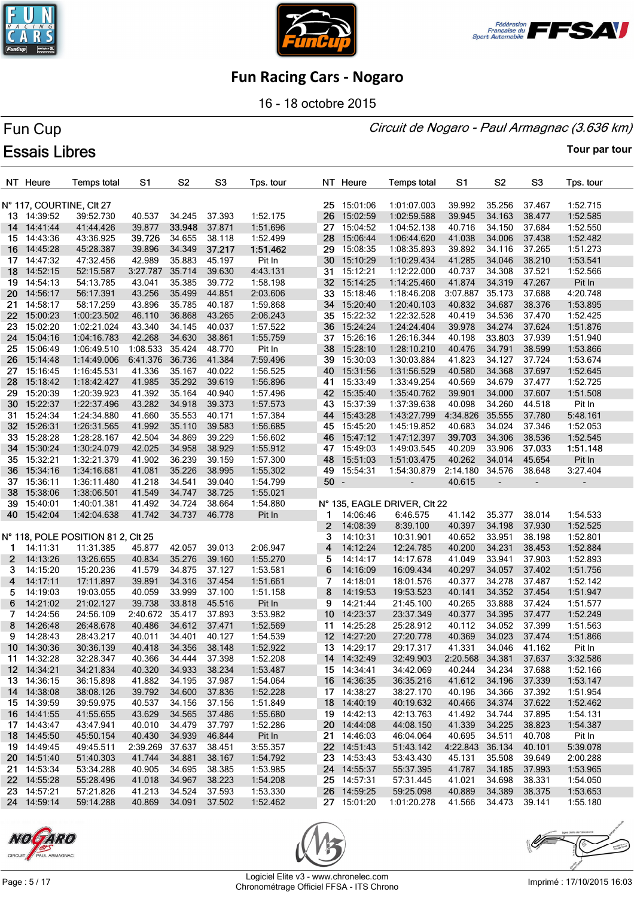





16 - 18 octobre 2015

#### Circuit de Nogaro - Paul Armagnac (3.636 km)

# Fun Cup **Essais Libres**

|              | NT Heure                 | <b>Temps total</b>                 | S <sub>1</sub>   | S <sub>2</sub> | S <sub>3</sub> | Tps. tour |              | NT Heure    | <b>Temps total</b>           | S1              | S <sub>2</sub>           | S <sub>3</sub> | Tps. tour                |
|--------------|--------------------------|------------------------------------|------------------|----------------|----------------|-----------|--------------|-------------|------------------------------|-----------------|--------------------------|----------------|--------------------------|
|              | N° 117, COURTINE, CIt 27 |                                    |                  |                |                |           |              | 25 15:01:06 | 1:01:07.003                  | 39.992          | 35.256                   | 37.467         | 1:52.715                 |
|              | 13 14:39:52              | 39:52.730                          | 40.537           | 34.245         | 37.393         | 1:52.175  | 26           | 15:02:59    | 1:02:59.588                  | 39.945          | 34.163                   | 38.477         | 1:52.585                 |
|              | 14 14:41:44              | 41:44.426                          | 39.877           | 33.948         | 37.871         | 1:51.696  |              | 27 15:04:52 | 1:04:52.138                  | 40.716          | 34.150                   | 37.684         | 1:52.550                 |
| 15           | 14:43:36                 | 43:36.925                          | 39.726           | 34.655         | 38.118         | 1:52.499  | 28           | 15:06:44    | 1:06:44.620                  | 41.038          | 34.006                   | 37.438         | 1:52.482                 |
| 16           | 14:45:28                 | 45:28.387                          | 39.896           | 34.349         | 37.217         | 1:51.462  | 29           | 15:08:35    | 1:08:35.893                  | 39.892          | 34.116                   | 37.265         | 1:51.273                 |
|              | 17 14:47:32              | 47:32.456                          | 42.989           | 35.883         | 45.197         | Pit In    |              | 30 15:10:29 | 1:10:29.434                  | 41.285          | 34.046                   | 38.210         | 1:53.541                 |
| 18           | 14:52:15                 | 52:15.587                          | 3:27.787         | 35.714         | 39.630         | 4:43.131  |              | 31 15:12:21 | 1:12:22.000                  | 40.737          | 34.308                   | 37.521         | 1:52.566                 |
| 19           | 14:54:13                 | 54:13.785                          | 43.041           | 35.385         | 39.772         | 1:58.198  |              | 32 15:14:25 | 1:14:25.460                  | 41.874          | 34.319                   | 47.267         | Pit In                   |
| 20           | 14:56:17                 | 56:17.391                          | 43.256           | 35.499         | 44.851         | 2:03.606  |              | 33 15:18:46 | 1:18:46.208                  | 3:07.887        | 35.173                   | 37.688         | 4:20.748                 |
| 21.          | 14:58:17                 | 58:17.259                          | 43.896           | 35.785         | 40.187         | 1:59.868  |              | 34 15:20:40 | 1:20:40.103                  | 40.832          | 34.687                   | 38.376         | 1:53.895                 |
| 22           | 15:00:23                 | 1:00:23.502                        | 46.110           | 36.868         | 43.265         | 2:06.243  |              | 35 15:22:32 | 1:22:32.528                  | 40.419          | 34.536                   | 37.470         | 1:52.425                 |
| 23           | 15:02:20                 | 1:02:21.024                        | 43.340           | 34.145         | 40.037         | 1:57.522  |              | 36 15:24:24 | 1:24:24.404                  | 39.978          | 34.274                   | 37.624         | 1:51.876                 |
| 24           | 15:04:16                 | 1:04:16.783                        | 42.268           | 34.630         | 38.861         | 1:55.759  |              | 37 15:26:16 | 1:26:16.344                  | 40.198          | 33.803                   | 37.939         | 1:51.940                 |
| 25           | 15:06:49                 | 1:06:49.510                        | 1:08.533         | 35.424         | 48.770         | Pit In    |              | 38 15:28:10 | 1:28:10.210                  | 40.476          | 34.791                   | 38.599         | 1:53.866                 |
| 26           | 15:14:48                 | 1:14:49.006                        | 6:41.376         | 36.736         | 41.384         | 7:59.496  | 39           | 15:30:03    | 1:30:03.884                  | 41.823          | 34.127                   | 37.724         | 1:53.674                 |
| 27           | 15:16:45                 | 1:16:45.531                        | 41.336           | 35.167         | 40.022         | 1:56.525  |              | 40 15:31:56 | 1:31:56.529                  | 40.580          | 34.368                   | 37.697         | 1:52.645                 |
|              | 28 15:18:42              | 1:18:42.427                        | 41.985           | 35.292         | 39.619         | 1:56.896  |              | 41 15:33:49 | 1:33:49.254                  | 40.569          | 34.679                   | 37.477         | 1:52.725                 |
|              | 29 15:20:39              | 1:20:39.923                        | 41.392           | 35.164         | 40.940         | 1:57.496  |              | 42 15:35:40 | 1:35:40.762                  | 39.901          | 34.000                   | 37.607         | 1:51.508                 |
| 30           | 15:22:37                 | 1:22:37.496                        | 43.282           | 34.918         | 39.373         | 1:57.573  | 43           | 15:37:39    | 1:37:39.638                  | 40.098          | 34.260                   | 44.518         | Pit In                   |
|              | 31 15:24:34              | 1:24:34.880                        | 41.660           | 35.553         | 40.171         | 1:57.384  |              | 44 15:43:28 | 1:43:27.799                  | 4:34.826        | 35.555                   | 37.780         | 5:48.161                 |
|              | 32 15:26:31              | 1:26:31.565                        | 41.992           | 35.110         | 39.583         | 1:56.685  |              | 45 15:45:20 | 1:45:19.852                  | 40.683          | 34.024                   | 37.346         | 1:52.053                 |
| 33           | 15:28:28                 | 1:28:28.167                        | 42.504           | 34.869         | 39.229         | 1:56.602  | 46           | 15:47:12    | 1:47:12.397                  | 39.703          | 34.306                   | 38.536         | 1:52.545                 |
|              | 34 15:30:24              | 1:30:24.079                        | 42.025           | 34.958         | 38.929         | 1:55.912  |              | 47 15:49:03 | 1:49:03.545                  | 40.209          | 33.906                   | 37.033         | 1:51.148                 |
|              | 35 15:32:21              | 1:32:21.379                        | 41.902           | 36.239         | 39.159         | 1:57.300  | 48           | 15:51:03    | 1:51:03.475                  | 40.262          | 34.014                   | 45.654         | Pit In                   |
|              | 36 15:34:16              | 1:34:16.681                        | 41.081           | 35.226         | 38.995         | 1:55.302  | 49           | 15:54:31    | 1:54:30.879                  | 2:14.180        | 34.576                   | 38.648         | 3:27.404                 |
| 37           | 15:36:11                 | 1:36:11.480                        | 41.218           | 34.541         | 39.040         | 1:54.799  | $50 -$       |             | $\overline{\phantom{a}}$     | 40.615          | $\overline{\phantom{a}}$ |                | $\overline{\phantom{a}}$ |
| 38           | 15:38:06                 | 1:38:06.501                        | 41.549           | 34.747         | 38.725         | 1:55.021  |              |             |                              |                 |                          |                |                          |
|              | 39 15:40:01              | 1:40:01.381                        | 41.492           | 34.724         | 38.664         | 1:54.880  |              |             | N° 135, EAGLE DRIVER, CIt 22 |                 |                          |                |                          |
| 40           | 15:42:04                 | 1:42:04.638                        | 41.742           | 34.737         | 46.778         | Pit In    | 1            | 14:06:46    | 6:46.575                     | 41.142          | 35.377                   | 38.014         | 1:54.533                 |
|              |                          |                                    |                  |                |                |           | $\mathbf{2}$ | 14:08:39    | 8:39.100                     | 40.397          | 34.198                   | 37.930         | 1:52.525                 |
|              |                          | N° 118, POLE POSITION 81 2, CIt 25 |                  |                |                |           | 3            | 14:10:31    | 10:31.901                    | 40.652          | 33.951                   | 38.198         | 1:52.801                 |
| $\mathbf 1$  | 14:11:31                 | 11:31.385                          | 45.877           | 42.057         | 39.013         | 2:06.947  | 4            | 14:12:24    | 12:24.785                    | 40.200          | 34.231                   | 38.453         | 1:52.884                 |
| $\mathbf{2}$ | 14:13:26                 | 13:26.655                          | 40.834           | 35.276         | 39.160         | 1:55.270  | 5            | 14:14:17    | 14:17.678                    | 41.049          | 33.941                   | 37.903         | 1:52.893                 |
| 3            | 14:15:20                 | 15:20.236                          | 41.579           | 34.875         | 37.127         | 1:53.581  | 6            | 14:16:09    | 16:09.434                    | 40.297          | 34.057                   | 37.402         | 1:51.756                 |
| 4            | 14:17:11                 | 17:11.897                          | 39.891           | 34.316         | 37.454         | 1:51.661  | 7            | 14:18:01    | 18:01.576                    | 40.377          | 34.278                   | 37.487         | 1:52.142                 |
| 5.           | 14:19:03                 | 19:03.055                          | 40.059           | 33.999         | 37.100         | 1:51.158  | 8            | 14:19:53    | 19:53.523                    | 40.141          | 34.352                   | 37.454         | 1:51.947                 |
| 6            | 14:21:02                 | 21:02.127                          | 39.738           | 33.818         | 45.516         | Pit In    | 9            | 14:21:44    | 21:45.100                    | 40.265          | 33.888                   | 37.424         | 1:51.577                 |
| 7            | 14:24:56                 | 24:56.109                          | 2:40.672         | 35.417         | 37.893         | 3:53.982  |              | 10 14:23:37 | 23:37.349                    | 40.377          | 34.395                   | 37.477         | 1:52.249                 |
| 8            | 14:26:48                 | 26:48.678                          | 40.486           | 34.612         | 37.471         | 1:52.569  |              | 11 14:25:28 | 25:28.912                    | 40.112          | 34.052                   | 37.399         | 1:51.563                 |
| 9            | 14:28:43                 | 28:43.217                          | 40.011           | 34.401         | 40.127         | 1:54.539  |              | 12 14:27:20 | 27:20.778                    | 40.369          | 34.023                   | 37.474         | 1:51.866                 |
|              | 10 14:30:36              | 30:36.139                          | 40.418           | 34.356 38.148  |                | 1:52.922  |              | 13 14:29:17 | 29:17.317                    | 41.331          | 34.046 41.162            |                | Pit In                   |
|              | 11 14:32:28              | 32:28.347                          | 40.366           | 34.444         | 37.398         | 1:52.208  |              | 14 14:32:49 | 32:49.903                    | 2:20.568 34.381 |                          | 37.637         | 3:32.586                 |
|              | 12 14:34:21              | 34:21.834                          | 40.320           | 34.933         | 38.234         | 1:53.487  |              | 15 14:34:41 | 34:42.069                    | 40.244          | 34.234                   | 37.688         | 1:52.166                 |
|              | 13 14:36:15              | 36:15.898                          | 41.882           | 34.195         | 37.987         | 1:54.064  |              | 16 14:36:35 | 36:35.216                    | 41.612          | 34.196                   | 37.339         | 1:53.147                 |
|              | 14 14:38:08              | 38:08.126                          | 39.792           | 34.600         | 37.836         | 1:52.228  |              | 17 14:38:27 | 38:27.170                    | 40.196          | 34.366                   | 37.392         | 1:51.954                 |
|              | 15 14:39:59              | 39:59.975                          | 40.537           | 34.156         | 37.156         | 1:51.849  |              | 18 14:40:19 | 40:19.632                    | 40.466          | 34.374                   | 37.622         | 1:52.462                 |
|              | 16 14:41:55              | 41:55.655                          | 43.629           | 34.565         | 37.486         | 1:55.680  |              | 19 14:42:13 | 42:13.763                    | 41.492          | 34.744                   | 37.895         | 1:54.131                 |
|              | 17 14:43:47              | 43:47.941                          | 40.010           | 34.479         | 37.797         | 1:52.286  |              | 20 14:44:08 | 44:08.150                    | 41.339          | 34.225                   | 38.823         | 1:54.387                 |
|              | 18 14:45:50              | 45:50.154                          | 40.430           | 34.939         | 46.844         | Pit In    |              | 21 14:46:03 | 46:04.064                    | 40.695          | 34.511                   | 40.708         | Pit In                   |
|              | 19 14:49:45              | 49:45.511                          | 2:39.269         | 37.637         | 38.451         | 3:55.357  |              | 22 14:51:43 | 51:43.142                    | 4:22.843 36.134 |                          | 40.101         | 5:39.078                 |
|              | 20 14:51:40              | 51:40.303                          | 41.744           | 34.881         | 38.167         | 1:54.792  |              | 23 14:53:43 | 53:43.430                    | 45.131          | 35.508                   | 39.649         | 2:00.288                 |
|              | 21 14:53:34              | 53:34.288                          | 40.905           | 34.695         | 38.385         | 1:53.985  |              | 24 14:55:37 | 55:37.395                    | 41.787          | 34.185                   | 37.993         | 1:53.965                 |
|              | 22 14:55:28              | 55:28.496                          | 41.018           | 34.967         | 38.223         | 1:54.208  |              | 25 14:57:31 | 57:31.445                    | 41.021          | 34.698                   | 38.331         | 1:54.050                 |
|              | 23 14:57:21              | 57:21.826                          | 41.213<br>40.869 | 34.524         | 37.593         | 1:53.330  |              | 26 14:59:25 | 59:25.098                    | 40.889          | 34.389                   | 38.375         | 1:53.653                 |
|              | 24 14:59:14              | 59:14.288                          |                  | 34.091 37.502  |                | 1:52.462  |              | 27 15:01:20 | 1:01:20.278                  | 41.566          | 34.473                   | 39.141         | 1:55.180                 |





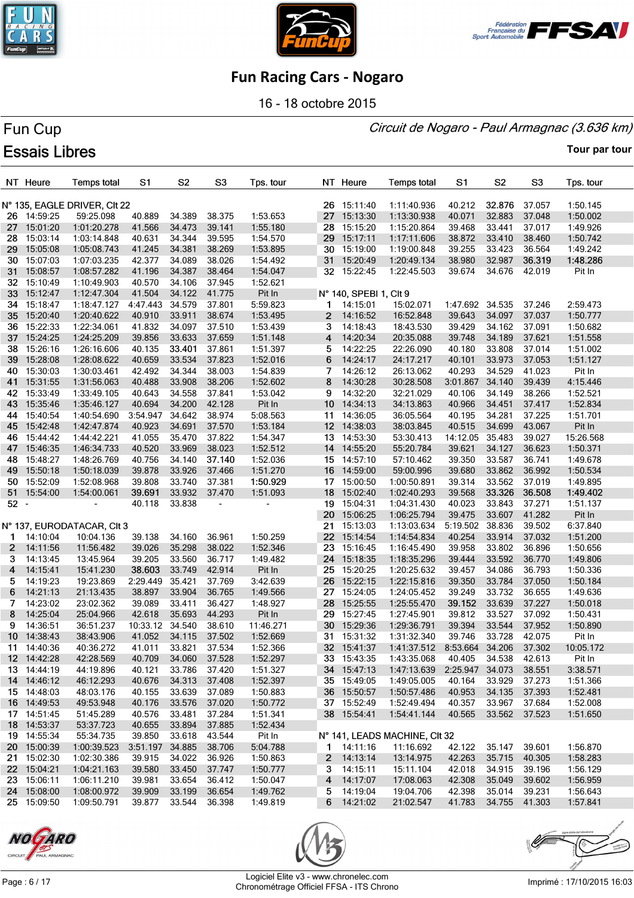





16 - 18 octobre 2015

#### Circuit de Nogaro - Paul Armagnac (3.636 km)

# Fun Cup **Essais Libres**

|                 | NT Heure    | <b>Temps total</b>           | S <sub>1</sub> | S <sub>2</sub> | S <sub>3</sub> | Tps. tour |                 | NT Heure               | <b>Temps total</b>            | S1                     | S <sub>2</sub> | S <sub>3</sub> | Tps. tour            |
|-----------------|-------------|------------------------------|----------------|----------------|----------------|-----------|-----------------|------------------------|-------------------------------|------------------------|----------------|----------------|----------------------|
|                 |             | N° 135, EAGLE DRIVER, CIt 22 |                |                |                |           |                 | 26 15:11:40            | 1:11:40.936                   | 40.212                 | 32.876         | 37.057         | 1:50.145             |
|                 | 26 14:59:25 | 59:25.098                    | 40.889         | 34.389         | 38.375         | 1:53.653  |                 | 27 15:13:30            | 1:13:30.938                   | 40.071                 | 32.883         | 37.048         | 1:50.002             |
|                 | 27 15:01:20 | 1:01:20.278                  | 41.566         | 34.473         | 39.141         | 1:55.180  | 28              | 15:15:20               | 1:15:20.864                   | 39.468                 | 33.441         | 37.017         | 1:49.926             |
| 28              | 15:03:14    | 1:03:14.848                  | 40.631         | 34.344         | 39.595         | 1:54.570  | 29              | 15:17:11               | 1:17:11.606                   | 38.872                 | 33.410         | 38.460         | 1:50.742             |
| 29              | 15:05:08    | 1:05:08.743                  | 41.245         | 34.381         | 38.269         | 1:53.895  | 30              | 15:19:00               | 1:19:00.848                   | 39.255                 | 33.423         | 36.564         | 1:49.242             |
|                 | 30 15:07:03 | 1:07:03.235                  | 42.377         | 34.089         | 38.026         | 1:54.492  |                 | 31 15:20:49            | 1:20:49.134                   | 38.980                 | 32.987         | 36.319         | 1:48.286             |
| 31              | 15:08:57    | 1:08:57.282                  | 41.196         | 34.387         | 38.464         | 1:54.047  |                 | 32 15:22:45            | 1:22:45.503                   | 39.674                 | 34.676         | 42.019         | Pit In               |
| 32 <sub>2</sub> | 15:10:49    | 1:10:49.903                  | 40.570         | 34.106         | 37.945         | 1:52.621  |                 |                        |                               |                        |                |                |                      |
|                 | 33 15:12:47 | 1:12:47.304                  | 41.504         | 34.122         | 41.775         | Pit In    |                 | N° 140, SPEBI 1, CIt 9 |                               |                        |                |                |                      |
|                 | 34 15:18:47 | 1:18:47.127                  | 4:47.443       | 34.579         | 37.801         | 5:59.823  |                 | 1 14:15:01             | 15:02.071                     | 1:47.692 34.535        |                | 37.246         | 2:59.473             |
| 35              | 15:20:40    | 1:20:40.622                  | 40.910         | 33.911         | 38.674         | 1:53.495  | $\mathbf{2}$    | 14:16:52               | 16:52.848                     | 39.643                 | 34.097         | 37.037         | 1:50.777             |
| 36.             | 15:22:33    | 1:22:34.061                  | 41.832         | 34.097         | 37.510         | 1:53.439  | 3               | 14:18:43               | 18:43.530                     | 39.429                 | 34.162         | 37.091         | 1:50.682             |
| 37              | 15:24:25    | 1:24:25.209                  | 39.856         | 33.633         | 37.659         | 1:51.148  | 4               | 14:20:34               | 20:35.088                     | 39.748                 | 34.189         | 37.621         |                      |
|                 | 38 15:26:16 | 1:26:16.606                  | 40.135         | 33.401         | 37.861         | 1:51.397  | 5               | 14:22:25               | 22:26.090                     | 40.180                 | 33.808         | 37.014         | 1:51.558<br>1:51.002 |
| 39              | 15:28:08    | 1:28:08.622                  | 40.659         | 33.534         | 37.823         | 1:52.016  | 6               | 14:24:17               | 24:17.217                     | 40.101                 | 33.973         | 37.053         | 1:51.127             |
|                 |             |                              |                |                |                |           |                 |                        |                               |                        |                |                |                      |
| 40              | 15:30:03    | 1:30:03.461                  | 42.492         | 34.344         | 38.003         | 1:54.839  | 7               | 14:26:12               | 26:13.062                     | 40.293                 | 34.529         | 41.023         | Pit In               |
|                 | 41 15:31:55 | 1:31:56.063                  | 40.488         | 33.908         | 38.206         | 1:52.602  | 8               | 14:30:28               | 30:28.508                     | 3:01.867               | 34.140         | 39.439         | 4:15.446             |
|                 | 42 15:33:49 | 1:33:49.105                  | 40.643         | 34.558         | 37.841         | 1:53.042  | 9               | 14:32:20               | 32:21.029                     | 40.106                 | 34.149         | 38.266         | 1:52.521             |
| 43              | 15:35:46    | 1:35:46.127                  | 40.694         | 34.200         | 42.128         | Pit In    | 10 <sup>°</sup> | 14:34:13               | 34:13.863                     | 40.966                 | 34.451         | 37.417         | 1:52.834             |
| 44              | 15:40:54    | 1:40:54.690                  | 3:54.947       | 34.642         | 38.974         | 5:08.563  |                 | 11 14:36:05            | 36:05.564                     | 40.195                 | 34.281         | 37.225         | 1:51.701             |
|                 | 45 15:42:48 | 1:42:47.874                  | 40.923         | 34.691         | 37.570         | 1:53.184  |                 | 12 14:38:03            | 38:03.845                     | 40.515                 | 34.699         | 43.067         | Pit In               |
| 46.             | 15:44:42    | 1:44:42.221                  | 41.055         | 35.470         | 37.822         | 1:54.347  |                 | 13 14:53:30            | 53:30.413                     | 14:12.05 35.483        |                | 39.027         | 15:26.568            |
| 47              | 15:46:35    | 1:46:34.733                  | 40.520         | 33.969         | 38.023         | 1:52.512  |                 | 14 14:55:20            | 55:20.784                     | 39.621                 | 34.127         | 36.623         | 1:50.371             |
|                 | 48 15:48:27 | 1:48:26.769                  | 40.756         | 34.140         | 37.140         | 1:52.036  |                 | 15 14:57:10            | 57:10.462                     | 39.350                 | 33.587         | 36.741         | 1:49.678             |
|                 | 49 15:50:18 | 1:50:18.039                  | 39.878         | 33.926         | 37.466         | 1:51.270  |                 | 16 14:59:00            | 59:00.996                     | 39.680                 | 33.862         | 36.992         | 1:50.534             |
|                 | 50 15:52:09 | 1:52:08.968                  | 39.808         | 33.740         | 37.381         | 1:50.929  |                 | 17 15:00:50            | 1:00:50.891                   | 39.314                 | 33.562         | 37.019         | 1:49.895             |
|                 | 51 15:54:00 | 1:54:00.061                  | 39.691         | 33.932         | 37.470         | 1:51.093  |                 | 18 15:02:40            | 1:02:40.293                   | 39.568                 | 33.326         | 36.508         | 1:49.402             |
| $52 -$          |             |                              | 40.118         | 33.838         |                |           |                 | 19 15:04:31            | 1:04:31.430                   | 40.023                 | 33.843         | 37.271         | 1:51.137             |
|                 |             |                              |                |                |                |           | 20              | 15:06:25               | 1:06:25.794                   | 39.475                 | 33.607         | 41.282         | Pit In               |
|                 |             | N° 137, EURODATACAR, CIt 3   |                |                |                |           | 21              | 15:13:03               | 1:13:03.634                   | 5:19.502               | 38.836         | 39.502         | 6:37.840             |
| 1               | 14:10:04    | 10:04.136                    | 39.138         | 34.160         | 36.961         | 1:50.259  |                 | 22 15:14:54            | 1:14:54.834                   | 40.254                 | 33.914         | 37.032         | 1:51.200             |
| $\mathbf{2}$    | 14:11:56    | 11:56.482                    | 39.026         | 35.298         | 38.022         | 1:52.346  | 23              | 15:16:45               | 1:16:45.490                   | 39.958                 | 33.802         | 36.896         | 1:50.656             |
| 3.              | 14:13:45    | 13:45.964                    | 39.205         | 33.560         | 36.717         | 1:49.482  | 24              | 15:18:35               | 1:18:35.296                   | 39.444                 | 33.592         | 36.770         | 1:49.806             |
| 4               | 14:15:41    | 15:41.230                    | 38.603         | 33.749         | 42.914         | Pit In    | 25              | 15:20:25               | 1:20:25.632                   | 39.457                 | 34.086         | 36.793         | 1:50.336             |
| 5               | 14:19:23    | 19:23.869                    | 2:29.449       | 35.421         | 37.769         | 3:42.639  | 26              | 15:22:15               | 1:22:15.816                   | 39.350                 | 33.784         | 37.050         | 1:50.184             |
| 6               | 14:21:13    | 21:13.435                    | 38.897         | 33.904         | 36.765         | 1:49.566  | 27              | 15:24:05               | 1:24:05.452                   | 39.249                 | 33.732         | 36.655         | 1:49.636             |
| 7               | 14:23:02    | 23:02.362                    | 39.089         | 33.411         | 36.427         | 1:48.927  | 28              | 15:25:55               | 1:25:55.470                   | 39.152                 | 33.639         | 37.227         | 1:50.018             |
| 8               | 14:25:04    | 25:04.966                    | 42.618         | 35.693         | 44.293         | Pit In    | 29              | 15:27:45               | 1:27:45.901                   | 39.812                 | 33.527         | 37.092         | 1:50.431             |
| 9               | 14:36:51    | 36:51.237                    | 10:33.12       | 34.540         | 38.610         | 11:46.271 | 30              | 15:29:36               | 1:29:36.791                   | 39.394                 | 33.544         | 37.952         | 1:50.890             |
|                 | 10 14:38:43 | 38:43.906                    | 41.052         | 34.115         | 37.502         | 1:52.669  |                 | 31 15:31:32            | 1:31:32.340                   | 39.746                 | 33.728         | 42.075         | Pit In               |
|                 | 11 14:40:36 | 40:36.272                    | 41.011         | 33.821 37.534  |                | 1:52.366  |                 | 32 15:41:37            | 1:41:37.512                   | 8:53.664 34.206 37.302 |                |                | 10:05.172            |
|                 | 12 14:42:28 | 42:28.569                    | 40.709         | 34.060 37.528  |                | 1:52.297  |                 | 33 15:43:35            | 1:43:35.068                   | 40.405                 | 34.538 42.613  |                | Pit In               |
|                 | 13 14:44:19 | 44:19.896                    | 40.121         | 33.786         | 37.420         | 1:51.327  |                 | 34 15:47:13            | 1:47:13.639  2:25.947  34.073 |                        |                | 38.551         | 3:38.571             |
|                 | 14 14:46:12 | 46:12.293                    | 40.676         | 34.313         | 37.408         | 1:52.397  |                 | 35 15:49:05            | 1:49:05.005                   | 40.164                 | 33.929         | 37.273         | 1:51.366             |
|                 | 15 14:48:03 | 48:03.176                    | 40.155         | 33.639         | 37.089         | 1:50.883  |                 | 36 15:50:57            | 1:50:57.486                   | 40.953                 | 34.135         | 37.393         | 1:52.481             |
|                 | 16 14:49:53 | 49:53.948                    | 40.176         | 33.576         | 37.020         | 1:50.772  |                 | 37 15:52:49            | 1:52:49.494                   | 40.357                 | 33.967         | 37.684         | 1:52.008             |
|                 | 17 14:51:45 | 51:45.289                    | 40.576         | 33.481         | 37.284         | 1:51.341  |                 | 38 15:54:41            | 1:54:41.144                   | 40.565                 | 33.562 37.523  |                | 1:51.650             |
|                 | 18 14:53:37 | 53:37.723                    | 40.655         | 33.894         | 37.885         | 1:52.434  |                 |                        |                               |                        |                |                |                      |
|                 | 19 14:55:34 | 55:34.735                    | 39.850         | 33.618         | 43.544         | Pit In    |                 |                        | N° 141, LEADS MACHINE, CIt 32 |                        |                |                |                      |
|                 | 20 15:00:39 | 1:00:39.523                  | 3:51.197       | 34.885         | 38.706         | 5:04.788  |                 | 1 14:11:16             | 11:16.692                     | 42.122                 | 35.147         | 39.601         | 1:56.870             |
|                 | 21 15:02:30 | 1:02:30.386                  | 39.915         | 34.022         | 36.926         | 1:50.863  |                 | $2$ 14:13:14           | 13:14.975                     | 42.263                 | 35.715 40.305  |                | 1:58.283             |
|                 | 22 15:04:21 | 1:04:21.163                  | 39.580         | 33.450         | 37.747         | 1:50.777  | 3               | 14:15:11               | 15:11.104                     | 42.018                 | 34.915         | 39.196         | 1:56.129             |
|                 | 23 15:06:11 | 1:06:11.210                  | 39.981         | 33.654         | 36.412         | 1:50.047  |                 | 4 14:17:07             | 17:08.063                     | 42.308                 | 35.049         | 39.602         | 1:56.959             |
|                 | 24 15:08:00 | 1:08:00.972                  | 39.909         | 33.199         | 36.654         | 1:49.762  |                 | 5 14:19:04             | 19:04.706                     | 42.398                 | 35.014         | 39.231         | 1:56.643             |
|                 | 25 15:09:50 | 1:09:50.791                  | 39.877         | 33.544         | 36.398         | 1:49.819  |                 | 6 14:21:02             | 21:02.547                     | 41.783                 | 34.755 41.303  |                | 1:57.841             |
|                 |             |                              |                |                |                |           |                 |                        |                               |                        |                |                |                      |





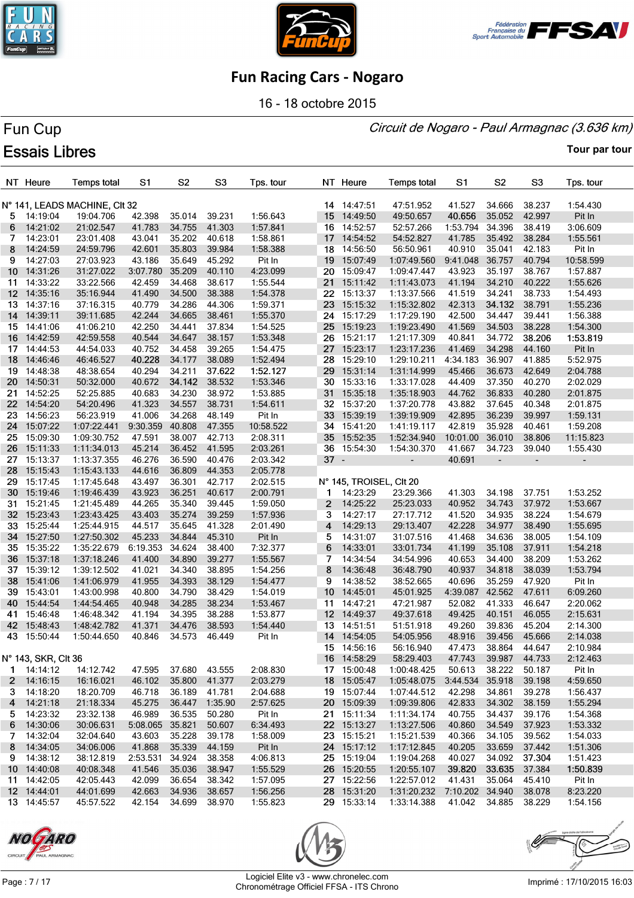





16 - 18 octobre 2015

#### Circuit de Nogaro - Paul Armagnac (3.636 km)

# Fun Cup **Essais Libres**

|                  | NT Heure            | <b>Temps total</b>            | S1       | S <sub>2</sub> | S <sub>3</sub> | Tps. tour |                 | NT Heure                | <b>Temps total</b>          | S1            | S <sub>2</sub>           | S3     | Tps. tour |
|------------------|---------------------|-------------------------------|----------|----------------|----------------|-----------|-----------------|-------------------------|-----------------------------|---------------|--------------------------|--------|-----------|
|                  |                     | N° 141, LEADS MACHINE, CIt 32 |          |                |                |           |                 | 14 14:47:51             | 47:51.952                   | 41.527        | 34.666                   | 38.237 | 1:54.430  |
| 5.               | 14:19:04            | 19:04.706                     | 42.398   | 35.014         | 39.231         | 1:56.643  |                 | 15 14:49:50             | 49:50.657                   | 40.656        | 35.052                   | 42.997 | Pit In    |
| 6                | 14:21:02            | 21:02.547                     | 41.783   | 34.755         | 41.303         | 1:57.841  |                 | 16 14:52:57             | 52:57.266                   | 1:53.794      | 34.396                   | 38.419 | 3:06.609  |
| 7                | 14:23:01            | 23:01.408                     | 43.041   | 35.202         | 40.618         | 1:58.861  |                 | 17 14:54:52             | 54:52.827                   | 41.785        | 35.492                   | 38.284 | 1:55.561  |
|                  |                     |                               |          |                | 39.984         |           |                 |                         |                             | 40.910        | 35.041                   | 42.183 |           |
| 8                | 14:24:59            | 24:59.796                     | 42.601   | 35.803         |                | 1:58.388  |                 | 18 14:56:50             | 56:50.961                   |               |                          |        | Pit In    |
| 9                | 14:27:03            | 27:03.923                     | 43.186   | 35.649         | 45.292         | Pit In    |                 | 19 15:07:49             | 1:07:49.560                 | 9:41.048      | 36.757                   | 40.794 | 10:58.599 |
| 10               | 14:31:26            | 31:27.022                     | 3:07.780 | 35.209         | 40.110         | 4:23.099  | 20              | 15:09:47                | 1:09:47.447                 | 43.923        | 35.197                   | 38.767 | 1:57.887  |
| 11               | 14:33:22            | 33:22.566                     | 42.459   | 34.468         | 38.617         | 1:55.544  | 21              | 15:11:42                | 1:11:43.073                 | 41.194        | 34.210                   | 40.222 | 1:55.626  |
| 12 <sup>12</sup> | 14:35:16            | 35:16.944                     | 41.490   | 34.500         | 38.388         | 1:54.378  | $22 \,$         | 15:13:37                | 1:13:37.566                 | 41.519        | 34.241                   | 38.733 | 1:54.493  |
| 13.              | 14:37:16            | 37:16.315                     | 40.779   | 34.286         | 44.306         | 1:59.371  | 23              | 15:15:32                | 1:15:32.802                 | 42.313        | 34.132                   | 38.791 | 1:55.236  |
| 14               | 14:39:11            | 39:11.685                     | 42.244   | 34.665         | 38.461         | 1:55.370  | 24              | 15:17:29                | 1:17:29.190                 | 42.500        | 34.447                   | 39.441 | 1:56.388  |
| 15.              | 14:41:06            | 41:06.210                     | 42.250   | 34.441         | 37.834         | 1:54.525  | 25 <sub>1</sub> | 15:19:23                | 1:19:23.490                 | 41.569        | 34.503                   | 38.228 | 1:54.300  |
| 16               | 14:42:59            | 42:59.558                     | 40.544   | 34.647         | 38.157         | 1:53.348  | 26              | 15:21:17                | 1:21:17.309                 | 40.841        | 34.772                   | 38.206 | 1:53.819  |
| 17               | 14:44:53            | 44:54.033                     | 40.752   | 34.458         | 39.265         | 1:54.475  | 27              | 15:23:17                | 1:23:17.236                 | 41.469        | 34.298                   | 44.160 | Pit In    |
| 18               | 14:46:46            | 46:46.527                     | 40.228   | 34.177         | 38.089         | 1:52.494  | 28              | 15:29:10                | 1:29:10.211                 | 4:34.183      | 36.907                   | 41.885 | 5:52.975  |
| 19 -             | 14:48:38            | 48:38.654                     | 40.294   | 34.211         | 37.622         | 1:52.127  | 29              | 15:31:14                | 1:31:14.999                 | 45.466        | 36.673                   | 42.649 | 2:04.788  |
| 20 -             | 14:50:31            | 50:32.000                     | 40.672   | 34.142         | 38.532         | 1:53.346  |                 | 30 15:33:16             | 1:33:17.028                 | 44.409        | 37.350                   | 40.270 | 2:02.029  |
| 21.              | 14:52:25            | 52:25.885                     | 40.683   | 34.230         | 38.972         | 1:53.885  | 31              | 15:35:18                | 1:35:18.903                 | 44.762        | 36.833                   | 40.280 | 2:01.875  |
|                  | 22 14:54:20         | 54:20.496                     | 41.323   | 34.557         | 38.731         | 1:54.611  |                 | 32 15:37:20             | 1:37:20.778                 | 43.882        | 37.645                   | 40.348 | 2:01.875  |
| 23               | 14:56:23            | 56:23.919                     | 41.006   | 34.268         | 48.149         | Pit In    | 33              | 15:39:19                | 1:39:19.909                 | 42.895        | 36.239                   | 39.997 | 1:59.131  |
| 24 -             | 15:07:22            | 1:07:22.441                   | 9:30.359 | 40.808         | 47.355         | 10:58.522 | 34              | 15:41:20                | 1:41:19.117                 | 42.819        | 35.928                   | 40.461 | 1:59.208  |
| 25               | 15:09:30            | 1:09:30.752                   | 47.591   | 38.007         | 42.713         | 2:08.311  | 35              | 15:52:35                | 1:52:34.940                 | 10:01.00      | 36.010                   | 38.806 | 11:15.823 |
| 26               | 15:11:33            | 1:11:34.013                   | 45.214   | 36.452         | 41.595         | 2:03.261  |                 | 36 15:54:30             | 1:54:30.370                 | 41.667        | 34.723                   | 39.040 | 1:55.430  |
| 27               | 15:13:37            | 1:13:37.355                   | 46.276   | 36.590         | 40.476         | 2:03.342  | $37 -$          |                         | $\overline{\phantom{m}}$    | 40.691        | $\overline{\phantom{a}}$ |        |           |
| 28.              | 15:15:43            | 1:15:43.133                   | 44.616   | 36.809         | 44.353         | 2:05.778  |                 |                         |                             |               |                          |        |           |
| 29               | 15:17:45            | 1:17:45.648                   | 43.497   | 36.301         | 42.717         | 2:02.515  |                 | N° 145, TROISEL, CIt 20 |                             |               |                          |        |           |
| 30               | 15:19:46            | 1:19:46.439                   | 43.923   | 36.251         | 40.617         | 2:00.791  | 1               | 14:23:29                | 23:29.366                   | 41.303        | 34.198                   | 37.751 | 1:53.252  |
| 31               | 15:21:45            | 1:21:45.489                   | 44.265   | 35.340         | 39.445         | 1:59.050  | $\mathbf{2}$    | 14:25:22                | 25:23.033                   | 40.952        | 34.743                   | 37.972 | 1:53.667  |
| 32               | 15:23:43            | 1:23:43.425                   | 43.403   | 35.274         | 39.259         | 1:57.936  | 3               | 14:27:17                | 27:17.712                   | 41.520        | 34.935                   | 38.224 | 1:54.679  |
| 33.              | 15:25:44            | 1:25:44.915                   | 44.517   | 35.645         | 41.328         | 2:01.490  | 4               | 14:29:13                | 29:13.407                   | 42.228        | 34.977                   | 38.490 | 1:55.695  |
| 34               | 15:27:50            | 1:27:50.302                   | 45.233   | 34.844         | 45.310         |           | 5               | 14:31:07                | 31:07.516                   | 41.468        | 34.636                   | 38.005 |           |
|                  |                     |                               |          | 34.624         | 38.400         | Pit In    |                 |                         |                             |               | 35.108                   |        | 1:54.109  |
| 35               | 15:35:22            | 1:35:22.679                   | 6:19.353 |                |                | 7:32.377  | 6               | 14:33:01                | 33:01.734                   | 41.199        |                          | 37.911 | 1:54.218  |
| 36               | 15:37:18            | 1:37:18.246                   | 41.400   | 34.890         | 39.277         | 1:55.567  | 7               | 14:34:54                | 34:54.996                   | 40.653        | 34.400                   | 38.209 | 1:53.262  |
| 37               | 15:39:12            | 1:39:12.502                   | 41.021   | 34.340         | 38.895         | 1:54.256  | 8               | 14:36:48                | 36:48.790                   | 40.937        | 34.818                   | 38.039 | 1:53.794  |
| 38               | 15:41:06            | 1:41:06.979                   | 41.955   | 34.393         | 38.129         | 1:54.477  | 9               | 14:38:52                | 38:52.665                   | 40.696        | 35.259                   | 47.920 | Pit In    |
| 39               | 15:43:01            | 1:43:00.998                   | 40.800   | 34.790         | 38.429         | 1:54.019  | 10              | 14:45:01                | 45:01.925                   | 4:39.087      | 42.562                   | 47.611 | 6:09.260  |
| 40               | 15:44:54            | 1:44:54.465                   | 40.948   | 34.285         | 38.234         | 1:53.467  | 11              | 14:47:21                | 47:21.987                   | 52.082        | 41.333                   | 46.647 | 2:20.062  |
| 41               | 15:46:48            | 1:46:48.342                   | 41.194   | 34.395         | 38.288         | 1:53.877  | 12 <sup>2</sup> | 14:49:37                | 49:37.618                   | 49.425        | 40.151                   | 46.055 | 2:15.631  |
| 42               | 15:48:43            | 1:48:42.782                   | 41.371   | 34.476         | 38.593         | 1:54.440  |                 | 13 14:51:51             | 51:51.918                   | 49.260        | 39.836                   | 45.204 | 2:14.300  |
|                  | 43 15:50:44         | 1:50:44.650                   | 40.846   | 34.573         | 46.449         | Pit In    |                 | 14 14:54:05             | 54:05.956                   | 48.916        | 39.456                   | 45.666 | 2:14.038  |
|                  |                     |                               |          |                |                |           |                 | 15 14:56:16             | 56:16.940                   | 47.473        | 38.864                   | 44.647 | 2:10.984  |
|                  | N° 143, SKR, Clt 36 |                               |          |                |                |           |                 | 16 14:58:29             | 58:29.403                   | 47.743        | 39.987                   | 44.733 | 2:12.463  |
|                  | 1 14:14:12          | 14:12.742                     | 47.595   | 37.680         | 43.555         | 2:08.830  |                 | 17 15:00:48             | 1:00:48.425                 | 50.613        | 38.222                   | 50.187 | Pit In    |
|                  | 2 14:16:15          | 16:16.021                     | 46.102   | 35.800         | 41.377         | 2:03.279  |                 | 18 15:05:47             | 1:05:48.075                 | 3:44.534      | 35.918                   | 39.198 | 4:59.650  |
| З.               | 14:18:20            | 18:20.709                     | 46.718   | 36.189         | 41.781         | 2:04.688  |                 | 19 15:07:44             | 1:07:44.512                 | 42.298        | 34.861                   | 39.278 | 1:56.437  |
|                  | 4 14:21:18          | 21:18.334                     | 45.275   | 36.447         | 1:35.90        | 2:57.625  |                 | 20 15:09:39             | 1:09:39.806                 | 42.833        | 34.302                   | 38.159 | 1:55.294  |
|                  | 5 14:23:32          | 23:32.138                     | 46.989   | 36.535         | 50.280         | Pit In    |                 | 21 15:11:34             | 1:11:34.174                 | 40.755        | 34.437                   | 39.176 | 1:54.368  |
|                  | 6 14:30:06          | 30:06.631                     | 5:08.065 | 35.821         | 50.607         | 6:34.493  |                 | 22 15:13:27             | 1:13:27.506                 | 40.860        | 34.549                   | 37.923 | 1:53.332  |
| 7.               | 14:32:04            | 32:04.640                     | 43.603   | 35.228         | 39.178         | 1:58.009  |                 | 23 15:15:21             | 1:15:21.539                 | 40.366        | 34.105                   | 39.562 | 1:54.033  |
|                  | 8 14:34:05          | 34:06.006                     | 41.868   | 35.339         | 44.159         | Pit In    |                 | 24 15:17:12             | 1:17:12.845                 | 40.205        | 33.659                   | 37.442 | 1:51.306  |
|                  | 9 14:38:12          | 38:12.819                     | 2:53.531 | 34.924         | 38.358         | 4:06.813  |                 | 25 15:19:04             | 1:19:04.268                 | 40.027        | 34.092                   | 37.304 | 1:51.423  |
|                  | 10 14:40:08         | 40:08.348                     | 41.546   | 35.036         | 38.947         | 1:55.529  |                 | 26 15:20:55             | 1:20:55.107                 | 39.820 33.635 |                          | 37.384 | 1:50.839  |
|                  | 11 14:42:05         | 42:05.443                     | 42.099   | 36.654         | 38.342         | 1:57.095  |                 | 27 15:22:56             | 1:22:57.012                 | 41.431        | 35.064                   | 45.410 | Pit In    |
|                  | 12 14:44:01         | 44:01.699                     | 42.663   | 34.936         | 38.657         | 1:56.256  |                 | 28 15:31:20             | 1:31:20.232 7:10.202 34.940 |               |                          | 38.078 | 8:23.220  |
|                  | 13 14:45:57         | 45:57.522                     | 42.154   | 34.699 38.970  |                | 1:55.823  |                 | 29 15:33:14             | 1:33:14.388                 | 41.042 34.885 |                          | 38.229 | 1:54.156  |





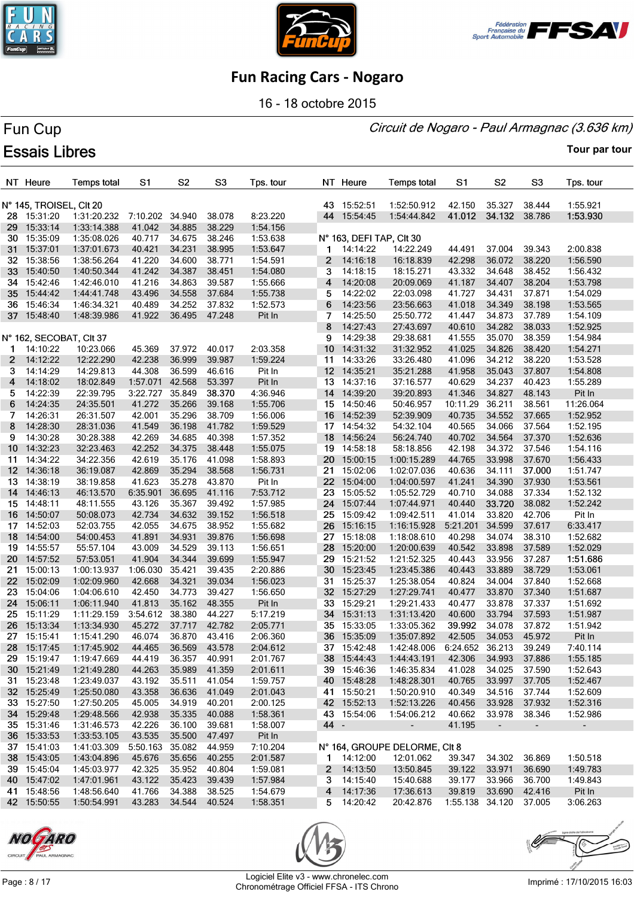





16 - 18 octobre 2015

#### Circuit de Nogaro - Paul Armagnac (3.636 km)

# Fun Cup **Essais Libres**

|                 | NT Heure                | <b>Temps total</b> | S1              | S <sub>2</sub>   | S <sub>3</sub> | Tps. tour |      | NT Heure                 | <b>Temps total</b>                  | S1       | S <sub>2</sub> | S <sub>3</sub>   | Tps. tour      |
|-----------------|-------------------------|--------------------|-----------------|------------------|----------------|-----------|------|--------------------------|-------------------------------------|----------|----------------|------------------|----------------|
|                 | N° 145, TROISEL, CIt 20 |                    |                 |                  |                |           |      | 43 15:52:51              | 1:52:50.912                         | 42.150   | 35.327         | 38.444           | 1:55.921       |
|                 | 28 15:31:20             | 1:31:20.232        | 7:10.202 34.940 |                  | 38.078         | 8:23.220  |      | 44 15:54:45              | 1:54:44.842                         | 41.012   | 34.132         | 38.786           | 1:53.930       |
|                 | 29 15:33:14             | 1:33:14.388        | 41.042          | 34.885           | 38.229         | 1:54.156  |      |                          |                                     |          |                |                  |                |
|                 | 30 15:35:09             | 1:35:08.026        | 40.717          | 34.675           | 38.246         | 1:53.638  |      | N° 163, DEFI TAP, CIt 30 |                                     |          |                |                  |                |
| 31.             | 15:37:01                | 1:37:01.673        | 40.421          | 34.231           | 38.995         | 1:53.647  | 1.   | 14:14:22                 | 14:22.249                           | 44.491   | 37.004         | 39.343           | 2:00.838       |
|                 | 32 15:38:56             | 1:38:56.264        | 41.220          | 34.600           | 38.771         | 1:54.591  | 2    | 14:16:18                 | 16:18.839                           | 42.298   | 36.072         | 38.220           | 1:56.590       |
| 33              | 15:40:50                | 1:40:50.344        | 41.242          | 34.387           | 38.451         | 1:54.080  | 3    | 14:18:15                 | 18:15.271                           | 43.332   | 34.648         | 38.452           | 1:56.432       |
| 34              | 15:42:46                | 1:42:46.010        | 41.216          | 34.863           | 39.587         | 1:55.666  | 4    | 14:20:08                 | 20:09.069                           | 41.187   | 34.407         | 38.204           | 1:53.798       |
| 35              | 15:44:42                | 1:44:41.748        | 43.496          | 34.558           | 37.684         | 1:55.738  | 5    | 14:22:02                 | 22:03.098                           | 41.727   | 34.431         | 37.871           | 1:54.029       |
|                 | 36 15:46:34             | 1:46:34.321        | 40.489          | 34.252           | 37.832         | 1:52.573  | 6    | 14:23:56                 | 23:56.663                           | 41.018   | 34.349         | 38.198           | 1:53.565       |
|                 | 37 15:48:40             | 1:48:39.986        | 41.922          | 36.495           | 47.248         | Pit In    | 7    | 14:25:50                 | 25:50.772                           | 41.447   | 34.873         | 37.789           | 1:54.109       |
|                 |                         |                    |                 |                  |                |           | 8    | 14:27:43                 | 27:43.697                           | 40.610   | 34.282         | 38.033           | 1:52.925       |
|                 | N° 162, SECOBAT, Clt 37 |                    |                 |                  |                |           | 9    | 14:29:38                 | 29:38.681                           | 41.555   | 35.070         | 38.359           | 1:54.984       |
| 1.              | 14:10:22                | 10:23.066          | 45.369          | 37.972           | 40.017         | 2:03.358  | 10   | 14:31:32                 | 31:32.952                           | 41.025   | 34.826         | 38.420           | 1:54.271       |
|                 | 14:12:22                | 12:22.290          | 42.238          | 36.999           | 39.987         | 1:59.224  | 11   | 14:33:26                 | 33:26.480                           | 41.096   | 34.212         | 38.220           | 1:53.528       |
| 2               |                         |                    |                 |                  |                |           |      |                          |                                     |          |                |                  |                |
| 3               | 14:14:29                | 14:29.813          | 44.308          | 36.599           | 46.616         | Pit In    |      | 12 14:35:21              | 35:21.288                           | 41.958   | 35.043         | 37.807<br>40.423 | 1:54.808       |
| 4               | 14:18:02                | 18:02.849          | 1:57.071        | 42.568           | 53.397         | Pit In    |      | 13 14:37:16              | 37:16.577                           | 40.629   | 34.237         |                  | 1:55.289       |
| 5.              | 14:22:39                | 22:39.795          | 3:22.727        | 35.849<br>35.266 | 38.370         | 4:36.946  |      | 14 14:39:20              | 39:20.893                           | 41.346   | 34.827         | 48.143           | Pit In         |
| 6               | 14:24:35                | 24:35.501          | 41.272          |                  | 39.168         | 1:55.706  | 15   | 14:50:46                 | 50:46.957                           | 10:11.29 | 36.211         | 38.561           | 11:26.064      |
| 7               | 14:26:31                | 26:31.507          | 42.001          | 35.296           | 38.709         | 1:56.006  | 16   | 14:52:39                 | 52:39.909                           | 40.735   | 34.552         | 37.665           | 1:52.952       |
| 8               | 14:28:30                | 28:31.036          | 41.549          | 36.198           | 41.782         | 1:59.529  |      | 17 14:54:32              | 54:32.104                           | 40.565   | 34.066         | 37.564           | 1:52.195       |
| 9               | 14:30:28                | 30:28.388          | 42.269          | 34.685           | 40.398         | 1:57.352  | 18   | 14:56:24                 | 56:24.740                           | 40.702   | 34.564         | 37.370           | 1:52.636       |
|                 | 10 14:32:23             | 32:23.463          | 42.252          | 34.375           | 38.448         | 1:55.075  | 19   | 14:58:18                 | 58:18.856                           | 42.198   | 34.372         | 37.546           | 1:54.116       |
| 11              | 14:34:22                | 34:22.356          | 42.619          | 35.176           | 41.098         | 1:58.893  | 20   | 15:00:15                 | 1:00:15.289                         | 44.765   | 33.998         | 37.670           | 1:56.433       |
|                 | 12 14:36:18             | 36:19.087          | 42.869          | 35.294           | 38.568         | 1:56.731  | 21   | 15:02:06                 | 1:02:07.036                         | 40.636   | 34.111         | 37.000           | 1:51.747       |
| 13.             | 14:38:19                | 38:19.858          | 41.623          | 35.278           | 43.870         | Pit In    | 22   | 15:04:00                 | 1:04:00.597                         | 41.241   | 34.390         | 37.930           | 1:53.561       |
|                 | 14 14:46:13             | 46:13.570          | 6:35.901        | 36.695           | 41.116         | 7:53.712  | 23   | 15:05:52                 | 1:05:52.729                         | 40.710   | 34.088         | 37.334           | 1:52.132       |
|                 | 15 14:48:11             | 48:11.555          | 43.126          | 35.367           | 39.492         | 1:57.985  |      | 24 15:07:44              | 1:07:44.971                         | 40.440   | 33.720         | 38.082           | 1:52.242       |
|                 | 16 14:50:07             | 50:08.073          | 42.734          | 34.632           | 39.152         | 1:56.518  | 25   | 15:09:42                 | 1:09:42.511                         | 41.014   | 33.820         | 42.706           | Pit In         |
| 17 -            | 14:52:03                | 52:03.755          | 42.055          | 34.675           | 38.952         | 1:55.682  | 26   | 15:16:15                 | 1:16:15.928                         | 5:21.201 | 34.599         | 37.617           | 6:33.417       |
|                 | 18 14:54:00             | 54:00.453          | 41.891          | 34.931           | 39.876         | 1:56.698  | 27   | 15:18:08                 | 1:18:08.610                         | 40.298   | 34.074         | 38.310           | 1:52.682       |
|                 | 19 14:55:57             | 55:57.104          | 43.009          | 34.529           | 39.113         | 1:56.651  | 28   | 15:20:00                 | 1:20:00.639                         | 40.542   | 33.898         | 37.589           | 1:52.029       |
| 20 -            | 14:57:52                | 57:53.051          | 41.904          | 34.344           | 39.699         | 1:55.947  | 29   | 15:21:52                 | 1:21:52.325                         | 40.443   | 33.956         | 37.287           | 1:51.686       |
| 21.             | 15:00:13                | 1:00:13.937        | 1:06.030        | 35.421           | 39.435         | 2:20.886  | 30   | 15:23:45                 | 1:23:45.386                         | 40.443   | 33.889         | 38.729           | 1:53.061       |
| 22 <sub>2</sub> | 15:02:09                | 1:02:09.960        | 42.668          | 34.321           | 39.034         | 1:56.023  |      | 31 15:25:37              | 1:25:38.054                         | 40.824   | 34.004         | 37.840           | 1:52.668       |
| 23              | 15:04:06                | 1:04:06.610        | 42.450          | 34.773           | 39.427         | 1:56.650  | 32   | 15:27:29                 | 1:27:29.741                         | 40.477   | 33.870         | 37.340           | 1:51.687       |
| 24              | 15:06:11                | 1:06:11.940        | 41.813          | 35.162           | 48.355         | Pit In    | 33   | 15:29:21                 | 1:29:21.433                         | 40.477   | 33.878         | 37.337           | 1:51.692       |
| 25              | 15:11:29                | 1:11:29.159        | 3:54.612        | 38.380           | 44.227         | 5:17.219  |      | 34 15:31:13              | 1:31:13.420                         | 40.600   | 33.794         | 37.593           | 1:51.987       |
|                 | 26 15:13:34             | 1:13:34.930        | 45.272          | 37.717           | 42.782         | 2:05.771  |      | 35 15:33:05              | 1:33:05.362                         | 39.992   | 34.078         | 37.872           | 1:51.942       |
|                 | 27 15:15:41             | 1:15:41.290        | 46.074          | 36.870           | 43.416         | 2:06.360  |      | 36 15:35:09              | 1:35:07.892                         | 42.505   | 34.053         | 45.972           | Pit In         |
|                 | 28 15:17:45             | 1:17:45.902        | 44.465          | 36.569 43.578    |                | 2:04.612  |      | 37 15:42:48              | 1:42:48.006 6:24.652 36.213         |          |                | 39.249           | 7:40.114       |
|                 | 29 15:19:47             | 1:19:47.669        | 44.419          | 36.357 40.991    |                | 2:01.767  |      | 38 15:44:43              | 1:44:43.191                         | 42.306   | 34.993         | 37.886           | 1:55.185       |
|                 | 30 15:21:49             | 1:21:49.280        | 44.263          | 35.989           | 41.359         | 2:01.611  |      | 39 15:46:36              | 1:46:35.834                         | 41.028   | 34.025         | 37.590           | 1:52.643       |
|                 | 31 15:23:48             | 1:23:49.037        | 43.192          | 35.511 41.054    |                | 1:59.757  |      | 40 15:48:28              | 1:48:28.301                         | 40.765   | 33.997         | 37.705           | 1:52.467       |
|                 | 32 15:25:49             | 1:25:50.080        | 43.358          | 36.636 41.049    |                | 2:01.043  |      | 41 15:50:21              | 1:50:20.910                         | 40.349   | 34.516         | 37.744           | 1:52.609       |
|                 | 33 15:27:50             | 1:27:50.205        | 45.005          | 34.919           | 40.201         | 2:00.125  |      | 42 15:52:13              | 1:52:13.226                         | 40.456   | 33.928         | 37.932           | 1:52.316       |
|                 | 34 15:29:48             | 1:29:48.566        | 42.938          | 35.335 40.088    |                | 1:58.361  |      | 43 15:54:06              | 1:54:06.212                         | 40.662   | 33.978 38.346  |                  | 1:52.986       |
|                 | 35 15:31:46             | 1:31:46.573        | 42.226          | 36.100           | 39.681         | 1:58.007  | 44 - |                          | $\sim 100$                          | 41.195   | $\sim$         | $\blacksquare$   | $\blacksquare$ |
|                 | 36 15:33:53             | 1:33:53.105        | 43.535          | 35.500           | 47.497         | Pit In    |      |                          |                                     |          |                |                  |                |
|                 | 37 15:41:03             | 1:41:03.309        | 5:50.163 35.082 |                  | 44.959         | 7:10.204  |      |                          | N° 164, GROUPE DELORME, CIt 8       |          |                |                  |                |
|                 | 38 15:43:05             | 1:43:04.896        | 45.676          | 35.656           | 40.255         | 2:01.587  |      | 1 14:12:00               | 12:01.062                           | 39.347   | 34.302         | 36.869           | 1:50.518       |
|                 | 39 15:45:04             | 1:45:03.977        | 42.325          | 35.952           | 40.804         | 1:59.081  |      | $2$ 14:13:50             | 13:50.845                           | 39.122   | 33.971         | 36.690           | 1:49.783       |
|                 | 40 15:47:02             | 1:47:01.961        | 43.122          | 35.423           | 39.439         | 1:57.984  |      | $3\quad 14:15:40$        | 15:40.688                           | 39.177   | 33.966         | 36.700           | 1:49.843       |
|                 | 41 15:48:56             | 1:48:56.640        | 41.766          | 34.388           | 38.525         | 1:54.679  |      | 4 14:17:36               | 17:36.613                           | 39.819   | 33.690         | 42.416           | Pit In         |
|                 | 42 15:50:55             | 1:50:54.991        | 43.283          | 34.544 40.524    |                | 1:58.351  |      | 5 14:20:42               | 20:42.876  1:55.138  34.120  37.005 |          |                |                  | 3:06.263       |
|                 |                         |                    |                 |                  |                |           |      |                          |                                     |          |                |                  |                |





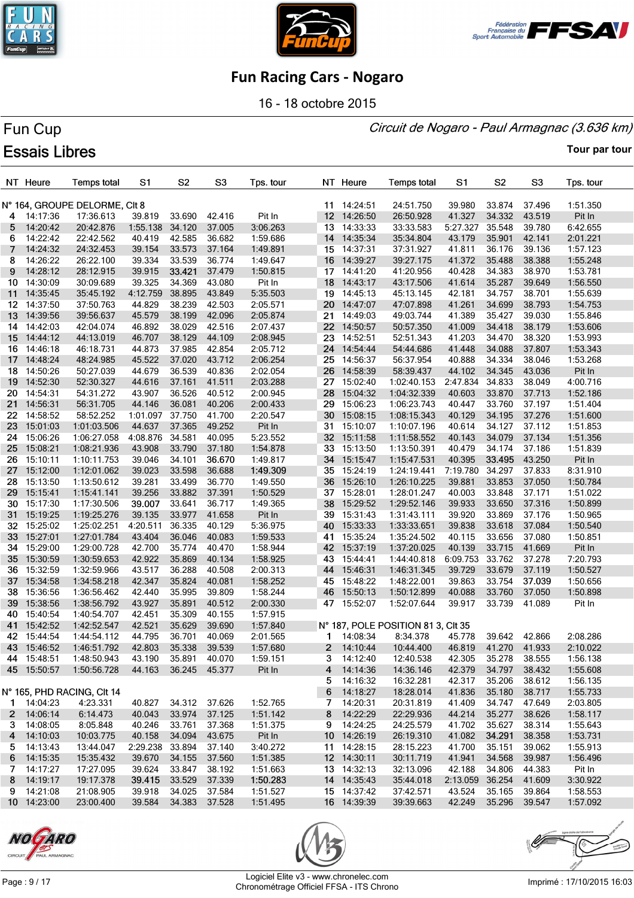





16 - 18 octobre 2015

#### Circuit de Nogaro - Paul Armagnac (3.636 km)

# Fun Cup **Essais Libres**

|     | NT Heure             | <b>Temps total</b>            | S1               | S <sub>2</sub> | S <sub>3</sub>   | Tps. tour |                 | NT Heure                   | <b>Temps total</b>                 | S1               | S2            | S <sub>3</sub> | Tps. tour |
|-----|----------------------|-------------------------------|------------------|----------------|------------------|-----------|-----------------|----------------------------|------------------------------------|------------------|---------------|----------------|-----------|
|     |                      | N° 164, GROUPE DELORME, CIt 8 |                  |                |                  |           |                 | 11 14:24:51                | 24:51.750                          | 39.980           | 33.874        | 37.496         | 1:51.350  |
| 4   | 14:17:36             | 17:36.613                     | 39.819           | 33.690         | 42.416           | Pit In    | 12 <sup>2</sup> | 14:26:50                   | 26:50.928                          | 41.327           | 34.332        | 43.519         | Pit In    |
| 5   | 14:20:42             | 20:42.876                     | 1:55.138         | 34.120         | 37.005           | 3:06.263  |                 | 13 14:33:33                | 33:33.583                          | 5:27.327         | 35.548        | 39.780         | 6:42.655  |
| 6   | 14:22:42             | 22:42.562                     | 40.419           | 42.585         | 36.682           | 1:59.686  | 14              | 14:35:34                   | 35:34.804                          | 43.179           | 35.901        | 42.141         | 2:01.221  |
| 7   | 14:24:32             | 24:32.453                     | 39.154           | 33.573         | 37.164           | 1:49.891  |                 | 15 14:37:31                | 37:31.927                          | 41.811           | 36.176        | 39.136         | 1:57.123  |
| 8   | 14:26:22             | 26:22.100                     | 39.334           | 33.539         | 36.774           | 1:49.647  |                 | 16 14:39:27                | 39:27.175                          | 41.372           | 35.488        | 38.388         | 1:55.248  |
| 9   | 14:28:12             | 28:12.915                     | 39.915           | 33.421         | 37.479           | 1:50.815  | 17              | 14:41:20                   | 41:20.956                          | 40.428           | 34.383        | 38.970         | 1:53.781  |
| 10  | 14:30:09             | 30:09.689                     | 39.325           | 34.369         | 43.080           | Pit In    | 18              | 14:43:17                   | 43:17.506                          | 41.614           | 35.287        | 39.649         | 1:56.550  |
| 11  | 14:35:45             | 35:45.192                     | 4:12.759         | 38.895         | 43.849           | 5:35.503  |                 | 19 14:45:13                | 45:13.145                          | 42.181           | 34.757        | 38.701         | 1:55.639  |
| 12  | 14:37:50             | 37:50.763                     | 44.829           | 38.239         | 42.503           | 2:05.571  |                 | 20 14:47:07                | 47:07.898                          | 41.261           | 34.699        | 38.793         | 1:54.753  |
| 13  | 14:39:56             | 39:56.637                     | 45.579           | 38.199         | 42.096           | 2:05.874  |                 | 21 14:49:03                | 49:03.744                          | 41.389           | 35.427        | 39.030         | 1:55.846  |
| 14  | 14:42:03             | 42:04.074                     | 46.892           | 38.029         | 42.516           | 2:07.437  |                 | 22 14:50:57                | 50:57.350                          | 41.009           | 34.418        | 38.179         | 1:53.606  |
| 15  | 14:44:12             | 44:13.019                     | 46.707           | 38.129         | 44.109           | 2:08.945  |                 | 23 14:52:51                | 52:51.343                          | 41.203           | 34.470        | 38.320         | 1:53.993  |
|     | 16 14:46:18          | 46:18.731                     | 44.873           | 37.985         | 42.854           | 2:05.712  |                 | 24 14:54:44                | 54:44.686                          | 41.448           | 34.088        | 37.807         | 1:53.343  |
| 17  | 14:48:24             | 48:24.985                     | 45.522           | 37.020         | 43.712           | 2:06.254  |                 | 25 14:56:37                | 56:37.954                          | 40.888           | 34.334        | 38.046         | 1:53.268  |
| 18  | 14:50:26             | 50:27.039                     | 44.679           | 36.539         | 40.836           | 2:02.054  |                 | 26 14:58:39                | 58:39.437                          | 44.102           | 34.345        | 43.036         | Pit In    |
| 19  | 14:52:30             | 52:30.327                     | 44.616           | 37.161         | 41.511           | 2:03.288  |                 | 27 15:02:40                | 1:02:40.153                        | 2:47.834         | 34.833        | 38.049         | 4:00.716  |
| 20. | 14:54:31             | 54:31.272                     | 43.907           | 36.526         | 40.512           | 2:00.945  | 28              | 15:04:32                   | 1:04:32.339                        | 40.603           | 33.870        | 37.713         | 1:52.186  |
| 21  | 14:56:31             | 56:31.705                     | 44.146           | 36.081         | 40.206           | 2:00.433  | 29              | 15:06:23                   | 1:06:23.743                        | 40.447           | 33.760        | 37.197         | 1:51.404  |
|     |                      |                               |                  | 37.750         |                  |           |                 | 30 15:08:15                |                                    |                  | 34.195        |                |           |
| 22  | 14:58:52             | 58:52.252                     | 1:01.097         | 37.365         | 41.700           | 2:20.547  | 31              |                            | 1:08:15.343                        | 40.129           |               | 37.276         | 1:51.600  |
| 23  | 15:01:03             | 1:01:03.506                   | 44.637           | 34.581         | 49.252<br>40.095 | Pit In    |                 | 15:10:07                   | 1:10:07.196                        | 40.614<br>40.143 | 34.127        | 37.112         | 1:51.853  |
| 24  | 15:06:26             | 1:06:27.058                   | 4:08.876         |                |                  | 5:23.552  |                 | 32 15:11:58                | 1:11:58.552                        | 40.479           | 34.079        | 37.134         | 1:51.356  |
| 25  | 15:08:21<br>15:10:11 | 1:08:21.936                   | 43.908<br>39.046 | 33.790         | 37.180           | 1:54.878  |                 | 33 15:13:50<br>34 15:15:47 | 1:13:50.391                        |                  | 34.174        | 37.186         | 1:51.839  |
| 26. |                      | 1:10:11.753                   |                  | 34.101         | 36.670           | 1:49.817  |                 |                            | 1:15:47.531                        | 40.395           | 33.495        | 43.250         | Pit In    |
| 27  | 15:12:00             | 1:12:01.062                   | 39.023           | 33.598         | 36.688           | 1:49.309  |                 | 35 15:24:19                | 1:24:19.441                        | 7:19.780         | 34.297        | 37.833         | 8:31.910  |
| 28  | 15:13:50             | 1:13:50.612                   | 39.281           | 33.499         | 36.770           | 1:49.550  | 36              | 15:26:10                   | 1:26:10.225                        | 39.881           | 33.853        | 37.050         | 1:50.784  |
| 29  | 15:15:41             | 1:15:41.141                   | 39.256           | 33.882         | 37.391           | 1:50.529  |                 | 37 15:28:01                | 1:28:01.247                        | 40.003           | 33.848        | 37.171         | 1:51.022  |
| 30  | 15:17:30             | 1:17:30.506                   | 39.007           | 33.641         | 36.717           | 1:49.365  | 38              | 15:29:52                   | 1:29:52.146                        | 39.933           | 33.650        | 37.316         | 1:50.899  |
| 31  | 15:19:25             | 1:19:25.276                   | 39.135           | 33.977         | 41.658           | Pit In    |                 | 39 15:31:43                | 1:31:43.111                        | 39.920           | 33.869        | 37.176         | 1:50.965  |
| 32  | 15:25:02             | 1:25:02.251                   | 4:20.511         | 36.335         | 40.129           | 5:36.975  | 40              | 15:33:33                   | 1:33:33.651                        | 39.838           | 33.618        | 37.084         | 1:50.540  |
| 33  | 15:27:01             | 1:27:01.784                   | 43.404           | 36.046         | 40.083           | 1:59.533  |                 | 41 15:35:24                | 1:35:24.502                        | 40.115           | 33.656        | 37.080         | 1:50.851  |
| 34  | 15:29:00             | 1:29:00.728                   | 42.700           | 35.774         | 40.470           | 1:58.944  |                 | 42 15:37:19                | 1:37:20.025                        | 40.139           | 33.715        | 41.669         | Pit In    |
| 35  | 15:30:59             | 1:30:59.653                   | 42.922           | 35.869         | 40.134           | 1:58.925  |                 | 43 15:44:41                | 1:44:40.818                        | 6:09.753         | 33.762        | 37.278         | 7:20.793  |
| 36  | 15:32:59             | 1:32:59.966                   | 43.517           | 36.288         | 40.508           | 2:00.313  | 44              | 15:46:31                   | 1:46:31.345                        | 39.729           | 33.679        | 37.119         | 1:50.527  |
| 37  | 15:34:58             | 1:34:58.218                   | 42.347           | 35.824         | 40.081           | 1:58.252  |                 | 45 15:48:22                | 1:48:22.001                        | 39.863           | 33.754        | 37.039         | 1:50.656  |
| 38. | 15:36:56             | 1:36:56.462                   | 42.440           | 35.995         | 39.809           | 1:58.244  |                 | 46 15:50:13                | 1:50:12.899                        | 40.088           | 33.760        | 37.050         | 1:50.898  |
| 39  | 15:38:56             | 1:38:56.792                   | 43.927           | 35.891         | 40.512           | 2:00.330  |                 | 47 15:52:07                | 1:52:07.644                        | 39.917           | 33.739        | 41.089         | Pit In    |
| 40  | 15:40:54             | 1:40:54.707                   | 42.451           | 35.309         | 40.155           | 1:57.915  |                 |                            |                                    |                  |               |                |           |
| 41  | 15:42:52             | 1:42:52.547                   | 42.521           | 35.629         | 39.690           | 1:57.840  |                 |                            | N° 187, POLE POSITION 81 3, CIt 35 |                  |               |                |           |
|     | 42 15:44:54          | 1:44:54.112                   | 44.795           | 36.701         | 40.069           | 2:01.565  | 1               | 14:08:34                   | 8:34.378                           | 45.778           | 39.642 42.866 |                | 2:08.286  |
|     | 43 15:46:52          | 1:46:51.792                   | 42.803           | 35.338 39.539  |                  | 1:57.680  |                 | 2 14:10:44                 | 10:44.400  46.819  41.270  41.933  |                  |               |                | 2:10.022  |
|     | 44 15:48:51          | 1:48:50.943                   | 43.190           | 35.891 40.070  |                  | 1:59.151  |                 | 3 14:12:40                 | 12:40.538                          | 42.305           | 35.278 38.555 |                | 1:56.138  |
|     | 45 15:50:57          | 1:50:56.728                   | 44.163           | 36.245 45.377  |                  | Pit In    |                 | 4 14:14:36                 | 14:36.146                          | 42.379           | 34.797        | 38.432         | 1:55.608  |
|     |                      |                               |                  |                |                  |           |                 | 5 14:16:32                 | 16:32.281                          | 42.317           | 35.206        | 38.612         | 1:56.135  |
|     |                      | N° 165, PHD RACING, CIt 14    |                  |                |                  |           |                 | 6 14:18:27                 | 18:28.014                          | 41.836           | 35.180        | 38.717         | 1:55.733  |
|     | 1 14:04:23           | 4:23.331                      | 40.827           | 34.312 37.626  |                  | 1:52.765  |                 | 7 14:20:31                 | 20:31.819                          | 41.409           | 34.747        | 47.649         | 2:03.805  |
|     | 2 14:06:14           | 6:14.473                      | 40.043           | 33.974 37.125  |                  | 1:51.142  |                 | 8 14:22:29                 | 22:29.936                          | 44.214           | 35.277        | 38.626         | 1:58.117  |
|     | 3 14:08:05           | 8:05.848                      | 40.246           | 33.761 37.368  |                  | 1:51.375  |                 | 9 14:24:25                 | 24:25.579                          | 41.702           | 35.627        | 38.314         | 1:55.643  |
|     | 4 14:10:03           | 10:03.775                     | 40.158           | 34.094 43.675  |                  | Pit In    |                 | 10 14:26:19                | 26:19.310                          | 41.082           | 34.291        | 38.358         | 1:53.731  |
|     | $5$ 14:13:43         | 13:44.047                     | 2:29.238 33.894  |                | 37.140           | 3:40.272  |                 | 11 14:28:15                | 28:15.223                          | 41.700           | 35.151        | 39.062         | 1:55.913  |
|     | 6 14:15:35           | 15:35.432                     | 39.670           | 34.155         | 37.560           | 1:51.385  |                 | 12 14:30:11                | 30:11.719                          | 41.941           | 34.568        | 39.987         | 1:56.496  |
|     | $7$ 14:17:27         | 17:27.095                     | 39.624           | 33.847         | 38.192           | 1:51.663  |                 | 13 14:32:13                | 32:13.096                          | 42.188           | 34.806        | 44.383         | Pit In    |
|     | 8 14:19:17           | 19:17.378                     | 39.415           | 33.529         | 37.339           | 1:50.283  |                 | 14 14:35:43                | 35:44.018                          | 2:13.059 36.254  |               | 41.609         | 3:30.922  |
|     | 9 14:21:08           | 21:08.905                     | 39.918           | 34.025         | 37.584           | 1:51.527  |                 | 15 14:37:42                | 37:42.571                          | 43.524           | 35.165        | 39.864         | 1:58.553  |
|     | 10 14:23:00          | 23:00.400                     | 39.584           | 34.383 37.528  |                  | 1:51.495  |                 | 16 14:39:39                | 39:39.663                          | 42.249           | 35.296        | 39.547         | 1:57.092  |





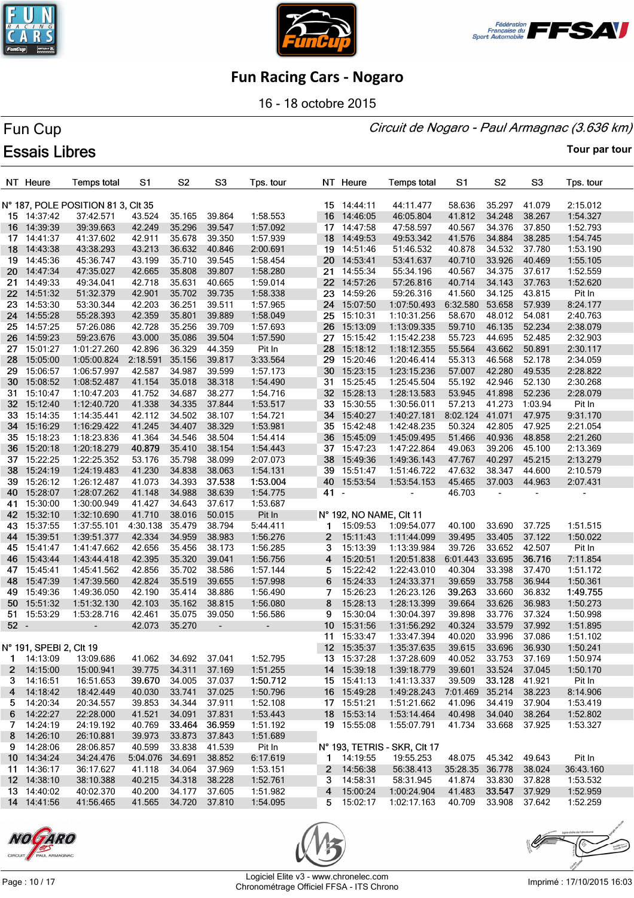

Fun Cup

**Essais Libres** 





### **Fun Racing Cars - Nogaro**

16 - 18 octobre 2015

## Circuit de Nogaro - Paul Armagnac (3.636 km)

#### **Tour par tour**

#### NT Heure **Temps total**  $S<sub>1</sub>$ S<sub>2</sub> S<sub>3</sub> Tps. tour NT Heure **Temps total**  $S<sub>1</sub>$  $S<sub>2</sub>$ S<sub>3</sub> Tps. tour N° 187, POLE POSITION 81 3, CIt 35 15 14:44:11 44:11.477 58.636 35.297 41.079 2:15.012 15 14:37:42 37:42.571 43.524 35.165 39.864 1:58.553 16 46:05.804 14:39:39 39:39.663 42.249 35.296 39.547 1:57.092 14:47:58 47:58.597 40.567 34.376 37.850 1:52.793 16  $17$  $17$ 14:41:37 41:37.602 42.911 35.678 39.350 1:57.939 18 14:49:53 49:53.342 41.576 34.884 38.285 1:54.745 14:43:38 43:38.293 43.213 36.632 40.846 2:00.691 18 19 14:51:46 51:46.532 40.878 34.532 37.780 1:53.190 19 14:45:36 45:36.747 43.199 35.710 39.545 1:58.454 20 14:53:41 53:41.637 40.710 33.926 40.469 1:55.105 20 14:47:34 47:35.027 42.665 35.808 39.807 1:58.280 21 14:55:34 55:34.196 40.567 34.375 37.617 1:52.559 22  $21$ 14:49:33 49:34.041 42.718 35.631 40.665 1:59.014 14:57:26 57:26.816 40.714 34.143 37.763 1:52.620 22 14:51:32 51:32.379 42.901 35.702 39.735 1:58.338 23 14:59:26 59:26.316 41.560 34.125 43.815 Pit In 23 14:53:30 53:30.344 42.203 36.251 39.511 1:57.965 24 15:07:50 1:07:50.493 6:32.580 53.658 57.939 8:24.177 14:55:28 55:28.393 42.359 35.801 39.889 1:58.049  $24$ クら 15:10:31 1:10:31.256 58.670 48.012 54.081 2:40.763 25 14:57:25 57:26.086 42.728 35.256 39.709 1:57.693 26 15:13:09 1:13:09.335 59.710 46.135 52.234 2:38.079 26 14:59:23 59:23.676 43.000 35.086 39.504 1:57.590 27 15:15:42 1:15:42.238 55.723 44.695 52.485 2:32.903 27 15:01:27 1:01:27.260 42.896 36.329 44.359 Pit In 28 15:18:12 1:18:12.355 55.564 43.662 50.891 2:30.117  $28$ 15:05:00 1:05:00.824 2:18.591 35.156 39.817 3:33.564  $29$ 15:20:46 1:20:46.414 55.313 46.568 52.178 2:34.059 29 15:06:57 1:06:57.997 42.587 34.987 39.599 1:57.173 30 15:23:15 1:23:15.236 57.007 42.280 49.535 2:28.822 30 15:08:52 1:08:52.487 41.154 35.018 38.318 1:54.490  $31$ 15:25:45 1:25:45.504 55.192 42.946 52.130 2:30.268  $31$ 15:10:47 1:10:47.203 41.752 34.687 38.277 1:54.716 32 15:28:13 1:28:13.583 53.945 41.898 52.236 2:28.079 32 15:12:40 1:12:40.720 41.338 34.335 37.844 1:53.517 33 15:30:55 1:30:56.011 57.213 41.273 1:03.94 Pit In 15:40:27 1:40:27.181 8:02.124 41.071 47.975 9:31.170 33 15:14:35 1:14:35.441 42.112 34.502 38.107 1:54.721 34 15:16:29 1:16:29.422 41.245 34.407 38.329 1:53.981 15:42:48 1:42:48.235 50.324 42.805 47.925 2:21.054 34 35 35 15:18:23 1:18:23.836 41.364 34.546 38.504 1:54.414 36 15:45:09 1:45:09.495 51.466 40.936 48.858 2:21.260 36 15:20:18 1:20:18.279 35.410 38.154 1:54.443 37 15:47:23 1:47:22.864 49.063 39.206 45.100 2:13.369 37 15:22:25 1:22:25.352 53.176 35.798 38.099 2:07.073 38 15:49:36 1:49:36.143 47.767 40.297 45.215 2:13.279 38 15:24:19 1:24:19.483 41.230 34.838 38.063 1:54.131 39 15:51:47 1:51:46.722 47.632 38.347 44.600 2:10.579 39 15:26:12 1:26:12.487 41.073 34.393 37.538 1:53.004 40 15:53:54 1:53:54.153 45.465 37.003 44.963 2:07.431 40 15:28:07 1:28:07.262 41.148 34.988 38.639 1:54.775 41 46.703 41 15:30:00 1:30:00.949 41.427 34.643 37.617 1:53.687 15:32:10 1:32:10.690 41.710 38.016 50.015 Pit In N° 192, NO NAME, Clt 11 42 43 15:37:55 1:37:55.101 4:30.138 35.479 38.794 5:44.411  $\overline{1}$ 15:09:53 1:09:54.077 40.100 33.690 37.725 1:51.515 44 15:39:51 1:39:51.377 42.334 34.959 38.983 1:56.276  $\overline{2}$ 15:11:43 1:11:44.099 39.495 33.405 37.122 1:50.022 45 15:41:47 1:41:47.662 42.656 35.456 38.173 1:56.285 3 15:13:39 1:13:39.984 39.726 33.652 42.507 Pit In 46 15:43:44 1:43:44.418 42.395 35.320 39.041 1:56.756  $\overline{4}$ 15:20:51 1:20:51.838 6:01.443 33.695 7:11.854  $\overline{47}$ 15:22:42 1:22:43.010 40.304 33.398 37.470 1:51.172 15:45:41 1:45:41.562 42.856 35.702 38.586 1:57.144 5 48 15:47:39 1:47:39.560 42.824 35.519 39.655 1:57.998 6 15:24:33 1:24:33.371 39.659 33.758 36.944 1:50.361 49 15:49:36 1:49:36.050 42.190 35.414 38.886 1:56.490  $\overline{7}$ 15:26:23 1:26:23.126 33.660 36.832 1:49.755 50 15:51:32 1:51:32.130 42.103 35.162 38.815 1:56.080 8 15:28:13 1:28:13.399 39.664 33.626 36.983 1:50.273 51 15:53:29 1:53:28.716 42.461 35.075 39.050 1:56.586 15:30:04 1:30:04.397 39.898 33.776 37.324 1:50.998 9 52  $10$ 15:31:56 1:31:56.292 40.324 33.579 37.992 1:51.895 - - 42.073 35.270 - -  $11$ 15:33:47 1:33:47.394 40.020 33.996 37.086 1:51.102 N° 191, SPEBI 2, Clt 19  $12$ 15:35:37 1:35:37.635 39.615 33.696 36.930 1:50.241  $\mathbf{1}$ 14:13:09 13:09.686 41.062 34.692 37.041 1:52.795 13 15:37:28 1:37:28.609 40.052 33.753 37.169 1:50.974  $\overline{2}$ 14:15:00 15:00.941 39.775 34.311 37.169 1:51.255  $14$ 15:39:18 1:39:18.779 39.601 33.524 37.045 1:50.170 15:41:13 1:41:13.337 39.509 41.921 Pit In 3 14:16:51 16:51.653 34.005 37.037 1:50.712 15  $\overline{4}$ 14:18:42 18:42.449 40.030 33.741 37.025 1:50.796 16 15:49:28 1:49:28.243 7:01.469 35.214 38.223 8:14.906 5 14:20:34 20:34.557 39.853 34.344 37.911 1:52.108 17 15:51:21 1:51:21.662 41.096 34.419 37.904 1:53.419 18 6 14:22:27 22:28.000 41.521 34.091 37.831 1:53.443 15:53:14 1:53:14.464 40.498 34.040 38.264 1:52.802  $\overline{ }$ 14:24:19 24:19.192 40.769 33.464 36.959 1:51.192 19 15:55:08 1:55:07.791 41.734 33.668 37.925 1:53.327 8 14:26:10 26:10.881 39.973 33.873 37.843 1:51.689 14:28:06 28:06.857 40.599 33.838 41.539 Pit In -9 N° 193, TETRIS - SKR, Clt 17  $10$ 14:34:24 34:24.476 5:04.076 34.691 38.852 6:17.619 14:19:55 19:55.253 48.075 45.342 49.643 Pit In  $\overline{\mathbf{1}}$  $11$ 14:36:17 36:17.627 41.118 34.064 37.969 1:53.151  $\overline{2}$ 14:56:38 56:38.413 35:28.35 36.778 38.024 36:43.160  $12$ 14:38:10 38:10.388 40.215 34.318 38.228 1:52.761 3 14:58:31 58:31.945 41.874 33.830 37.828 1:53.532 13 14:40:02 40:02.370 40.200 34.177 37.605 1:51.982  $\overline{A}$ 15:00:24 1:00:24.904 41.483 37.929 1:52.959 5 15:02:17 1:02:17.163 40.709 33.908 37.642 1:52.259 14 14:41:56 41:56.465 41.565 34.720 37.810 1:54.095





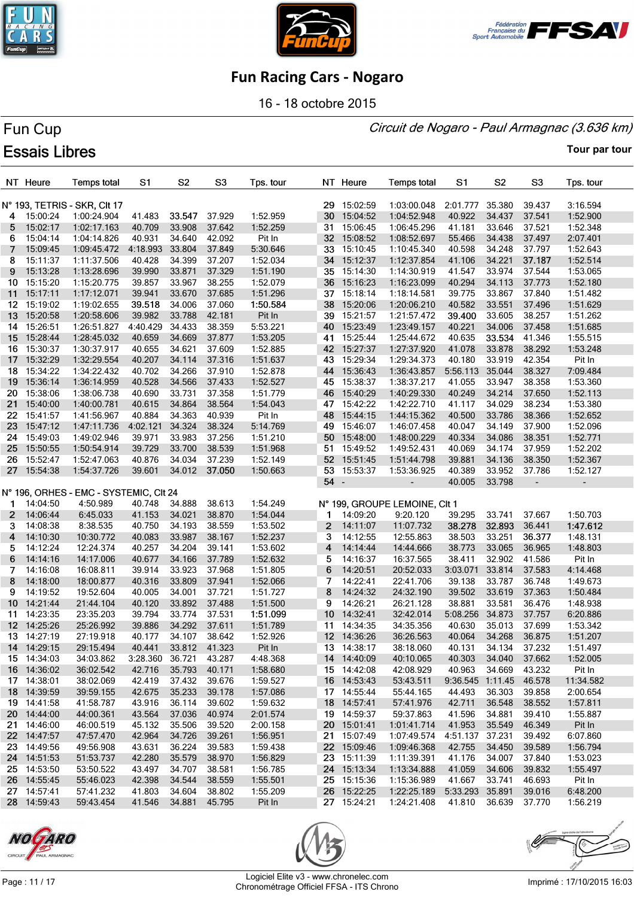





16 - 18 octobre 2015

### Circuit de Nogaro - Paul Armagnac (3.636 km)

# Fun Cup **Essais Libres**

|              | NT Heure    | <b>Temps total</b>                     | S1              | S <sub>2</sub> | S <sub>3</sub> | Tps. tour |      | NT Heure    | <b>Temps total</b>            | S1               | S <sub>2</sub> | S <sub>3</sub> | Tps. tour                |
|--------------|-------------|----------------------------------------|-----------------|----------------|----------------|-----------|------|-------------|-------------------------------|------------------|----------------|----------------|--------------------------|
|              |             | N° 193, TETRIS - SKR, CIt 17           |                 |                |                |           |      | 29 15:02:59 | 1:03:00.048                   | 2:01.777         | 35.380         | 39.437         | 3:16.594                 |
| 4            | 15:00:24    | 1:00:24.904                            | 41.483          | 33.547         | 37.929         | 1:52.959  | 30   | 15:04:52    | 1:04:52.948                   | 40.922           | 34.437         | 37.541         | 1:52.900                 |
| 5            | 15:02:17    | 1:02:17.163                            | 40.709          | 33.908         | 37.642         | 1:52.259  |      | 31 15:06:45 | 1:06:45.296                   | 41.181           | 33.646         | 37.521         | 1:52.348                 |
| 6            | 15:04:14    | 1:04:14.826                            | 40.931          | 34.640         | 42.092         | Pit In    |      | 32 15:08:52 | 1:08:52.697                   | 55.466           | 34.438         | 37.497         | 2:07.401                 |
| 7            | 15:09:45    | 1:09:45.472                            | 4:18.993        | 33.804         | 37.849         | 5:30.646  | 33   | 15:10:45    | 1:10:45.340                   | 40.598           | 34.248         | 37.797         | 1:52.643                 |
| 8            | 15:11:37    | 1:11:37.506                            | 40.428          | 34.399         | 37.207         | 1:52.034  |      | 34 15:12:37 | 1:12:37.854                   | 41.106           | 34.221         | 37.187         | 1:52.514                 |
| 9            | 15:13:28    | 1:13:28.696                            | 39.990          | 33.871         | 37.329         | 1:51.190  |      | 35 15:14:30 | 1:14:30.919                   | 41.547           | 33.974         | 37.544         | 1:53.065                 |
| 10           | 15:15:20    | 1:15:20.775                            | 39.857          | 33.967         | 38.255         | 1:52.079  | 36   | 15:16:23    | 1:16:23.099                   | 40.294           | 34.113         | 37.773         | 1:52.180                 |
| 11           | 15:17:11    | 1:17:12.071                            | 39.941          | 33.670         | 37.685         | 1:51.296  |      | 37 15:18:14 | 1:18:14.581                   | 39.775           | 33.867         | 37.840         | 1:51.482                 |
| 12           | 15:19:02    | 1:19:02.655                            | 39.518          | 34.006         | 37.060         | 1:50.584  | 38   | 15:20:06    | 1:20:06.210                   | 40.582           | 33.551         | 37.496         | 1:51.629                 |
| 13           | 15:20:58    | 1:20:58.606                            | 39.982          | 33.788         | 42.181         | Pit In    |      | 39 15:21:57 | 1:21:57.472                   | 39.400           | 33.605         | 38.257         | 1:51.262                 |
| 14           | 15:26:51    | 1:26:51.827                            | 4:40.429        | 34.433         | 38.359         | 5:53.221  | 40   | 15:23:49    | 1:23:49.157                   | 40.221           | 34.006         | 37.458         | 1:51.685                 |
| 15           | 15:28:44    | 1:28:45.032                            | 40.659          | 34.669         | 37.877         | 1:53.205  |      | 41 15:25:44 | 1:25:44.672                   | 40.635           | 33.534         | 41.346         | 1:55.515                 |
|              | 16 15:30:37 | 1:30:37.917                            | 40.655          | 34.621         | 37.609         | 1:52.885  |      | 42 15:27:37 | 1:27:37.920                   | 41.078           | 33.878         | 38.292         | 1:53.248                 |
| 17           | 15:32:29    | 1:32:29.554                            | 40.207          | 34.114         | 37.316         | 1:51.637  | 43   | 15:29:34    | 1:29:34.373                   | 40.180           | 33.919         | 42.354         | Pit In                   |
| 18           | 15:34:22    | 1:34:22.432                            | 40.702          | 34.266         | 37.910         | 1:52.878  | 44   | 15:36:43    | 1:36:43.857                   | 5:56.113         | 35.044         | 38.327         | 7:09.484                 |
| 19           | 15:36:14    | 1:36:14.959                            | 40.528          | 34.566         | 37.433         | 1:52.527  |      | 45 15:38:37 | 1:38:37.217                   | 41.055           | 33.947         | 38.358         | 1:53.360                 |
| 20           | 15:38:06    | 1:38:06.738                            | 40.690          | 33.731         | 37.358         | 1:51.779  | 46   | 15:40:29    | 1:40:29.330                   | 40.249           | 34.214         | 37.650         | 1:52.113                 |
| 21           | 15:40:00    | 1:40:00.781                            | 40.615          | 34.864         | 38.564         | 1:54.043  |      | 47 15:42:22 | 1:42:22.710                   | 41.117           | 34.029         | 38.234         | 1:53.380                 |
| 22           | 15:41:57    | 1:41:56.967                            | 40.884          | 34.363         | 40.939         | Pit In    |      | 48 15:44:15 | 1:44:15.362                   | 40.500           | 33.786         | 38.366         | 1:52.652                 |
| 23           | 15:47:12    | 1:47:11.736                            | 4:02.121        | 34.324         | 38.324         | 5:14.769  |      | 49 15:46:07 | 1:46:07.458                   | 40.047           | 34.149         | 37.900         | 1:52.096                 |
| 24           | 15:49:03    | 1:49:02.946                            | 39.971          | 33.983         | 37.256         | 1:51.210  |      | 50 15:48:00 | 1:48:00.229                   | 40.334           | 34.086         | 38.351         | 1:52.771                 |
| 25           | 15:50:55    | 1:50:54.914                            | 39.729          | 33.700         | 38.539         | 1:51.968  | 51   | 15:49:52    | 1:49:52.431                   | 40.069           | 34.174         | 37.959         | 1:52.202                 |
| 26.          | 15:52:47    | 1:52:47.063                            | 40.876          | 34.034         | 37.239         | 1:52.149  |      | 52 15:51:45 | 1:51:44.798                   | 39.881           | 34.136         | 38.350         | 1:52.367                 |
| 27           | 15:54:38    | 1:54:37.726                            | 39.601          | 34.012         | 37.050         | 1:50.663  |      | 53 15:53:37 | 1:53:36.925                   | 40.389           | 33.952         | 37.786         | 1:52.127                 |
|              |             |                                        |                 |                |                |           | 54 - |             | $\overline{\phantom{a}}$      | 40.005           | 33.798         | ÷,             | $\overline{\phantom{a}}$ |
|              |             | N° 196, ORHES - EMC - SYSTEMIC, CIt 24 |                 |                |                |           |      |             |                               |                  |                |                |                          |
| 1            | 14:04:50    | 4:50.989                               | 40.748          | 34.888         | 38.613         | 1:54.249  |      |             | N° 199, GROUPE LEMOINE, CIt 1 |                  |                |                |                          |
| $\mathbf{2}$ | 14:06:44    | 6:45.033                               | 41.153          | 34.021         | 38.870         | 1:54.044  |      | 14:09:20    | 9:20.120                      | 39.295           | 33.741         | 37.667         | 1:50.703                 |
| 3            | 14:08:38    | 8:38.535                               | 40.750          | 34.193         | 38.559         | 1:53.502  | 2    | 14:11:07    | 11:07.732                     | 38.278           | 32.893         | 36.441         | 1:47.612                 |
| 4            | 14:10:30    | 10:30.772                              | 40.083          | 33.987         | 38.167         | 1:52.237  | 3    | 14:12:55    | 12:55.863                     | 38.503           | 33.251         | 36.377         | 1:48.131                 |
| 5            | 14:12:24    | 12:24.374                              | 40.257          | 34.204         | 39.141         | 1:53.602  | 4    | 14:14:44    | 14:44.666                     | 38.773           | 33.065         | 36.965         | 1:48.803                 |
| 6            | 14:14:16    | 14:17.006                              | 40.677          | 34.166         | 37.789         | 1:52.632  | 5    | 14:16:37    | 16:37.565                     | 38.411           | 32.902         | 41.586         | Pit In                   |
| 7            | 14:16:08    | 16:08.811                              | 39.914          | 33.923         | 37.968         | 1:51.805  | 6    | 14:20:51    | 20:52.033                     | 3:03.071         | 33.814         | 37.583         | 4:14.468                 |
| 8            | 14:18:00    | 18:00.877                              | 40.316          | 33.809         | 37.941         | 1:52.066  | 7    | 14:22:41    | 22:41.706                     | 39.138           | 33.787         | 36.748         | 1:49.673                 |
| 9            | 14:19:52    | 19:52.604                              | 40.005          | 34.001         | 37.721         | 1:51.727  | 8    | 14:24:32    | 24:32.190                     | 39.502           | 33.619         | 37.363         | 1:50.484                 |
| 10           | 14:21:44    | 21:44.104                              | 40.120          | 33.892         | 37.488         | 1:51.500  | 9    | 14:26:21    | 26:21.128                     | 38.881           | 33.581         | 36.476         | 1:48.938                 |
| 11           | 14:23:35    | 23:35.203                              | 39.794          | 33.774         | 37.531         | 1:51.099  | 10   | 14:32:41    | 32:42.014                     | 5:08.256         | 34.873         | 37.757         | 6:20.886                 |
|              | 12 14:25:26 | 25:26.992                              | 39.886          | 34.292         | 37.611         | 1:51.789  |      | 11 14:34:35 | 34:35.356                     | 40.630           | 35.013         | 37.699         | 1:53.342                 |
|              | 13 14:27:19 | 27:19.918                              | 40.177          | 34.107         | 38.642         | 1:52.926  |      | 12 14:36:26 | 36:26.563                     | 40.064           | 34.268         | 36.875         | 1:51.207                 |
|              | 14 14:29:15 | 29:15.494                              | 40.441          | 33.812 41.323  |                | Pit In    |      | 13 14:38:17 | 38:18.060                     | 40.131           | 34.134 37.232  |                | 1:51.497                 |
|              | 15 14:34:03 | 34:03.862                              | 3:28.360 36.721 |                | 43.287         | 4:48.368  |      | 14 14:40:09 | 40:10.065                     | 40.303           | 34.040         | 37.662         | 1:52.005                 |
|              | 16 14:36:02 | 36:02.542                              | 42.716          | 35.793         | 40.171         | 1:58.680  |      | 15 14:42:08 | 42:08.929                     | 40.963           | 34.669         | 43.232         | Pit In                   |
|              | 17 14:38:01 | 38:02.069                              | 42.419          | 37.432 39.676  |                | 1:59.527  |      | 16 14:53:43 | 53:43.511                     | 9:36.545 1:11.45 |                | 46.578         | 11:34.582                |
|              | 18 14:39:59 | 39:59.155                              | 42.675          | 35.233         | 39.178         | 1:57.086  |      | 17 14:55:44 | 55:44.165                     | 44.493           | 36.303         | 39.858         | 2:00.654                 |
|              | 19 14:41:58 | 41:58.787                              | 43.916          | 36.114         | 39.602         | 1:59.632  |      | 18 14:57:41 | 57:41.976                     | 42.711           | 36.548         | 38.552         | 1:57.811                 |
|              | 20 14:44:00 | 44:00.361                              | 43.564          | 37.036         | 40.974         | 2:01.574  |      | 19 14:59:37 | 59:37.863                     | 41.596           | 34.881         | 39.410         | 1:55.887                 |
|              | 21 14:46:00 | 46:00.519                              | 45.132          | 35.506         | 39.520         | 2:00.158  |      | 20 15:01:41 | 1:01:41.714                   | 41.953           | 35.549         | 46.349         | Pit In                   |
|              | 22 14:47:57 | 47:57.470                              | 42.964          | 34.726         | 39.261         | 1:56.951  |      | 21 15:07:49 | 1:07:49.574                   | 4:51.137 37.231  |                | 39.492         | 6:07.860                 |
|              | 23 14:49:56 | 49:56.908                              | 43.631          | 36.224         | 39.583         | 1:59.438  |      | 22 15:09:46 | 1:09:46.368                   | 42.755           | 34.450         | 39.589         | 1:56.794                 |
|              | 24 14:51:53 | 51:53.737                              | 42.280          | 35.579         | 38.970         | 1:56.829  |      | 23 15:11:39 | 1:11:39.391                   | 41.176           | 34.007         | 37.840         | 1:53.023                 |
|              | 25 14:53:50 | 53:50.522                              | 43.497          | 34.707         | 38.581         | 1:56.785  |      | 24 15:13:34 | 1:13:34.888                   | 41.059           | 34.606         | 39.832         | 1:55.497                 |
|              | 26 14:55:45 | 55:46.023                              | 42.398          | 34.544         | 38.559         | 1:55.501  |      | 25 15:15:36 | 1:15:36.989                   | 41.667           | 33.741         | 46.693         | Pit In                   |
|              | 27 14:57:41 | 57:41.232                              | 41.803          | 34.604         | 38.802         | 1:55.209  |      | 26 15:22:25 | 1:22:25.189                   | 5:33.293 35.891  |                | 39.016         | 6:48.200                 |
|              | 28 14:59:43 | 59:43.454                              | 41.546          | 34.881         | 45.795         | Pit In    |      | 27 15:24:21 | 1:24:21.408                   | 41.810 36.639    |                | 37.770         | 1:56.219                 |





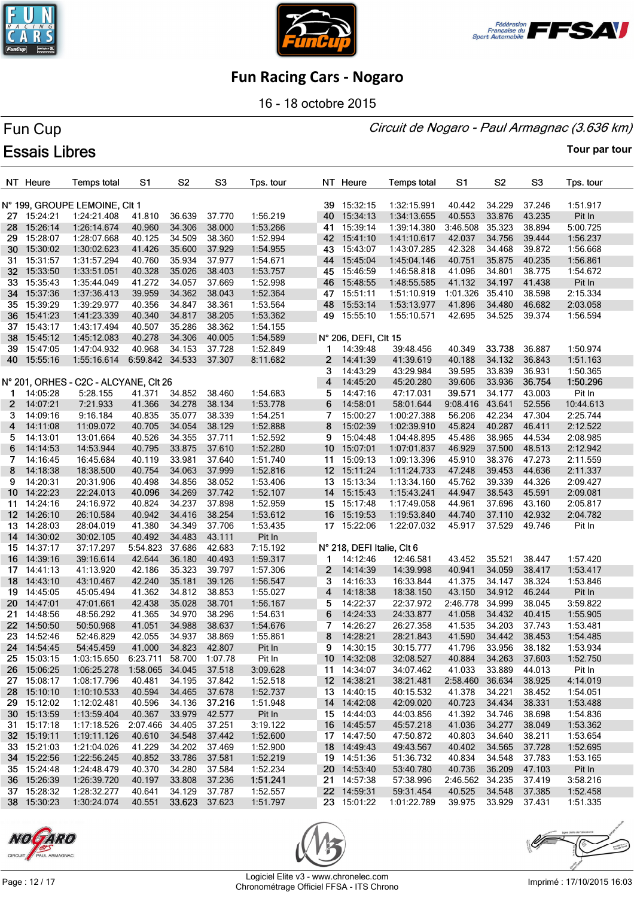





16 - 18 octobre 2015

# Fun Cup **Essais Libres**

Circuit de Nogaro - Paul Armagnac (3.636 km)

|                 | NT Heure    | <b>Temps total</b>                    | S1                      | S <sub>2</sub> | S <sub>3</sub> | Tps. tour |                 | NT Heure                   | <b>Temps total</b> | S <sub>1</sub> | S <sub>2</sub> | S <sub>3</sub>   | Tps. tour |
|-----------------|-------------|---------------------------------------|-------------------------|----------------|----------------|-----------|-----------------|----------------------------|--------------------|----------------|----------------|------------------|-----------|
|                 |             | N° 199, GROUPE LEMOINE, CIt 1         |                         |                |                |           |                 | 39 15:32:15                | 1:32:15.991        | 40.442         | 34.229         | 37.246           | 1:51.917  |
|                 | 27 15:24:21 | 1:24:21.408                           | 41.810                  | 36.639         | 37.770         | 1:56.219  |                 | 40 15:34:13                | 1:34:13.655        | 40.553         | 33.876         | 43.235           | Pit In    |
| 28              | 15:26:14    | 1:26:14.674                           | 40.960                  | 34.306         | 38.000         | 1:53.266  |                 | 41 15:39:14                | 1:39:14.380        | 3:46.508       | 35.323         | 38.894           | 5:00.725  |
| 29              | 15:28:07    | 1:28:07.668                           | 40.125                  | 34.509         | 38.360         | 1:52.994  |                 | 42 15:41:10                | 1:41:10.617        | 42.037         | 34.756         | 39.444           | 1:56.237  |
| 30              | 15:30:02    | 1:30:02.623                           | 41.426                  | 35.600         | 37.929         | 1:54.955  |                 | 43 15:43:07                | 1:43:07.285        | 42.328         | 34.468         | 39.872           | 1:56.668  |
| 31              | 15:31:57    | 1:31:57.294                           | 40.760                  | 35.934         | 37.977         | 1:54.671  |                 | 44 15:45:04                | 1:45:04.146        | 40.751         | 35.875         | 40.235           | 1:56.861  |
| 32 <sub>2</sub> | 15:33:50    | 1:33:51.051                           | 40.328                  | 35.026         | 38.403         | 1:53.757  |                 | 45 15:46:59                | 1:46:58.818        | 41.096         | 34.801         | 38.775           | 1:54.672  |
| 33              | 15:35:43    | 1:35:44.049                           | 41.272                  | 34.057         | 37.669         | 1:52.998  |                 | 46 15:48:55                | 1:48:55.585        | 41.132         | 34.197         | 41.438           | Pit In    |
|                 | 34 15:37:36 | 1:37:36.413                           | 39.959                  | 34.362         | 38.043         | 1:52.364  |                 | 47 15:51:11                | 1:51:10.919        | 1:01.326       | 35.410         | 38.598           | 2:15.334  |
|                 | 35 15:39:29 | 1:39:29.977                           | 40.356                  | 34.847         | 38.361         | 1:53.564  | 48              | 15:53:14                   | 1:53:13.977        | 41.896         | 34.480         | 46.682           | 2:03.058  |
| 36              | 15:41:23    | 1:41:23.339                           | 40.340                  | 34.817         | 38.205         | 1:53.362  | 49              | 15:55:10                   | 1:55:10.571        | 42.695         | 34.525         | 39.374           | 1:56.594  |
|                 | 37 15:43:17 | 1:43:17.494                           | 40.507                  | 35.286         | 38.362         | 1:54.155  |                 |                            |                    |                |                |                  |           |
| 38              | 15:45:12    | 1:45:12.083                           | 40.278                  | 34.306         | 40.005         | 1:54.589  |                 | N° 206, DEFI, CIt 15       |                    |                |                |                  |           |
| 39              | 15:47:05    | 1:47:04.932                           | 40.968                  | 34.153         | 37.728         | 1:52.849  | 1               | 14:39:48                   | 39:48.456          | 40.349         | 33.738         | 36.887           | 1:50.974  |
|                 | 40 15:55:16 |                                       | 6:59.842 34.533         |                | 37.307         |           | $\overline{2}$  | 14:41:39                   | 41:39.619          | 40.188         | 34.132         | 36.843           | 1:51.163  |
|                 |             | 1:55:16.614                           |                         |                |                | 8:11.682  |                 |                            |                    |                |                |                  |           |
|                 |             |                                       |                         |                |                |           | 3               | 14:43:29                   | 43:29.984          | 39.595         | 33.839         | 36.931           | 1:50.365  |
|                 |             | N° 201, ORHES - C2C - ALCYANE, CIt 26 |                         |                |                |           | 4               | 14:45:20                   | 45:20.280          | 39.606         | 33.936         | 36.754<br>43.003 | 1:50.296  |
| 1               | 14:05:28    | 5:28.155                              | 41.371                  | 34.852         | 38.460         | 1:54.683  | 5               | 14:47:16                   | 47:17.031          | 39.571         | 34.177         |                  | Pit In    |
| $\mathbf{2}$    | 14:07:21    | 7:21.933                              | 41.366                  | 34.278         | 38.134         | 1:53.778  | 6               | 14:58:01                   | 58:01.644          | 9:08.416       | 43.641         | 52.556           | 10:44.613 |
| 3.              | 14:09:16    | 9:16.184                              | 40.835                  | 35.077         | 38.339         | 1:54.251  | 7               | 15:00:27                   | 1:00:27.388        | 56.206         | 42.234         | 47.304           | 2:25.744  |
| 4               | 14:11:08    | 11:09.072                             | 40.705                  | 34.054         | 38.129         | 1:52.888  | 8               | 15:02:39                   | 1:02:39.910        | 45.824         | 40.287         | 46.411           | 2:12.522  |
| 5.              | 14:13:01    | 13:01.664                             | 40.526                  | 34.355         | 37.711         | 1:52.592  | 9               | 15:04:48                   | 1:04:48.895        | 45.486         | 38.965         | 44.534           | 2:08.985  |
| 6               | 14:14:53    | 14:53.944                             | 40.795                  | 33.875         | 37.610         | 1:52.280  | 10 <sup>°</sup> | 15:07:01                   | 1:07:01.837        | 46.929         | 37.500         | 48.513           | 2:12.942  |
| 7               | 14:16:45    | 16:45.684                             | 40.119                  | 33.981         | 37.640         | 1:51.740  |                 | 11 15:09:13                | 1:09:13.396        | 45.910         | 38.376         | 47.273           | 2:11.559  |
| 8               | 14:18:38    | 18:38.500                             | 40.754                  | 34.063         | 37.999         | 1:52.816  |                 | 12 15:11:24                | 1:11:24.733        | 47.248         | 39.453         | 44.636           | 2:11.337  |
| 9               | 14:20:31    | 20:31.906                             | 40.498                  | 34.856         | 38.052         | 1:53.406  |                 | 13 15:13:34                | 1:13:34.160        | 45.762         | 39.339         | 44.326           | 2:09.427  |
| 10 <sup>°</sup> | 14:22:23    | 22:24.013                             | 40.096                  | 34.269         | 37.742         | 1:52.107  |                 | 14 15:15:43                | 1:15:43.241        | 44.947         | 38.543         | 45.591           | 2:09.081  |
| 11              | 14:24:16    | 24:16.972                             | 40.824                  | 34.237         | 37.898         | 1:52.959  |                 | 15 15:17:48                | 1:17:49.058        | 44.961         | 37.696         | 43.160           | 2:05.817  |
|                 | 12 14:26:10 | 26:10.584                             | 40.942                  | 34.416         | 38.254         | 1:53.612  |                 | 16 15:19:53                | 1:19:53.840        | 44.740         | 37.110         | 42.932           | 2:04.782  |
|                 | 13 14:28:03 | 28:04.019                             | 41.380                  | 34.349         | 37.706         | 1:53.435  |                 | 17 15:22:06                | 1:22:07.032        | 45.917         | 37.529         | 49.746           | Pit In    |
|                 | 14 14:30:02 | 30:02.105                             | 40.492                  | 34.483         | 43.111         | Pit In    |                 |                            |                    |                |                |                  |           |
|                 | 15 14:37:17 | 37:17.297                             | 5:54.823                | 37.686         | 42.683         | 7:15.192  |                 | N° 218, DEFI Italie, CIt 6 |                    |                |                |                  |           |
|                 | 16 14:39:16 | 39:16.614                             | 42.644                  | 36.180         | 40.493         | 1:59.317  | 1.              | 14:12:46                   | 12:46.581          | 43.452         | 35.521         | 38.447           | 1:57.420  |
|                 | 17 14:41:13 | 41:13.920                             | 42.186                  | 35.323         | 39.797         | 1:57.306  | $\mathbf{2}$    | 14:14:39                   | 14:39.998          | 40.941         | 34.059         | 38.417           | 1:53.417  |
| 18              | 14:43:10    | 43:10.467                             | 42.240                  | 35.181         | 39.126         | 1:56.547  | 3               | 14:16:33                   | 16:33.844          | 41.375         | 34.147         | 38.324           | 1:53.846  |
| 19              | 14:45:05    | 45:05.494                             | 41.362                  | 34.812         | 38.853         | 1:55.027  | 4               | 14:18:38                   | 18:38.150          | 43.150         | 34.912         | 46.244           | Pit In    |
|                 | 20 14:47:01 | 47:01.661                             | 42.438                  | 35.028         | 38.701         | 1:56.167  | 5               | 14:22:37                   | 22:37.972          | 2:46.778       | 34.999         | 38.045           | 3:59.822  |
|                 | 21 14:48:56 | 48:56.292                             | 41.365                  | 34.970         | 38.296         | 1:54.631  | 6               | 14:24:33                   | 24:33.877          | 41.058         | 34.432         | 40.415           | 1:55.905  |
|                 | 22 14:50:50 | 50:50.968                             | 41.051                  | 34.988         | 38.637         | 1:54.676  | 7               | 14:26:27                   | 26:27.358          | 41.535         | 34.203         | 37.743           | 1:53.481  |
| 23              | 14:52:46    | 52:46.829                             | 42.055                  | 34.937         | 38.869         | 1:55.861  | 8               | 14:28:21                   | 28:21.843          | 41.590         | 34.442         | 38.453           | 1:54.485  |
|                 | 24 14:54:45 | 54:45.459                             | 41.000                  | 34.823         | 42.807         | Pit In    | 9               | 14:30:15                   | 30:15.777          | 41.796         | 33.956         | 38.182           | 1:53.934  |
|                 | 25 15:03:15 | 1:03:15.650                           | 6:23.711 58.700 1:07.78 |                |                | Pit In    |                 | 10 14:32:08                | 32:08.527          | 40.884         | 34.263         | 37.603           | 1:52.750  |
|                 | 26 15:06:25 | 1:06:25.278                           | 1:58.065                | 34.045         | 37.518         | 3:09.628  |                 | 11 14:34:07                | 34:07.462          | 41.033         | 33.889         | 44.013           | Pit In    |
|                 | 27 15:08:17 | 1:08:17.796                           | 40.481                  | 34.195         | 37.842         | 1:52.518  |                 | 12 14:38:21                | 38:21.481          | 2:58.460       | 36.634         | 38.925           | 4:14.019  |
|                 | 28 15:10:10 | 1:10:10.533                           | 40.594                  | 34.465         | 37.678         | 1:52.737  |                 | 13 14:40:15                | 40:15.532          | 41.378         | 34.221         | 38.452           | 1:54.051  |
|                 | 29 15:12:02 | 1:12:02.481                           | 40.596                  | 34.136         | 37.216         | 1:51.948  |                 | 14 14:42:08                | 42:09.020          | 40.723         | 34.434         | 38.331           | 1:53.488  |
|                 | 30 15:13:59 | 1:13:59.404                           | 40.367                  | 33.979         | 42.577         | Pit In    |                 | 15 14:44:03                | 44:03.856          | 41.392         | 34.746         | 38.698           | 1:54.836  |
|                 | 31 15:17:18 | 1:17:18.526                           | 2:07.466                | 34.405         | 37.251         | 3:19.122  |                 | 16 14:45:57                | 45:57.218          | 41.036         | 34.277         | 38.049           | 1:53.362  |
|                 | 32 15:19:11 | 1:19:11.126                           | 40.610                  | 34.548         | 37.442         | 1:52.600  |                 | 17 14:47:50                | 47:50.872          | 40.803         | 34.640         | 38.211           | 1:53.654  |
|                 | 33 15:21:03 | 1:21:04.026                           | 41.229                  | 34.202         | 37.469         | 1:52.900  |                 | 18 14:49:43                | 49:43.567          | 40.402         | 34.565         | 37.728           | 1:52.695  |
|                 | 34 15:22:56 | 1:22:56.245                           | 40.852                  | 33.786         | 37.581         | 1:52.219  |                 | 19 14:51:36                | 51:36.732          | 40.834         | 34.548         | 37.783           | 1:53.165  |
|                 | 35 15:24:48 | 1:24:48.479                           | 40.370                  | 34.280         | 37.584         | 1:52.234  |                 | 20 14:53:40                | 53:40.780          | 40.736         | 36.209         | 47.103           | Pit In    |
|                 | 36 15:26:39 | 1:26:39.720                           | 40.197                  | 33.808         | 37.236         | 1:51.241  |                 | 21 14:57:38                | 57:38.996          | 2:46.562       | 34.235         | 37.419           | 3:58.216  |
|                 | 37 15:28:32 | 1:28:32.277                           | 40.641                  | 34.129         | 37.787         | 1:52.557  |                 | 22 14:59:31                | 59:31.454          | 40.525         | 34.548         | 37.385           | 1:52.458  |
|                 | 38 15:30:23 | 1:30:24.074                           | 40.551                  | 33.623 37.623  |                | 1:51.797  |                 | 23 15:01:22                | 1:01:22.789        | 39.975         | 33.929         | 37.431           | 1:51.335  |





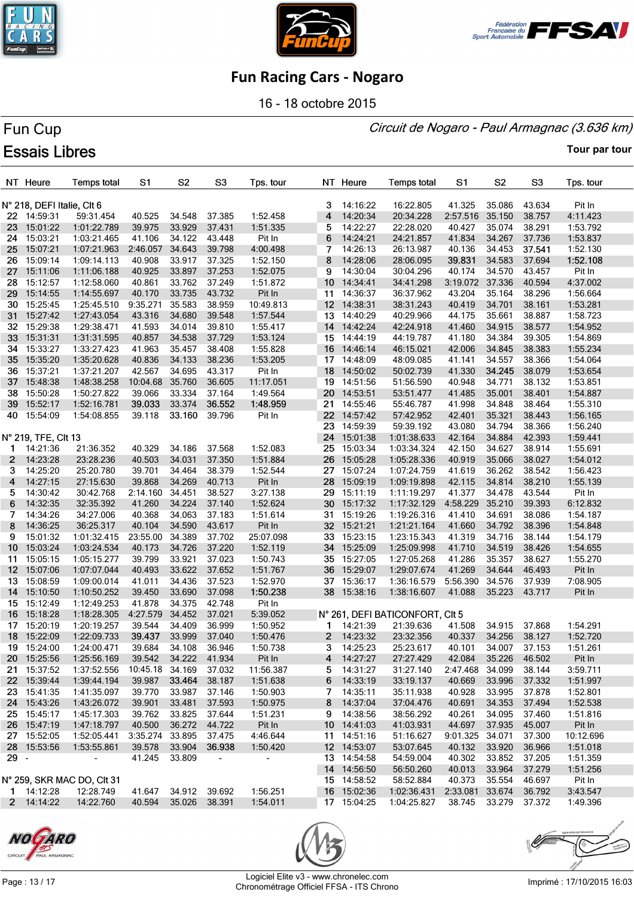





16 - 18 octobre 2015

# Fun Cup **Essais Libres**

Circuit de Nogaro - Paul Armagnac (3.636 km)

**Tour par tour**

|        | NT Heure                   | <b>Temps total</b>           | S1                   | S <sub>2</sub>   | S <sub>3</sub>           | Tps. tour                |                 | NT Heure             | <b>Temps total</b>              | S1                   | S2               | S <sub>3</sub>   | Tps. tour          |
|--------|----------------------------|------------------------------|----------------------|------------------|--------------------------|--------------------------|-----------------|----------------------|---------------------------------|----------------------|------------------|------------------|--------------------|
|        |                            |                              |                      |                  |                          |                          |                 |                      |                                 |                      |                  |                  |                    |
|        | N° 218, DEFI Italie, Clt 6 |                              |                      |                  |                          |                          | 3               | 14:16:22             | 16:22.805                       | 41.325               | 35.086           | 43.634           | Pit In             |
|        | 22 14:59:31                | 59:31.454                    | 40.525               | 34.548           | 37.385                   | 1:52.458                 | 4               | 14:20:34             | 20:34.228                       | 2:57.516             | 35.150           | 38.757           | 4:11.423           |
| 23     | 15:01:22                   | 1:01:22.789                  | 39.975               | 33.929           | 37.431                   | 1:51.335                 | 5               | 14:22:27             | 22:28.020                       | 40.427               | 35.074           | 38.291           | 1:53.792           |
| 24     | 15:03:21                   | 1:03:21.465                  | 41.106               | 34.122           | 43.448                   | Pit In                   | 6               | 14:24:21             | 24:21.857                       | 41.834               | 34.267           | 37.736           | 1:53.837           |
| 25     | 15:07:21                   | 1:07:21.963                  | 2:46.057             | 34.643           | 39.798                   | 4:00.498                 | 7               | 14:26:13             | 26:13.987                       | 40.136               | 34.453           | 37.541           | 1:52.130           |
| 26.    | 15:09:14                   | 1:09:14.113                  | 40.908               | 33.917           | 37.325                   | 1:52.150                 | 8               | 14:28:06             | 28:06.095                       | 39.831               | 34.583           | 37.694           | 1:52.108           |
| 27     | 15:11:06                   | 1:11:06.188                  | 40.925               | 33.897           | 37.253                   | 1:52.075                 | 9               | 14:30:04             | 30:04.296                       | 40.174               | 34.570           | 43.457           | Pit In             |
| 28     | 15:12:57                   | 1:12:58.060                  | 40.861               | 33.762           | 37.249                   | 1:51.872                 | 10              | 14:34:41             | 34:41.298                       | 3:19.072             | 37.336           | 40.594           | 4:37.002           |
| 29     | 15:14:55                   | 1:14:55.697                  | 40.170               | 33.735           | 43.732                   | Pit In                   | 11              | 14:36:37             | 36:37.962                       | 43.204               | 35.164           | 38.296           | 1:56.664           |
|        | 30 15:25:45                | 1:25:45.510                  | 9:35.271             | 35.583           | 38.959                   | 10:49.813                |                 | 12 14:38:31          | 38:31.243                       | 40.419               | 34.701           | 38.161           | 1:53.281           |
| 31     | 15:27:42                   | 1:27:43.054                  | 43.316               | 34.680           | 39.548                   | 1:57.544                 | 13 <sub>1</sub> | 14:40:29             | 40:29.966                       | 44.175               | 35.661           | 38.887           | 1:58.723           |
| 32     | 15:29:38                   | 1:29:38.471                  | 41.593               | 34.014           | 39.810                   | 1:55.417                 | 14              | 14:42:24             | 42:24.918                       | 41.460               | 34.915           | 38.577           | 1:54.952           |
| 33     | 15:31:31                   | 1:31:31.595                  | 40.857               | 34.538           | 37.729                   | 1:53.124                 |                 | 15 14:44:19          | 44:19.787                       | 41.180               | 34.384           | 39.305           | 1:54.869           |
| 34     | 15:33:27                   | 1:33:27.423                  | 41.963               | 35.457           | 38.408                   | 1:55.828                 |                 | 16 14:46:14          | 46:15.021                       | 42.006               | 34.845           | 38.383           | 1:55.234           |
| 35     | 15:35:20                   | 1:35:20.628                  | 40.836               | 34.133           | 38.236                   | 1:53.205                 |                 | 17 14:48:09          | 48:09.085                       | 41.141               | 34.557           | 38.366           | 1:54.064           |
|        | 36 15:37:21                | 1:37:21.207                  | 42.567               | 34.695           | 43.317                   | Pit In                   |                 | 18 14:50:02          | 50:02.739                       | 41.330               | 34.245           | 38.079           | 1:53.654           |
| 37     | 15:48:38                   | 1:48:38.258                  | 10:04.68             | 35.760           | 36.605                   | 11:17.051                |                 | 19 14:51:56          | 51:56.590                       | 40.948               | 34.771           | 38.132           | 1:53.851           |
|        | 38 15:50:28                | 1:50:27.822                  | 39.066               | 33.334           | 37.164                   | 1:49.564                 |                 | 20 14:53:51          | 53:51.477                       | 41.485               | 35.001           | 38.401           | 1:54.887           |
| 39     | 15:52:17                   | 1:52:16.781                  | 39.033               | 33.374           | 36.552                   | 1:48.959                 | 21              | 14:55:46             | 55:46.787                       | 41.998               | 34.848           | 38.464           | 1:55.310           |
| 40.    | 15:54:09                   | 1:54:08.855                  | 39.118               | 33.160           | 39.796                   | Pit In                   |                 | 22 14:57:42          | 57:42.952                       | 42.401               | 35.321           | 38.443           | 1:56.165           |
|        |                            |                              |                      |                  |                          |                          | 23.             | 14:59:39             | 59:39.192                       | 43.080               | 34.794           | 38.366           | 1:56.240           |
|        | N° 219, TFE, Clt 13        |                              |                      |                  |                          |                          |                 | 24 15:01:38          | 1:01:38.633                     | 42.164               | 34.884           | 42.393           | 1:59.441           |
| 1.     | 14:21:36                   | 21:36.352                    | 40.329               | 34.186           | 37.568                   | 1:52.083                 | 25              | 15:03:34             | 1:03:34.324                     | 42.150               | 34.627           | 38.914           | 1:55.691           |
| 2      | 14:23:28                   | 23:28.236                    | 40.503               | 34.031           | 37.350                   | 1:51.884                 | 26              | 15:05:28             | 1:05:28.336                     | 40.919               | 35.066           | 38.027           | 1:54.012           |
| 3      | 14:25:20<br>14:27:15       | 25:20.780                    | 39.701               | 34.464<br>34.269 | 38.379<br>40.713         | 1:52.544                 | 28              | 27 15:07:24          | 1:07:24.759                     | 41.619               | 36.262<br>34.814 | 38.542           | 1:56.423           |
| 4<br>5 | 14:30:42                   | 27:15.630<br>30:42.768       | 39.868<br>2:14.160   | 34.451           | 38.527                   | Pit In<br>3:27.138       | 29              | 15:09:19<br>15:11:19 | 1:09:19.898<br>1:11:19.297      | 42.115<br>41.377     | 34.478           | 38.210<br>43.544 | 1:55.139<br>Pit In |
| 6      | 14:32:35                   | 32:35.392                    | 41.260               | 34.224           | 37.140                   | 1:52.624                 |                 | 30 15:17:32          | 1:17:32.129                     | 4:58.229             | 35.210           | 39.393           | 6:12.832           |
| 7      | 14:34:26                   | 34:27.006                    | 40.368               | 34.063           | 37.183                   | 1:51.614                 |                 | 31 15:19:26          | 1:19:26.316                     | 41.410               | 34.691           | 38.086           | 1:54.187           |
| 8      | 14:36:25                   | 36:25.317                    | 40.104               | 34.590           | 43.617                   | Pit In                   |                 | 32 15:21:21          | 1:21:21.164                     | 41.660               | 34.792           | 38.396           | 1:54.848           |
| 9      | 15:01:32                   | 1:01:32.415                  | 23:55.00             | 34.389           | 37.702                   | 25:07.098                |                 | 33 15:23:15          | 1:23:15.343                     | 41.319               | 34.716           | 38.144           | 1:54.179           |
| 10     | 15:03:24                   | 1:03:24.534                  | 40.173               | 34.726           | 37.220                   | 1:52.119                 | 34              | 15:25:09             | 1:25:09.998                     | 41.710               | 34.519           | 38.426           | 1:54.655           |
| 11     | 15:05:15                   | 1:05:15.277                  | 39.799               | 33.921           | 37.023                   | 1:50.743                 |                 | 35 15:27:05          | 1:27:05.268                     | 41.286               | 35.357           | 38.627           | 1:55.270           |
| 12     | 15:07:06                   | 1:07:07.044                  | 40.493               | 33.622           | 37.652                   | 1:51.767                 |                 | 36 15:29:07          | 1:29:07.674                     | 41.269               | 34.644           | 46.493           | Pit In             |
| 13.    | 15:08:59                   | 1:09:00.014                  | 41.011               | 34.436           | 37.523                   | 1:52.970                 |                 | 37 15:36:17          | 1:36:16.579                     | 5:56.390             | 34.576           | 37.939           | 7:08.905           |
| 14     | 15:10:50                   | 1:10:50.252                  | 39.450               | 33.690           | 37.098                   | 1:50.238                 | 38              | 15:38:16             | 1:38:16.607                     | 41.088               | 35.223           | 43.717           | Pit In             |
|        | 15 15:12:49                | 1:12:49.253                  | 41.878               | 34.375           | 42.748                   | Pit In                   |                 |                      |                                 |                      |                  |                  |                    |
| 16     | 15:18:28                   | 1:18:28.305                  | 4:27.579             | 34.452           | 37.021                   | 5:39.052                 |                 |                      | N° 261, DEFI BATICONFORT, CIt 5 |                      |                  |                  |                    |
|        | 17 15:20:19                | 1:20:19.257                  | 39.544               | 34.409           | 36.999                   | 1:50.952                 | $\mathbf{1}$    | 14:21:39             | 21:39.636                       | 41.508               | 34.915           | 37.868           | 1:54.291           |
|        | 18 15:22:09                | 1:22:09.733                  | 39.437               | 33.999           | 37.040                   | 1:50.476                 | 2 <sub>2</sub>  | 14:23:32             | 23:32.356                       | 40.337               | 34.256           | 38.127           | 1:52.720           |
|        | 19 15:24:00                | 1:24:00.471                  | 39.684               | 34.108           | 36.946                   | 1:50.738                 |                 | 3 14:25:23           | 25:23.617                       | 40.101               |                  | 34.007 37.153    | 1:51.261           |
|        | 20 15:25:56                | 1:25:56.169                  | 39.542 34.222 41.934 |                  |                          | Pit In                   | 4               | 14:27:27             | 27:27.429                       | 42.084               | 35.226           | 46.502           | Pit In             |
|        | 21 15:37:52                | 1:37:52.556                  | 10:45.18 34.169      |                  | 37.032                   | 11:56.387                | 5.              | 14:31:27             | 31:27.140                       | 2:47.468 34.099      |                  | 38.144           | 3:59.711           |
|        | 22 15:39:44                | 1:39:44.194                  | 39.987               | 33.464 38.187    |                          | 1:51.638                 | 6               | 14:33:19             | 33:19.137                       | 40.669               | 33.996           | 37.332           | 1:51.997           |
|        | 23 15:41:35                | 1:41:35.097                  | 39.770               | 33.987           | 37.146                   | 1:50.903                 | 7               | 14:35:11             | 35:11.938                       | 40.928               | 33.995           | 37.878           | 1:52.801           |
|        | 24 15:43:26                | 1:43:26.072                  | 39.901               | 33.481           | 37.593                   | 1:50.975                 | 8               | 14:37:04             | 37:04.476                       | 40.691               | 34.353           | 37.494           | 1:52.538           |
|        | 25 15:45:17                | 1:45:17.303                  | 39.762               | 33.825           | 37.644                   | 1:51.231                 |                 | 9 14:38:56           | 38:56.292                       | 40.261               | 34.095           | 37.460           | 1:51.816           |
|        | 26 15:47:19                | 1:47:18.797                  | 40.500               | 36.272 44.722    |                          | Pit In                   |                 | 10 14:41:03          | 41:03.931                       | 44.697               | 37.935           | 45.007           | Pit In             |
|        | 27 15:52:05                | 1:52:05.441                  | 3:35.274             | 33.895           | 37.475                   | 4:46.644                 |                 | 11 14:51:16          | 51:16.627                       | 9:01.325 34.071      |                  | 37.300           | 10:12.696          |
|        | 28 15:53:56                | 1:53:55.861                  | 39.578               | 33.904           | 36.938                   | 1:50.420                 |                 | 12 14:53:07          | 53:07.645                       | 40.132               | 33.920           | 36.966           | 1:51.018           |
| 29 -   |                            | $\qquad \qquad \blacksquare$ | 41.245               | 33.809           | $\overline{\phantom{a}}$ | $\overline{\phantom{a}}$ |                 | 13 14:54:58          | 54:59.004                       | 40.302               | 33.852           | 37.205           | 1:51.359           |
|        |                            |                              |                      |                  |                          |                          |                 | 14 14:56:50          | 56:50.260                       | 40.013               | 33.964           | 37.279           | 1:51.256           |
|        |                            | N° 259, SKR MAC DO, CIt 31   |                      |                  |                          |                          |                 | 15 14:58:52          | 58:52.884                       | 40.373               | 35.554           | 46.697           | Pit In             |
|        | 1 14:12:28                 | 12:28.749                    | 41.647 34.912 39.692 |                  |                          | 1:56.251                 |                 | 16 15:02:36          | 1:02:36.431                     | 2:33.081 33.674      |                  | 36.792           | 3:43.547           |
|        | 2 14:14:22                 | 14:22.760                    | 40.594 35.026 38.391 |                  |                          | 1:54.011                 |                 | 17 15:04:25          | 1:04:25.827                     | 38.745 33.279 37.372 |                  |                  | 1:49.396           |







Page : 13 / 17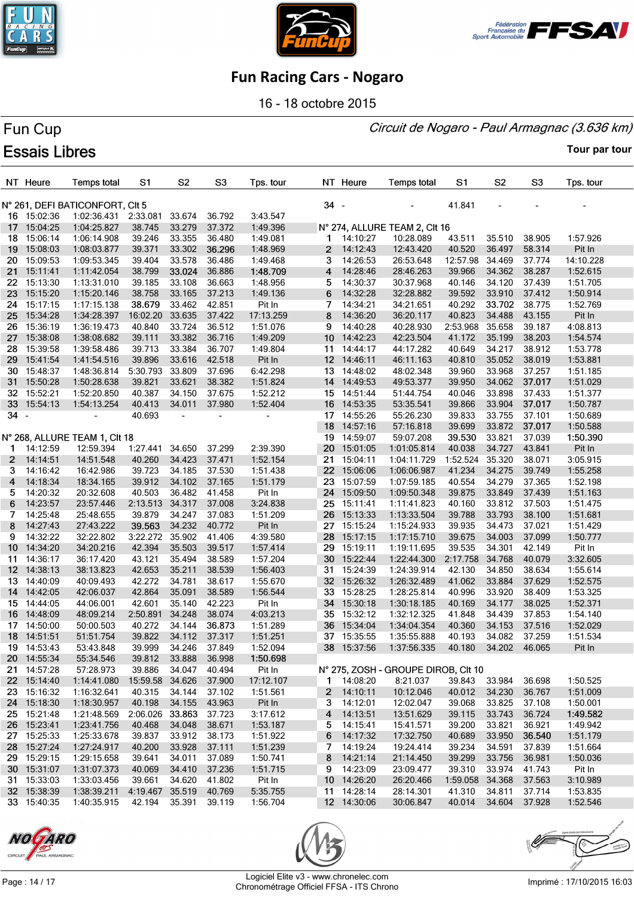





16 - 18 octobre 2015

# Fun Cup **Essais Libres**

Circuit de Nogaro - Paul Armagnac (3.636 km)

**Tour par tour**

|                  | NT Heure    | <b>Temps total</b>                  | S1                     | S2             | S <sub>3</sub> | Tps. tour |      | NT Heure           | <b>Temps total</b>                  | S1                   | S <sub>2</sub> | S3     | Tps. tour |
|------------------|-------------|-------------------------------------|------------------------|----------------|----------------|-----------|------|--------------------|-------------------------------------|----------------------|----------------|--------|-----------|
|                  |             | N° 261, DEFI BATICONFORT, CIt 5     |                        |                |                |           | 34 - |                    |                                     | 41.841               |                |        |           |
|                  | 16 15:02:36 | 1:02:36.431 2:33.081                |                        | 33.674         | 36.792         | 3:43.547  |      |                    |                                     |                      |                |        |           |
| 17               | 15:04:25    | 1:04:25.827                         | 38.745                 | 33.279         | 37.372         | 1:49.396  |      |                    | N° 274, ALLURE TEAM 2, CIt 16       |                      |                |        |           |
| 18               | 15:06:14    | 1:06:14.908                         | 39.246                 | 33.355         | 36.480         | 1:49.081  |      | $1 \quad 14:10:27$ | 10:28.089                           | 43.511               | 35.510         | 38.905 | 1:57.926  |
| 19               | 15:08:03    | 1:08:03.877                         | 39.371                 | 33.302         | 36.296         | 1:48.969  | 2    | 14:12:43           | 12:43.420                           | 40.520               | 36.497         | 58.314 | Pit In    |
| 20 -             | 15:09:53    | 1:09:53.345                         | 39.404                 | 33.578         | 36.486         | 1:49.468  | 3    | 14:26:53           | 26:53.648                           | 12:57.98             | 34.469         | 37.774 | 14:10.228 |
| 21               | 15:11:41    | 1:11:42.054                         | 38.799                 | 33.024         | 36.886         | 1:48.709  | 4    | 14:28:46           | 28:46.263                           | 39.966               | 34.362         | 38.287 | 1:52.615  |
| 22               | 15:13:30    | 1:13:31.010                         | 39.185                 | 33.108         | 36.663         | 1:48.956  | 5    | 14:30:37           | 30:37.968                           | 40.146               | 34.120         | 37.439 | 1:51.705  |
| 23               | 15:15:20    | 1:15:20.146                         | 38.758                 | 33.165         | 37.213         | 1:49.136  | 6    | 14:32:28           | 32:28.882                           | 39.592               | 33.910         | 37.412 | 1:50.914  |
| 24               | 15:17:15    | 1:17:15.138                         | 38.679                 | 33.462         | 42.851         | Pit In    | 7    | 14:34:21           | 34:21.651                           | 40.292               | 33.702         | 38.775 | 1:52.769  |
| 25               | 15:34:28    | 1:34:28.397                         | 16:02.20               | 33.635         | 37.422         | 17:13.259 | 8    | 14:36:20           | 36:20.117                           | 40.823               | 34.488         | 43.155 | Pit In    |
| 26.              | 15:36:19    | 1:36:19.473                         | 40.840                 | 33.724         | 36.512         | 1:51.076  | 9    | 14:40:28           | 40:28.930                           | 2:53.968             | 35.658         | 39.187 | 4:08.813  |
| 27 <sub>2</sub>  | 15:38:08    | 1:38:08.682                         | 39.111                 | 33.382         | 36.716         | 1:49.209  |      | 10 14:42:23        | 42:23.504                           | 41.172               | 35.199         | 38.203 | 1:54.574  |
|                  | 28 15:39:58 | 1:39:58.486                         | 39.713                 | 33.384         | 36.707         | 1:49.804  |      | 11 14:44:17        | 44:17.282                           | 40.649               | 34.217         | 38.912 | 1:53.778  |
| 29               | 15:41:54    | 1:41:54.516                         | 39.896                 | 33.616         | 42.518         | Pit In    |      | 12 14:46:11        | 46:11.163                           | 40.810               | 35.052         | 38.019 | 1:53.881  |
|                  | 30 15:48:37 | 1:48:36.814                         | 5:30.793               | 33.809         | 37.696         | 6:42.298  |      | 13 14:48:02        | 48:02.348                           | 39.960               | 33.968         | 37.257 | 1:51.185  |
|                  | 31 15:50:28 | 1:50:28.638                         | 39.821                 | 33.621         | 38.382         | 1:51.824  |      | 14 14:49:53        | 49:53.377                           | 39.950               | 34.062         | 37.017 | 1:51.029  |
|                  | 32 15:52:21 | 1:52:20.850                         | 40.387                 | 34.150         | 37.675         | 1:52.212  |      | 15 14:51:44        | 51:44.754                           | 40.046               | 33.898         | 37.433 | 1:51.377  |
|                  | 33 15:54:13 | 1:54:13.254                         | 40.413                 | 34.011         | 37.980         | 1:52.404  |      | 16 14:53:35        | 53:35.541                           | 39.866               | 33.904         | 37.017 | 1:50.787  |
| 34 -             |             |                                     | 40.693                 | $\blacksquare$ |                |           |      | 17 14:55:26        | 55:26.230                           | 39.833               | 33.755         | 37.101 | 1:50.689  |
|                  |             |                                     |                        |                |                |           |      | 18 14:57:16        | 57:16.818                           | 39.699               | 33.872         | 37.017 | 1:50.588  |
|                  |             | N° 268, ALLURE TEAM 1, CIt 18       |                        |                |                |           | 19   | 14:59:07           | 59:07.208                           | 39.530               | 33.821         | 37.039 | 1:50.390  |
| 1.               | 14:12:59    | 12:59.394                           | 1:27.441               | 34.650         | 37.299         | 2:39.390  |      | 20 15:01:05        | 1:01:05.814                         | 40.038               | 34.727         | 43.841 | Pit In    |
| $\mathbf{2}$     | 14:14:51    | 14:51.548                           | 40.260                 | 34.423         | 37.471         | 1:52.154  |      | 21 15:04:11        | 1:04:11.729                         | 1:52.524             | 35.320         | 38.071 | 3:05.915  |
| 3                | 14:16:42    | 16:42.986                           | 39.723                 | 34.185         | 37.530         | 1:51.438  |      | 22 15:06:06        | 1:06:06.987                         | 41.234               | 34.275         | 39.749 | 1:55.258  |
| 4                | 14:18:34    | 18:34.165                           | 39.912                 | 34.102         | 37.165         | 1:51.179  | 23   | 15:07:59           | 1:07:59.185                         | 40.554               | 34.279         | 37.365 | 1:52.198  |
| 5                | 14:20:32    | 20:32.608                           | 40.503                 | 36.482         | 41.458         | Pit In    |      | 24 15:09:50        | 1:09:50.348                         | 39.875               | 33.849         | 37.439 | 1:51.163  |
| 6                | 14:23:57    | 23:57.446                           | 2:13.513               | 34.317         | 37.008         | 3:24.838  |      | 25 15:11:41        | 1:11:41.823                         | 40.160               | 33.812         | 37.503 | 1:51.475  |
| 7                | 14:25:48    | 25:48.655                           | 39.879                 | 34.247         | 37.083         | 1:51.209  | 26   | 15:13:33           | 1:13:33.504                         | 39.788               | 33.793         | 38.100 | 1:51.681  |
| 8                | 14:27:43    | 27:43.222                           | 39.563                 | 34.232         | 40.772         | Pit In    |      | 27 15:15:24        | 1:15:24.933                         | 39.935               | 34.473         | 37.021 | 1:51.429  |
| 9                | 14:32:22    | 32:22.802                           | 3:22.272               | 35.902         | 41.406         | 4:39.580  | 28   | 15:17:15           | 1:17:15.710                         | 39.675               | 34.003         | 37.099 | 1:50.777  |
| 10 <sup>10</sup> | 14:34:20    | 34:20.216                           | 42.394                 | 35.503         | 39.517         | 1:57.414  | 29   | 15:19:11           | 1:19:11.695                         | 39.535               | 34.301         | 42.149 | Pit In    |
| 11               | 14:36:17    | 36:17.420                           | 43.121                 | 35.494         | 38.589         | 1:57.204  | 30   | 15:22:44           | 1:22:44.300                         | 2:17.758             | 34.768         | 40.079 | 3:32.605  |
|                  | 12 14:38:13 | 38:13.823                           | 42.653                 | 35.211         | 38.539         | 1:56.403  |      | 31 15:24:39        | 1:24:39.914                         | 42.130               | 34.850         | 38.634 | 1:55.614  |
|                  | 13 14:40:09 | 40:09.493                           | 42.272                 | 34.781         | 38.617         | 1:55.670  |      | 32 15:26:32        | 1:26:32.489                         | 41.062               | 33.884         | 37.629 | 1:52.575  |
| 14               | 14:42:05    | 42:06.037                           | 42.864                 | 35.091         | 38.589         | 1:56.544  |      | 33 15:28:25        | 1:28:25.814                         | 40.996               | 33.920         | 38.409 | 1:53.325  |
|                  | 15 14:44:05 | 44:06.001                           | 42.601                 | 35.140         | 42.223         | Pit In    |      | 34 15:30:18        | 1:30:18.185                         | 40.169               | 34.177         | 38.025 | 1:52.371  |
| 16               | 14:48:09    | 48:09.214                           | 2:50.891               | 34.248         | 38.074         | 4:03.213  |      | 35 15:32:12        | 1:32:12.325                         | 41.848               | 34.439         | 37.853 | 1:54.140  |
|                  | 17 14:50:00 | 50:00.503                           | 40.272                 | 34.144         | 36.873         | 1:51.289  |      | 36 15:34:04        | 1:34:04.354                         | 40.360               | 34.153         | 37.516 | 1:52.029  |
| 18 <sup>1</sup>  | 14:51:51    | 51:51.754                           | 39.822                 | 34.112         | 37.317         | 1:51.251  |      | 37 15:35:55        | 1:35:55.888                         | 40.193               | 34.082         | 37.259 | 1:51.534  |
|                  | 19 14:53:43 | 53:43.848                           | 39.999                 | 34.246         | 37.849         | 1:52.094  |      | 38 15:37:56        | 1:37:56.335                         | 40.180               | 34.202 46.065  |        | Pit In    |
|                  | 20 14:55:34 | 55:34.546                           | 39.812                 | 33.888         | 36.998         | 1:50.698  |      |                    |                                     |                      |                |        |           |
|                  | 21 14:57:28 | 57:28.973                           | 39.886                 | 34.047         | 40.494         | Pit In    |      |                    | N° 275, ZOSH - GROUPE DIROB, CIt 10 |                      |                |        |           |
|                  | 22 15:14:40 | 1:14:41.080                         | 15:59.58               | 34.626         | 37.900         | 17:12.107 |      | 1 14:08:20         | 8:21.037                            | 39.843               | 33.984         | 36.698 | 1:50.525  |
|                  | 23 15:16:32 | 1:16:32.641                         | 40.315                 | 34.144         | 37.102         | 1:51.561  |      | 2 14:10:11         | 10:12.046                           | 40.012               | 34.230         | 36.767 | 1:51.009  |
|                  | 24 15:18:30 | 1:18:30.957                         | 40.198                 | 34.155         | 43.963         | Pit In    | 3    | 14:12:01           | 12:02.047                           | 39.068               | 33.825         | 37.108 | 1:50.001  |
|                  | 25 15:21:48 | 1:21:48.569                         | 2:06.026               | 33.863         | 37.723         | 3:17.612  |      | 4 14:13:51         | 13:51.629                           | 39.115               | 33.743         | 36.724 | 1:49.582  |
|                  | 26 15:23:41 | 1:23:41.756                         | 40.468                 | 34.048         | 38.671         | 1:53.187  | 5    | 14:15:41           | 15:41.571                           | 39.200               | 33.821         | 36.921 | 1:49.942  |
|                  | 27 15:25:33 | 1:25:33.678                         | 39.837                 | 33.912         | 38.173         | 1:51.922  | 6    | 14:17:32           | 17:32.750                           | 40.689               | 33.950         | 36.540 | 1:51.179  |
|                  | 28 15:27:24 | 1:27:24.917                         | 40.200                 | 33.928         | 37.111         | 1:51.239  | 7    | 14:19:24           | 19:24.414                           | 39.234               | 34.591         | 37.839 | 1:51.664  |
|                  | 29 15:29:15 | 1:29:15.658                         | 39.641                 | 34.011         | 37.089         | 1:50.741  | 8    | 14:21:14           | 21:14.450                           | 39.299               | 33.756         | 36.981 | 1:50.036  |
|                  | 30 15:31:07 | 1:31:07.373                         | 40.069                 | 34.410         | 37.236         | 1:51.715  | 9    | 14:23:09           | 23:09.477                           | 39.310               | 33.974         | 41.743 | Pit In    |
|                  | 31 15:33:03 | 1:33:03.456                         | 39.661                 | 34.620         | 41.802         | Pit In    |      | 10 14:26:20        | 26:20.466                           | 1:59.058 34.368      |                | 37.563 | 3:10.989  |
|                  | 32 15:38:39 | 1:38:39.211                         | 4:19.467 35.519 40.769 |                |                | 5:35.755  |      | 11 14:28:14        | 28:14.301                           | 41.310               | 34.811         | 37.714 | 1:53.835  |
|                  | 33 15:40:35 | 1:40:35.915  42.194  35.391  39.119 |                        |                |                | 1:56.704  |      | 12 14:30:06        | 30:06.847                           | 40.014 34.604 37.928 |                |        | 1:52.546  |







Page : 14 / 17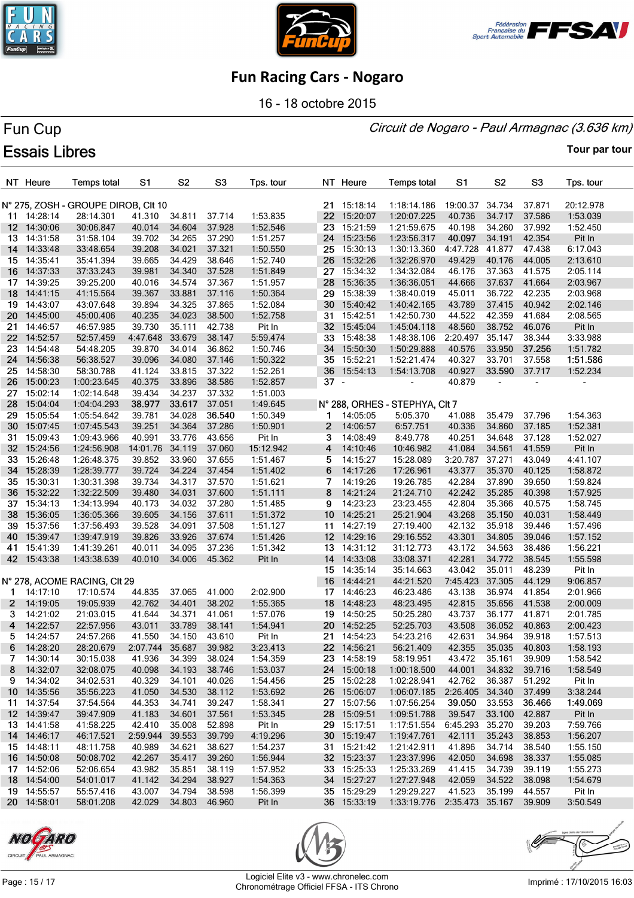





16 - 18 octobre 2015

#### Circuit de Nogaro - Paul Armagnac (3.636 km)

# Fun Cup **Essais Libres**

|                   | NT Heure             | <b>Temps total</b>                  | S <sub>1</sub>       | S <sub>2</sub>   | S <sub>3</sub>   | Tps. tour            |              | NT Heure                   | <b>Temps total</b>                 | S1               | S <sub>2</sub>   | S <sub>3</sub>   | Tps. tour            |
|-------------------|----------------------|-------------------------------------|----------------------|------------------|------------------|----------------------|--------------|----------------------------|------------------------------------|------------------|------------------|------------------|----------------------|
|                   |                      |                                     |                      |                  |                  |                      |              |                            |                                    |                  |                  |                  |                      |
|                   |                      | N° 275, ZOSH - GROUPE DIROB, CIt 10 |                      |                  |                  |                      |              | 21 15:18:14                | 1:18:14.186                        | 19:00.37 34.734  |                  | 37.871           | 20:12.978            |
|                   | 11 14:28:14          | 28:14.301                           | 41.310               | 34.811           | 37.714           | 1:53.835             |              | 22 15:20:07                | 1:20:07.225                        | 40.736           | 34.717           | 37.586           | 1:53.039             |
|                   | 12 14:30:06          | 30:06.847                           | 40.014               | 34.604           | 37.928           | 1:52.546             |              | 23 15:21:59                | 1:21:59.675                        | 40.198           | 34.260           | 37.992           | 1:52.450             |
|                   | 13 14:31:58          | 31:58.104                           | 39.702               | 34.265           | 37.290           | 1:51.257             |              | 24 15:23:56                | 1:23:56.317                        | 40.097           | 34.191           | 42.354           | Pit In               |
| 14                | 14:33:48             | 33:48.654                           | 39.208               | 34.021           | 37.321           | 1:50.550             |              | 25 15:30:13                | 1:30:13.360                        | 4:47.728         | 41.877           | 47.438           | 6:17.043             |
|                   | 15 14:35:41          | 35:41.394                           | 39.665               | 34.429           | 38.646           | 1:52.740             |              | 26 15:32:26                | 1:32:26.970                        | 49.429           | 40.176           | 44.005           | 2:13.610             |
| 16                | 14:37:33             | 37:33.243                           | 39.981               | 34.340           | 37.528           | 1:51.849             |              | 27 15:34:32                | 1:34:32.084                        | 46.176           | 37.363           | 41.575           | 2:05.114             |
|                   | 17 14:39:25          | 39:25.200                           | 40.016               | 34.574           | 37.367           | 1:51.957             |              | 28 15:36:35                | 1:36:36.051                        | 44.666           | 37.637           | 41.664           | 2:03.967             |
| 18                | 14:41:15             | 41:15.564                           | 39.367               | 33.881           | 37.116           | 1:50.364             |              | 29 15:38:39                | 1:38:40.019                        | 45.011           | 36.722           | 42.235           | 2:03.968             |
| 19                | 14:43:07             | 43:07.648                           | 39.894               | 34.325           | 37.865           | 1:52.084             |              | 30 15:40:42                | 1:40:42.165                        | 43.789           | 37.415           | 40.942           | 2:02.146             |
| 20                | 14:45:00             | 45:00.406                           | 40.235               | 34.023           | 38.500           | 1:52.758             | 31           | 15:42:51                   | 1:42:50.730                        | 44.522           | 42.359           | 41.684           | 2:08.565             |
| 21.               | 14:46:57             | 46:57.985                           | 39.730               | 35.111           | 42.738           | Pit In               |              | 32 15:45:04                | 1:45:04.118                        | 48.560           | 38.752           | 46.076           | Pit In               |
|                   | 22 14:52:57          | 52:57.459                           | 4:47.648             | 33.679           | 38.147           | 5:59.474             |              | 33 15:48:38                | 1:48:38.106                        | 2:20.497 35.147  |                  | 38.344           | 3:33.988             |
| 23.               | 14:54:48             | 54:48.205                           | 39.870               | 34.014           | 36.862           | 1:50.746             |              | 34 15:50:30                | 1:50:29.888                        | 40.576           | 33.950           | 37.256           | 1:51.782             |
| 24                | 14:56:38             | 56:38.527                           | 39.096               | 34.080           | 37.146           | 1:50.322             |              | 35 15:52:21                | 1:52:21.474                        | 40.327           | 33.701           | 37.558           | 1:51.586             |
|                   | 25 14:58:30          | 58:30.788                           | 41.124               | 33.815           | 37.322           | 1:52.261             |              | 36 15:54:13                | 1:54:13.708                        | 40.927           | 33.590           | 37.717           | 1:52.234             |
|                   | 26 15:00:23          | 1:00:23.645                         | 40.375               | 33.896           | 38.586           | 1:52.857             | $37 -$       |                            |                                    | 40.879           | $\blacksquare$   |                  |                      |
| 27                | 15:02:14             | 1:02:14.648                         | 39.434               | 34.237           | 37.332           | 1:51.003             |              |                            |                                    |                  |                  |                  |                      |
| 28                | 15:04:04             | 1:04:04.293                         | 38.977               | 33.617           | 37.051           | 1:49.645             |              |                            | N° 288, ORHES - STEPHYA, CIt 7     |                  |                  |                  |                      |
| 29.               | 15:05:54             | 1:05:54.642                         | 39.781               | 34.028           | 36.540           | 1:50.349             |              | 14:05:05                   | 5:05.370                           | 41.088           | 35.479           | 37.796           | 1:54.363             |
| 30 -              | 15:07:45             | 1:07:45.543                         | 39.251               | 34.364           | 37.286           | 1:50.901             | $\mathbf{2}$ | 14:06:57                   | 6:57.751                           | 40.336           | 34.860           | 37.185           | 1:52.381             |
| 31.               | 15:09:43             | 1:09:43.966                         | 40.991               | 33.776           | 43.656           | Pit In               | 3            | 14:08:49                   | 8:49.778                           | 40.251           | 34.648           | 37.128           | 1:52.027             |
| 32                | 15:24:56             | 1:24:56.908                         | 14:01.76             | 34.119           | 37.060           | 15:12.942            | 4            | 14:10:46                   | 10:46.982                          | 41.084           | 34.561           | 41.559           | Pit In               |
| 33 <sub>o</sub>   | 15:26:48             | 1:26:48.375                         | 39.852               | 33.960           | 37.655           | 1:51.467             | 5            | 14:15:27                   | 15:28.089                          | 3:20.787 37.271  |                  | 43.049           | 4:41.107             |
| 34                | 15:28:39             | 1:28:39.777                         | 39.724               | 34.224           | 37.454           | 1:51.402             | 6            | 14:17:26                   | 17:26.961                          | 43.377           | 35.370           | 40.125           | 1:58.872             |
| 35                | 15:30:31             | 1:30:31.398                         | 39.734               | 34.317           | 37.570           | 1:51.621             | 7            | 14:19:26                   | 19:26.785                          | 42.284           | 37.890           | 39.650           | 1:59.824             |
| 36                | 15:32:22             | 1:32:22.509                         | 39.480               | 34.031           | 37.600           | 1:51.111             | 8            | 14:21:24                   | 21:24.710                          | 42.242           | 35.285           | 40.398           | 1:57.925             |
|                   | 37 15:34:13          | 1:34:13.994                         | 40.173               | 34.032           | 37.280           | 1:51.485             | 9            | 14:23:23                   | 23:23.455                          | 42.804           | 35.366           | 40.575           | 1:58.745             |
| 38                | 15:36:05             | 1:36:05.366                         | 39.605               | 34.156           | 37.611           | 1:51.372             |              | 10 14:25:21                | 25:21.904                          | 43.268           | 35.150           | 40.031           | 1:58.449             |
| 39.               | 15:37:56             | 1:37:56.493                         | 39.528               | 34.091           | 37.508           | 1:51.127             |              | 11 14:27:19                | 27:19.400                          | 42.132           | 35.918           | 39.446           | 1:57.496             |
| 40.               | 15:39:47             | 1:39:47.919                         | 39.826               | 33.926           | 37.674           | 1:51.426             |              | 12 14:29:16                | 29:16.552                          | 43.301           | 34.805           | 39.046           | 1:57.152             |
| 41                | 15:41:39             | 1:41:39.261                         | 40.011               | 34.095           | 37.236           | 1:51.342             |              | 13 14:31:12                | 31:12.773                          | 43.172           | 34.563           | 38.486           | 1:56.221             |
|                   | 42 15:43:38          | 1:43:38.639                         | 40.010               | 34.006           | 45.362           | Pit In               | 14           | 14:33:08                   | 33:08.371                          | 42.281           | 34.772           | 38.545           | 1:55.598             |
|                   |                      |                                     |                      |                  |                  |                      |              | 15 14:35:14                | 35:14.663                          | 43.042           | 35.011           | 48.239           | Pit In               |
|                   |                      | N° 278, ACOME RACING, CIt 29        |                      | 37.065           |                  |                      |              | 16 14:44:21                | 44:21.520                          | 7:45.423         | 37.305           | 44.129           | 9:06.857<br>2:01.966 |
| $\mathbf 1$       | 14:17:10<br>14:19:05 | 17:10.574                           | 44.835               |                  | 41.000<br>38.202 | 2:02.900             |              | 17 14:46:23                | 46:23.486                          | 43.138           | 36.974           | 41.854           |                      |
| $\mathbf{2}$<br>3 | 14:21:02             | 19:05.939<br>21:03.015              | 42.762<br>41.644     | 34.401<br>34.371 | 41.061           | 1:55.365<br>1:57.076 |              | 18 14:48:23<br>19 14:50:25 | 48:23.495<br>50:25.280             | 42.815<br>43.737 | 35.656<br>36.177 | 41.538<br>41.871 | 2:00.009<br>2:01.785 |
| 4                 | 14:22:57             | 22:57.956                           | 43.011               | 33.789           | 38.141           | 1:54.941             |              | 20 14:52:25                | 52:25.703                          | 43.508           | 36.052           | 40.863           | 2:00.423             |
| 5                 | 14:24:57             | 24:57.266                           | 41.550               | 34.150           | 43.610           | Pit In               |              | 21 14:54:23                | 54:23.216                          | 42.631           | 34.964           | 39.918           | 1:57.513             |
|                   | 6 14:28:20           | 28:20.679                           | 2:07.744 35.687      |                  | 39.982           | 3:23.413             |              | 22 14:56:21                | 56:21.409                          | 42.355           | 35.035 40.803    |                  | 1:58.193             |
|                   | 7 14:30:14           | 30:15.038                           | 41.936               | 34.399           | 38.024           | 1:54.359             |              | 23 14:58:19                | 58:19.951                          | 43.472 35.161    |                  | 39.909           | 1:58.542             |
|                   | 8 14:32:07           | 32:08.075                           | 40.098               | 34.193           | 38.746           | 1:53.037             |              | 24 15:00:18                | 1:00:18.500                        | 44.001           | 34.832           | 39.716           | 1:58.549             |
|                   | 9 14:34:02           | 34:02.531                           | 40.329               | 34.101           | 40.026           | 1:54.456             |              | 25 15:02:28                | 1:02:28.941                        | 42.762           | 36.387           | 51.292           | Pit In               |
|                   | 10 14:35:56          | 35:56.223                           | 41.050               | 34.530           | 38.112           | 1:53.692             |              | 26 15:06:07                | 1:06:07.185                        | 2:26.405 34.340  |                  | 37.499           | 3:38.244             |
|                   | 11 14:37:54          | 37:54.564                           | 44.353               | 34.741           | 39.247           | 1:58.341             |              | 27 15:07:56                | 1:07:56.254                        | 39.050           | 33.553           | 36.466           | 1:49.069             |
|                   | 12 14:39:47          | 39:47.909                           | 41.183               | 34.601           | 37.561           | 1:53.345             |              | 28 15:09:51                | 1:09:51.788                        | 39.547           | 33.100           | 42.887           | Pit In               |
|                   | 13 14:41:58          | 41:58.225                           | 42.410               | 35.008           | 52.898           | Pit In               |              | 29 15:17:51                | 1:17:51.554                        | 6:45.293 35.270  |                  | 39.203           | 7:59.766             |
|                   | 14 14:46:17          | 46:17.521                           | 2:59.944             | 39.553           | 39.799           | 4:19.296             |              | 30 15:19:47                | 1:19:47.761                        | 42.111           | 35.243           | 38.853           | 1:56.207             |
|                   | 15 14:48:11          | 48:11.758                           | 40.989               | 34.621           | 38.627           | 1:54.237             |              | 31 15:21:42                | 1:21:42.911                        | 41.896           | 34.714           | 38.540           | 1:55.150             |
|                   | 16 14:50:08          | 50:08.702                           | 42.267               | 35.417           | 39.260           | 1:56.944             |              | 32 15:23:37                | 1:23:37.996                        | 42.050           | 34.698           | 38.337           | 1:55.085             |
|                   | 17 14:52:06          | 52:06.654                           | 43.982               | 35.851           | 38.119           | 1:57.952             |              | 33 15:25:33                | 1:25:33.269                        | 41.415           | 34.739           | 39.119           | 1:55.273             |
|                   | 18 14:54:00          | 54:01.017                           | 41.142               | 34.294           | 38.927           | 1:54.363             |              | 34 15:27:27                | 1:27:27.948                        | 42.059           | 34.522           | 38.098           | 1:54.679             |
|                   | 19 14:55:57          | 55:57.416                           | 43.007               | 34.794           | 38.598           | 1:56.399             |              | 35 15:29:29                | 1:29:29.227                        | 41.523           | 35.199           | 44.557           | Pit In               |
|                   | 20 14:58:01          | 58:01.208                           | 42.029 34.803 46.960 |                  |                  | Pit In               |              | 36 15:33:19                | 1:33:19.776 2:35.473 35.167 39.909 |                  |                  |                  | 3:50.549             |





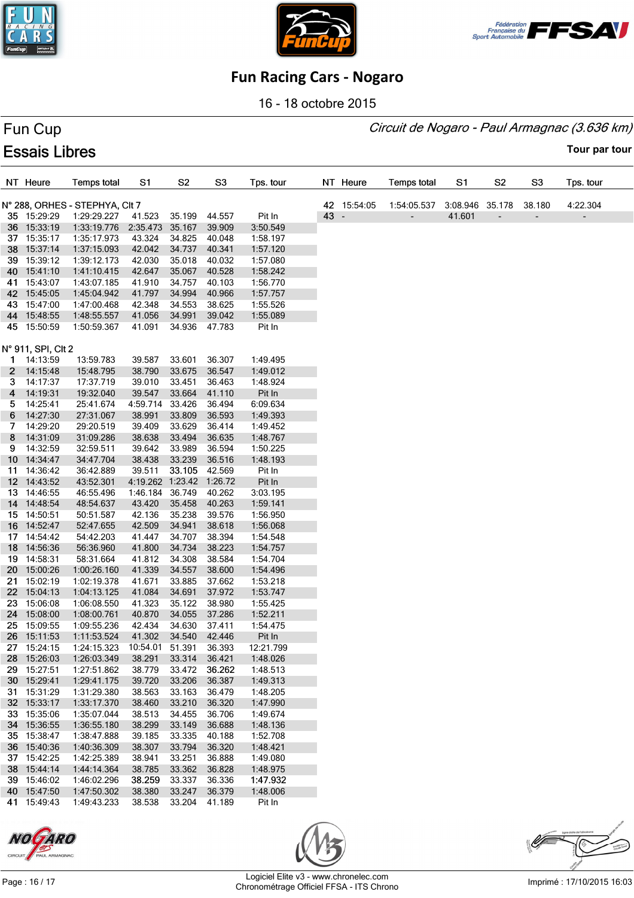





16 - 18 octobre 2015

# Fun Cup **Essais Libres**

Circuit de Nogaro - Paul Armagnac (3.636 km)

**Tour par tour**

|              | NT Heure           | <b>Temps total</b>             | S1                       | S <sub>2</sub> | S <sub>3</sub> | Tps. tour |      | NT Heure    | <b>Temps total</b> | S1              | S2                           | S3     | Tps. tour |
|--------------|--------------------|--------------------------------|--------------------------|----------------|----------------|-----------|------|-------------|--------------------|-----------------|------------------------------|--------|-----------|
|              |                    | N° 288, ORHES - STEPHYA, CIt 7 |                          |                |                |           |      | 42 15:54:05 | 1:54:05.537        | 3:08.946 35.178 |                              | 38.180 | 4:22.304  |
|              | 35 15:29:29        | 1:29:29.227                    | 41.523                   | 35.199         | 44.557         | Pit In    | 43 - |             |                    | 41.601          | $\qquad \qquad \blacksquare$ |        | ٠         |
|              | 36 15:33:19        | 1:33:19.776                    | 2:35.473                 | 35.167         | 39.909         | 3:50.549  |      |             |                    |                 |                              |        |           |
|              | 37 15:35:17        | 1:35:17.973                    | 43.324                   | 34.825         | 40.048         | 1:58.197  |      |             |                    |                 |                              |        |           |
|              | 38 15:37:14        | 1:37:15.093                    | 42.042                   | 34.737         | 40.341         | 1:57.120  |      |             |                    |                 |                              |        |           |
|              | 39 15:39:12        | 1:39:12.173                    | 42.030                   | 35.018         | 40.032         | 1:57.080  |      |             |                    |                 |                              |        |           |
|              | 40 15:41:10        | 1:41:10.415                    | 42.647                   | 35.067         | 40.528         | 1:58.242  |      |             |                    |                 |                              |        |           |
|              | 41 15:43:07        | 1:43:07.185                    | 41.910                   | 34.757         | 40.103         | 1:56.770  |      |             |                    |                 |                              |        |           |
|              | 42 15:45:05        | 1:45:04.942                    | 41.797                   | 34.994         | 40.966         | 1:57.757  |      |             |                    |                 |                              |        |           |
|              | 43 15:47:00        | 1:47:00.468                    | 42.348                   | 34.553         | 38.625         | 1:55.526  |      |             |                    |                 |                              |        |           |
|              | 44 15:48:55        | 1:48:55.557                    | 41.056                   | 34.991         | 39.042         | 1:55.089  |      |             |                    |                 |                              |        |           |
|              | 45 15:50:59        | 1:50:59.367                    | 41.091                   | 34.936         | 47.783         | Pit In    |      |             |                    |                 |                              |        |           |
|              |                    |                                |                          |                |                |           |      |             |                    |                 |                              |        |           |
|              | N° 911, SPI, CIt 2 |                                |                          |                |                |           |      |             |                    |                 |                              |        |           |
|              | 1 14:13:59         | 13:59.783                      | 39.587                   | 33.601         | 36.307         | 1:49.495  |      |             |                    |                 |                              |        |           |
| $\mathbf{2}$ | 14:15:48           | 15:48.795                      | 38.790                   | 33.675         | 36.547         | 1:49.012  |      |             |                    |                 |                              |        |           |
| З.           | 14:17:37           | 17:37.719                      | 39.010                   | 33.451         | 36.463         | 1:48.924  |      |             |                    |                 |                              |        |           |
| 4            | 14:19:31           | 19:32.040                      | 39.547                   | 33.664         | 41.110         | Pit In    |      |             |                    |                 |                              |        |           |
| 5.           | 14:25:41           | 25:41.674                      | 4:59.714                 | 33.426         | 36.494         | 6:09.634  |      |             |                    |                 |                              |        |           |
| 6            | 14:27:30           | 27:31.067                      | 38.991                   | 33.809         | 36.593         | 1:49.393  |      |             |                    |                 |                              |        |           |
| 7.           | 14:29:20           | 29:20.519                      | 39.409                   | 33.629         | 36.414         | 1:49.452  |      |             |                    |                 |                              |        |           |
| 8            | 14:31:09           | 31:09.286                      | 38.638                   | 33.494         | 36.635         | 1:48.767  |      |             |                    |                 |                              |        |           |
| 9.           | 14:32:59           | 32:59.511                      | 39.642                   | 33.989         | 36.594         | 1:50.225  |      |             |                    |                 |                              |        |           |
|              | 10 14:34:47        | 34:47.704                      | 38.438                   | 33.239         | 36.516         | 1:48.193  |      |             |                    |                 |                              |        |           |
|              | 11 14:36:42        | 36:42.889                      | 39.511                   | 33.105         | 42.569         | Pit In    |      |             |                    |                 |                              |        |           |
|              | 12 14:43:52        | 43:52.301                      | 4:19.262 1:23.42 1:26.72 |                |                | Pit In    |      |             |                    |                 |                              |        |           |
|              | 13 14:46:55        | 46:55.496                      | 1:46.184                 | 36.749         | 40.262         | 3:03.195  |      |             |                    |                 |                              |        |           |
|              | 14 14:48:54        | 48:54.637                      | 43.420                   | 35.458         | 40.263         | 1:59.141  |      |             |                    |                 |                              |        |           |
|              | 15 14:50:51        | 50:51.587                      | 42.136                   | 35.238         | 39.576         | 1:56.950  |      |             |                    |                 |                              |        |           |
|              | 16 14:52:47        | 52:47.655                      | 42.509                   | 34.941         | 38.618         | 1:56.068  |      |             |                    |                 |                              |        |           |
|              | 17 14:54:42        | 54:42.203                      | 41.447                   | 34.707         | 38.394         | 1:54.548  |      |             |                    |                 |                              |        |           |
|              | 18 14:56:36        | 56:36.960                      | 41.800                   | 34.734         | 38.223         | 1:54.757  |      |             |                    |                 |                              |        |           |
|              | 19 14:58:31        | 58:31.664                      | 41.812                   | 34.308         | 38.584         | 1:54.704  |      |             |                    |                 |                              |        |           |
|              | 20 15:00:26        | 1:00:26.160                    | 41.339                   | 34.557         | 38.600         | 1:54.496  |      |             |                    |                 |                              |        |           |
| 21.          | 15:02:19           | 1:02:19.378                    | 41.671                   | 33.885         | 37.662         | 1:53.218  |      |             |                    |                 |                              |        |           |
|              | 22 15:04:13        | 1:04:13.125                    | 41.084                   | 34.691         | 37.972         | 1:53.747  |      |             |                    |                 |                              |        |           |
|              | 23 15:06:08        | 1:06:08.550                    | 41.323                   | 35.122         | 38.980         | 1:55.425  |      |             |                    |                 |                              |        |           |
|              | 24 15:08:00        | 1:08:00.761                    | 40.870                   | 34.055         | 37.286         | 1:52.211  |      |             |                    |                 |                              |        |           |
|              | 25 15:09:55        | 1:09:55.236                    | 42.434                   | 34.630         | 37.411         | 1:54.475  |      |             |                    |                 |                              |        |           |
|              | 26 15:11:53        | 1:11:53.524                    | 41.302                   | 34.540         | 42.446         | Pit In    |      |             |                    |                 |                              |        |           |
|              | 27 15:24:15        | 1:24:15.323                    | 10:54.01 51.391          |                | 36.393         | 12:21.799 |      |             |                    |                 |                              |        |           |
|              | 28 15:26:03        | 1:26:03.349                    | 38.291                   | 33.314         | 36.421         | 1:48.026  |      |             |                    |                 |                              |        |           |
|              | 29 15:27:51        | 1:27:51.862                    | 38.779                   | 33.472         | 36.262         | 1:48.513  |      |             |                    |                 |                              |        |           |
|              | 30 15:29:41        | 1:29:41.175                    | 39.720                   | 33.206         | 36.387         | 1:49.313  |      |             |                    |                 |                              |        |           |
|              | 31 15:31:29        | 1:31:29.380                    | 38.563                   | 33.163         | 36.479         | 1:48.205  |      |             |                    |                 |                              |        |           |
|              | 32 15:33:17        | 1:33:17.370                    | 38.460                   | 33.210         | 36.320         | 1:47.990  |      |             |                    |                 |                              |        |           |
|              | 33 15:35:06        | 1:35:07.044                    | 38.513                   | 34.455         | 36.706         | 1:49.674  |      |             |                    |                 |                              |        |           |
|              | 34 15:36:55        | 1:36:55.180                    | 38.299                   | 33.149         | 36.688         | 1:48.136  |      |             |                    |                 |                              |        |           |
|              | 35 15:38:47        | 1:38:47.888                    | 39.185                   | 33.335         | 40.188         | 1:52.708  |      |             |                    |                 |                              |        |           |
|              | 36 15:40:36        | 1:40:36.309                    | 38.307                   | 33.794         | 36.320         | 1:48.421  |      |             |                    |                 |                              |        |           |
|              | 37 15:42:25        | 1:42:25.389                    | 38.941                   | 33.251         | 36.888         | 1:49.080  |      |             |                    |                 |                              |        |           |
|              | 38 15:44:14        | 1:44:14.364                    | 38.785                   | 33.362         | 36.828         | 1:48.975  |      |             |                    |                 |                              |        |           |
|              | 39 15:46:02        | 1:46:02.296                    | 38.259                   | 33.337         | 36.336         | 1:47.932  |      |             |                    |                 |                              |        |           |
|              | 40 15:47:50        | 1:47:50.302                    | 38.380                   | 33.247         | 36.379         | 1:48.006  |      |             |                    |                 |                              |        |           |



15:49:43 1:49:43.233 38.538 33.204 41.189 Pit In